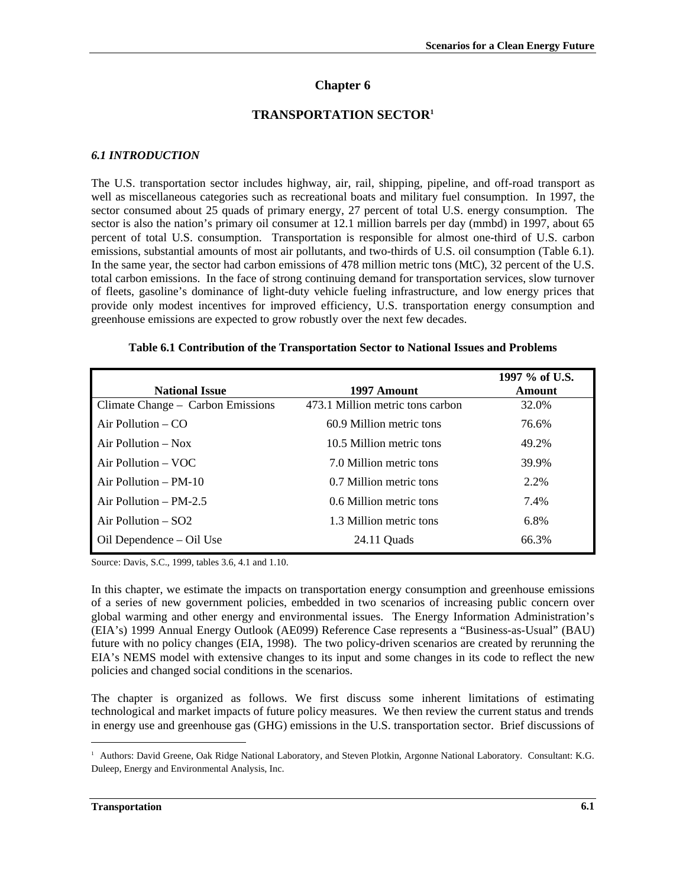# **Chapter 6**

## **TRANSPORTATION SECTOR<sup>1</sup>**

### *6.1 INTRODUCTION*

The U.S. transportation sector includes highway, air, rail, shipping, pipeline, and off-road transport as well as miscellaneous categories such as recreational boats and military fuel consumption. In 1997, the sector consumed about 25 quads of primary energy, 27 percent of total U.S. energy consumption. The sector is also the nation's primary oil consumer at 12.1 million barrels per day (mmbd) in 1997, about 65 percent of total U.S. consumption. Transportation is responsible for almost one-third of U.S. carbon emissions, substantial amounts of most air pollutants, and two-thirds of U.S. oil consumption (Table 6.1). In the same year, the sector had carbon emissions of 478 million metric tons (MtC), 32 percent of the U.S. total carbon emissions. In the face of strong continuing demand for transportation services, slow turnover of fleets, gasoline's dominance of light-duty vehicle fueling infrastructure, and low energy prices that provide only modest incentives for improved efficiency, U.S. transportation energy consumption and greenhouse emissions are expected to grow robustly over the next few decades.

| <b>National Issue</b>             | 1997 Amount                      | 1997 % of U.S.<br>Amount |
|-----------------------------------|----------------------------------|--------------------------|
| Climate Change – Carbon Emissions | 473.1 Million metric tons carbon | 32.0%                    |
| Air Pollution $-$ CO              | 60.9 Million metric tons         | 76.6%                    |
| Air Pollution $-$ Nox             | 10.5 Million metric tons         | 49.2%                    |
| Air Pollution $-$ VOC             | 7.0 Million metric tons          | 39.9%                    |
| Air Pollution $-$ PM-10           | 0.7 Million metric tons          | 2.2%                     |
| Air Pollution $-$ PM-2.5          | 0.6 Million metric tons          | 7.4%                     |
| Air Pollution $-$ SO2             | 1.3 Million metric tons          | 6.8%                     |
| Oil Dependence – Oil Use          | 24.11 Ouads                      | 66.3%                    |

#### **Table 6.1 Contribution of the Transportation Sector to National Issues and Problems**

Source: Davis, S.C., 1999, tables 3.6, 4.1 and 1.10.

In this chapter, we estimate the impacts on transportation energy consumption and greenhouse emissions of a series of new government policies, embedded in two scenarios of increasing public concern over global warming and other energy and environmental issues. The Energy Information Administration's (EIA's) 1999 Annual Energy Outlook (AE099) Reference Case represents a "Business-as-Usual" (BAU) future with no policy changes (EIA, 1998). The two policy-driven scenarios are created by rerunning the EIA's NEMS model with extensive changes to its input and some changes in its code to reflect the new policies and changed social conditions in the scenarios.

The chapter is organized as follows. We first discuss some inherent limitations of estimating technological and market impacts of future policy measures. We then review the current status and trends in energy use and greenhouse gas (GHG) emissions in the U.S. transportation sector. Brief discussions of

 $\overline{a}$ 

<sup>&</sup>lt;sup>1</sup> Authors: David Greene, Oak Ridge National Laboratory, and Steven Plotkin, Argonne National Laboratory. Consultant: K.G. Duleep, Energy and Environmental Analysis, Inc.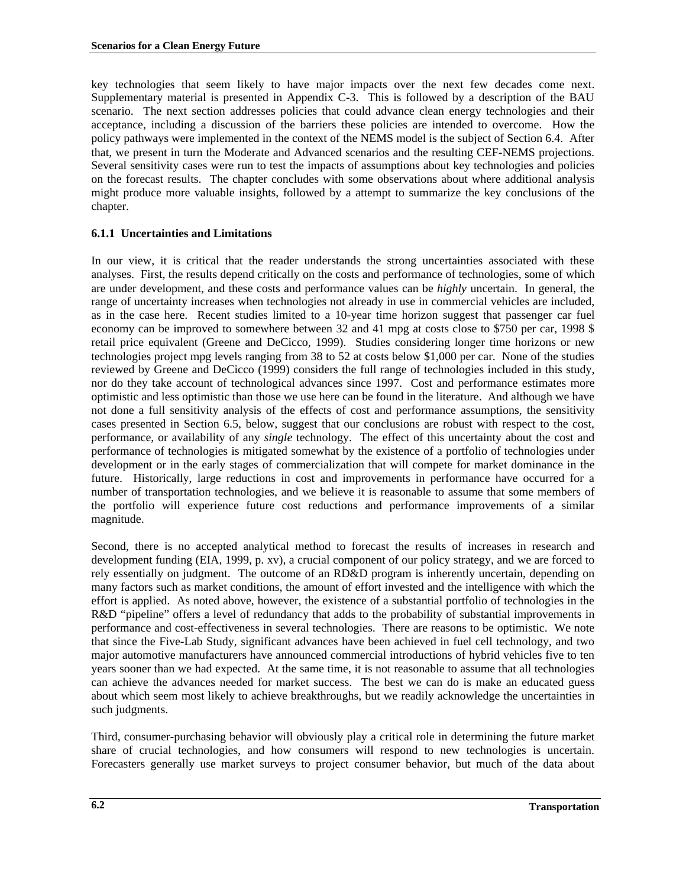key technologies that seem likely to have major impacts over the next few decades come next. Supplementary material is presented in Appendix C-3. This is followed by a description of the BAU scenario. The next section addresses policies that could advance clean energy technologies and their acceptance, including a discussion of the barriers these policies are intended to overcome. How the policy pathways were implemented in the context of the NEMS model is the subject of Section 6.4. After that, we present in turn the Moderate and Advanced scenarios and the resulting CEF-NEMS projections. Several sensitivity cases were run to test the impacts of assumptions about key technologies and policies on the forecast results. The chapter concludes with some observations about where additional analysis might produce more valuable insights, followed by a attempt to summarize the key conclusions of the chapter.

# **6.1.1 Uncertainties and Limitations**

In our view, it is critical that the reader understands the strong uncertainties associated with these analyses. First, the results depend critically on the costs and performance of technologies, some of which are under development, and these costs and performance values can be *highly* uncertain. In general, the range of uncertainty increases when technologies not already in use in commercial vehicles are included, as in the case here. Recent studies limited to a 10-year time horizon suggest that passenger car fuel economy can be improved to somewhere between 32 and 41 mpg at costs close to \$750 per car, 1998 \$ retail price equivalent (Greene and DeCicco, 1999). Studies considering longer time horizons or new technologies project mpg levels ranging from 38 to 52 at costs below \$1,000 per car. None of the studies reviewed by Greene and DeCicco (1999) considers the full range of technologies included in this study, nor do they take account of technological advances since 1997. Cost and performance estimates more optimistic and less optimistic than those we use here can be found in the literature. And although we have not done a full sensitivity analysis of the effects of cost and performance assumptions, the sensitivity cases presented in Section 6.5, below, suggest that our conclusions are robust with respect to the cost, performance, or availability of any *single* technology. The effect of this uncertainty about the cost and performance of technologies is mitigated somewhat by the existence of a portfolio of technologies under development or in the early stages of commercialization that will compete for market dominance in the future. Historically, large reductions in cost and improvements in performance have occurred for a number of transportation technologies, and we believe it is reasonable to assume that some members of the portfolio will experience future cost reductions and performance improvements of a similar magnitude.

Second, there is no accepted analytical method to forecast the results of increases in research and development funding (EIA, 1999, p. xv), a crucial component of our policy strategy, and we are forced to rely essentially on judgment. The outcome of an RD&D program is inherently uncertain, depending on many factors such as market conditions, the amount of effort invested and the intelligence with which the effort is applied. As noted above, however, the existence of a substantial portfolio of technologies in the R&D "pipeline" offers a level of redundancy that adds to the probability of substantial improvements in performance and cost-effectiveness in several technologies. There are reasons to be optimistic. We note that since the Five-Lab Study, significant advances have been achieved in fuel cell technology, and two major automotive manufacturers have announced commercial introductions of hybrid vehicles five to ten years sooner than we had expected. At the same time, it is not reasonable to assume that all technologies can achieve the advances needed for market success. The best we can do is make an educated guess about which seem most likely to achieve breakthroughs, but we readily acknowledge the uncertainties in such judgments.

Third, consumer-purchasing behavior will obviously play a critical role in determining the future market share of crucial technologies, and how consumers will respond to new technologies is uncertain. Forecasters generally use market surveys to project consumer behavior, but much of the data about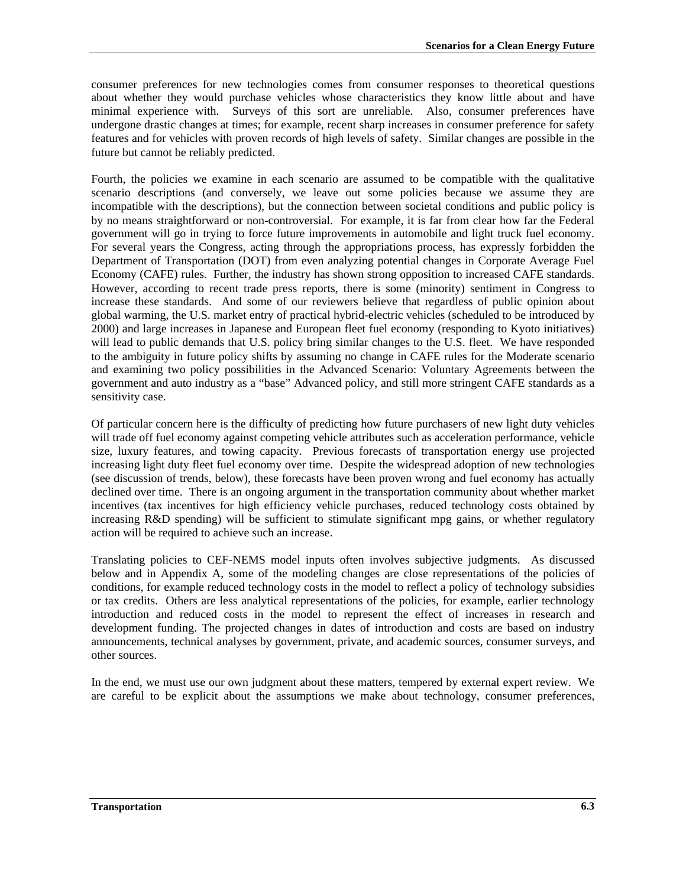consumer preferences for new technologies comes from consumer responses to theoretical questions about whether they would purchase vehicles whose characteristics they know little about and have minimal experience with. Surveys of this sort are unreliable. Also, consumer preferences have undergone drastic changes at times; for example, recent sharp increases in consumer preference for safety features and for vehicles with proven records of high levels of safety. Similar changes are possible in the future but cannot be reliably predicted.

Fourth, the policies we examine in each scenario are assumed to be compatible with the qualitative scenario descriptions (and conversely, we leave out some policies because we assume they are incompatible with the descriptions), but the connection between societal conditions and public policy is by no means straightforward or non-controversial. For example, it is far from clear how far the Federal government will go in trying to force future improvements in automobile and light truck fuel economy. For several years the Congress, acting through the appropriations process, has expressly forbidden the Department of Transportation (DOT) from even analyzing potential changes in Corporate Average Fuel Economy (CAFE) rules. Further, the industry has shown strong opposition to increased CAFE standards. However, according to recent trade press reports, there is some (minority) sentiment in Congress to increase these standards. And some of our reviewers believe that regardless of public opinion about global warming, the U.S. market entry of practical hybrid-electric vehicles (scheduled to be introduced by 2000) and large increases in Japanese and European fleet fuel economy (responding to Kyoto initiatives) will lead to public demands that U.S. policy bring similar changes to the U.S. fleet. We have responded to the ambiguity in future policy shifts by assuming no change in CAFE rules for the Moderate scenario and examining two policy possibilities in the Advanced Scenario: Voluntary Agreements between the government and auto industry as a "base" Advanced policy, and still more stringent CAFE standards as a sensitivity case.

Of particular concern here is the difficulty of predicting how future purchasers of new light duty vehicles will trade off fuel economy against competing vehicle attributes such as acceleration performance, vehicle size, luxury features, and towing capacity. Previous forecasts of transportation energy use projected increasing light duty fleet fuel economy over time. Despite the widespread adoption of new technologies (see discussion of trends, below), these forecasts have been proven wrong and fuel economy has actually declined over time. There is an ongoing argument in the transportation community about whether market incentives (tax incentives for high efficiency vehicle purchases, reduced technology costs obtained by increasing R&D spending) will be sufficient to stimulate significant mpg gains, or whether regulatory action will be required to achieve such an increase.

Translating policies to CEF-NEMS model inputs often involves subjective judgments. As discussed below and in Appendix A, some of the modeling changes are close representations of the policies of conditions, for example reduced technology costs in the model to reflect a policy of technology subsidies or tax credits. Others are less analytical representations of the policies, for example, earlier technology introduction and reduced costs in the model to represent the effect of increases in research and development funding. The projected changes in dates of introduction and costs are based on industry announcements, technical analyses by government, private, and academic sources, consumer surveys, and other sources.

In the end, we must use our own judgment about these matters, tempered by external expert review. We are careful to be explicit about the assumptions we make about technology, consumer preferences,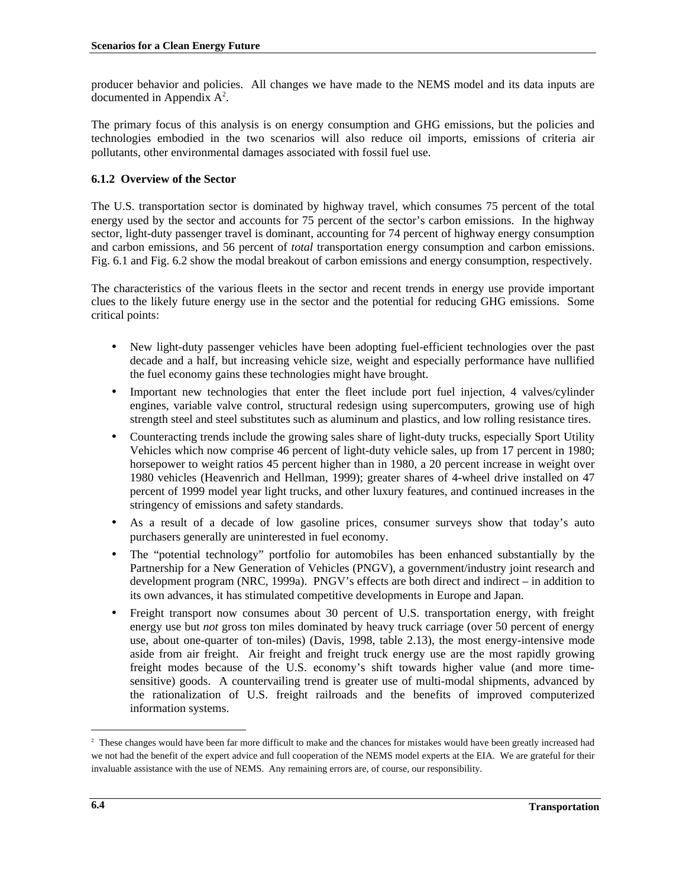producer behavior and policies. All changes we have made to the NEMS model and its data inputs are documented in Appendix  $A^2$ .

The primary focus of this analysis is on energy consumption and GHG emissions, but the policies and technologies embodied in the two scenarios will also reduce oil imports, emissions of criteria air pollutants, other environmental damages associated with fossil fuel use.

# **6.1.2 Overview of the Sector**

The U.S. transportation sector is dominated by highway travel, which consumes 75 percent of the total energy used by the sector and accounts for 75 percent of the sector's carbon emissions. In the highway sector, light-duty passenger travel is dominant, accounting for 74 percent of highway energy consumption and carbon emissions, and 56 percent of *total* transportation energy consumption and carbon emissions. Fig. 6.1 and Fig. 6.2 show the modal breakout of carbon emissions and energy consumption, respectively.

The characteristics of the various fleets in the sector and recent trends in energy use provide important clues to the likely future energy use in the sector and the potential for reducing GHG emissions. Some critical points:

- New light-duty passenger vehicles have been adopting fuel-efficient technologies over the past decade and a half, but increasing vehicle size, weight and especially performance have nullified the fuel economy gains these technologies might have brought.
- Important new technologies that enter the fleet include port fuel injection, 4 valves/cylinder engines, variable valve control, structural redesign using supercomputers, growing use of high strength steel and steel substitutes such as aluminum and plastics, and low rolling resistance tires.
- Counteracting trends include the growing sales share of light-duty trucks, especially Sport Utility Vehicles which now comprise 46 percent of light-duty vehicle sales, up from 17 percent in 1980; horsepower to weight ratios 45 percent higher than in 1980, a 20 percent increase in weight over 1980 vehicles (Heavenrich and Hellman, 1999); greater shares of 4-wheel drive installed on 47 percent of 1999 model year light trucks, and other luxury features, and continued increases in the stringency of emissions and safety standards.
- As a result of a decade of low gasoline prices, consumer surveys show that today's auto purchasers generally are uninterested in fuel economy.
- The "potential technology" portfolio for automobiles has been enhanced substantially by the Partnership for a New Generation of Vehicles (PNGV), a government/industry joint research and development program (NRC, 1999a). PNGV's effects are both direct and indirect – in addition to its own advances, it has stimulated competitive developments in Europe and Japan.
- Freight transport now consumes about 30 percent of U.S. transportation energy, with freight energy use but *not* gross ton miles dominated by heavy truck carriage (over 50 percent of energy use, about one-quarter of ton-miles) (Davis, 1998, table 2.13), the most energy-intensive mode aside from air freight. Air freight and freight truck energy use are the most rapidly growing freight modes because of the U.S. economy's shift towards higher value (and more timesensitive) goods. A countervailing trend is greater use of multi-modal shipments, advanced by the rationalization of U.S. freight railroads and the benefits of improved computerized information systems.

 $\overline{a}$ 

<sup>&</sup>lt;sup>2</sup> These changes would have been far more difficult to make and the chances for mistakes would have been greatly increased had we not had the benefit of the expert advice and full cooperation of the NEMS model experts at the EIA. We are grateful for their invaluable assistance with the use of NEMS. Any remaining errors are, of course, our responsibility.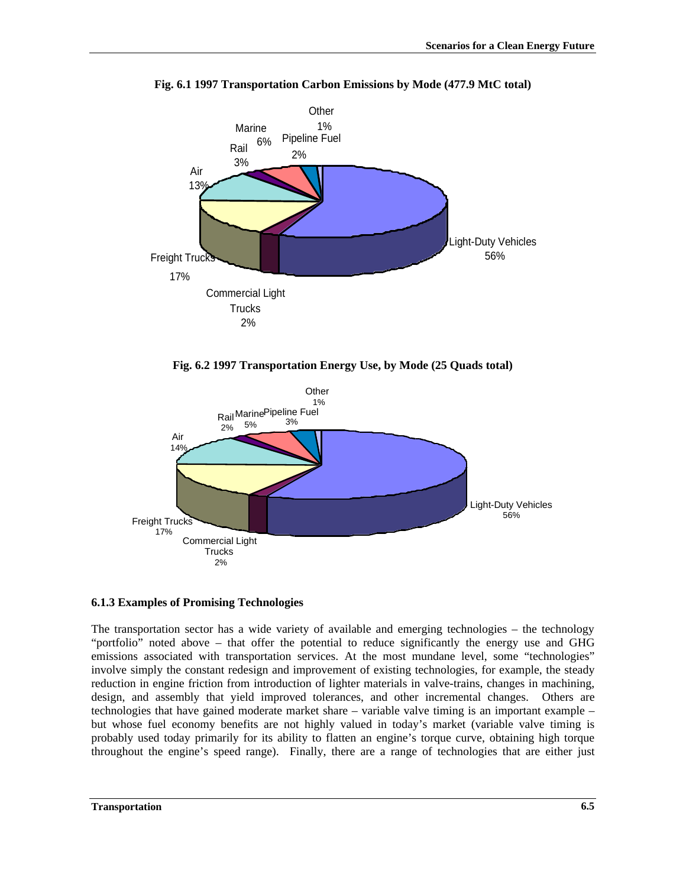

**Fig. 6.1 1997 Transportation Carbon Emissions by Mode (477.9 MtC total)**

**Fig. 6.2 1997 Transportation Energy Use, by Mode (25 Quads total)**



#### **6.1.3 Examples of Promising Technologies**

The transportation sector has a wide variety of available and emerging technologies – the technology "portfolio" noted above – that offer the potential to reduce significantly the energy use and GHG emissions associated with transportation services. At the most mundane level, some "technologies" involve simply the constant redesign and improvement of existing technologies, for example, the steady reduction in engine friction from introduction of lighter materials in valve-trains, changes in machining, design, and assembly that yield improved tolerances, and other incremental changes. Others are technologies that have gained moderate market share – variable valve timing is an important example – but whose fuel economy benefits are not highly valued in today's market (variable valve timing is probably used today primarily for its ability to flatten an engine's torque curve, obtaining high torque throughout the engine's speed range). Finally, there are a range of technologies that are either just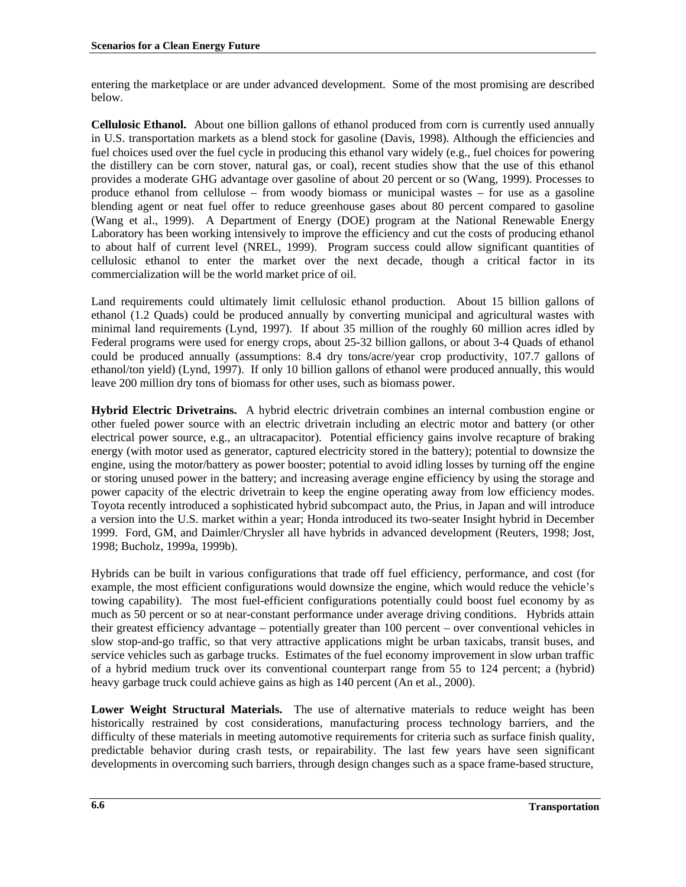entering the marketplace or are under advanced development. Some of the most promising are described below.

**Cellulosic Ethanol***.* About one billion gallons of ethanol produced from corn is currently used annually in U.S. transportation markets as a blend stock for gasoline (Davis, 1998). Although the efficiencies and fuel choices used over the fuel cycle in producing this ethanol vary widely (e.g., fuel choices for powering the distillery can be corn stover, natural gas, or coal), recent studies show that the use of this ethanol provides a moderate GHG advantage over gasoline of about 20 percent or so (Wang, 1999). Processes to produce ethanol from cellulose – from woody biomass or municipal wastes – for use as a gasoline blending agent or neat fuel offer to reduce greenhouse gases about 80 percent compared to gasoline (Wang et al., 1999). A Department of Energy (DOE) program at the National Renewable Energy Laboratory has been working intensively to improve the efficiency and cut the costs of producing ethanol to about half of current level (NREL, 1999). Program success could allow significant quantities of cellulosic ethanol to enter the market over the next decade, though a critical factor in its commercialization will be the world market price of oil.

Land requirements could ultimately limit cellulosic ethanol production. About 15 billion gallons of ethanol (1.2 Quads) could be produced annually by converting municipal and agricultural wastes with minimal land requirements (Lynd, 1997). If about 35 million of the roughly 60 million acres idled by Federal programs were used for energy crops, about 25-32 billion gallons, or about 3-4 Quads of ethanol could be produced annually (assumptions: 8.4 dry tons/acre/year crop productivity, 107.7 gallons of ethanol/ton yield) (Lynd, 1997). If only 10 billion gallons of ethanol were produced annually, this would leave 200 million dry tons of biomass for other uses, such as biomass power.

**Hybrid Electric Drivetrains.**A hybrid electric drivetrain combines an internal combustion engine or other fueled power source with an electric drivetrain including an electric motor and battery (or other electrical power source, e.g., an ultracapacitor). Potential efficiency gains involve recapture of braking energy (with motor used as generator, captured electricity stored in the battery); potential to downsize the engine, using the motor/battery as power booster; potential to avoid idling losses by turning off the engine or storing unused power in the battery; and increasing average engine efficiency by using the storage and power capacity of the electric drivetrain to keep the engine operating away from low efficiency modes. Toyota recently introduced a sophisticated hybrid subcompact auto, the Prius, in Japan and will introduce a version into the U.S. market within a year; Honda introduced its two-seater Insight hybrid in December 1999. Ford, GM, and Daimler/Chrysler all have hybrids in advanced development (Reuters, 1998; Jost, 1998; Bucholz, 1999a, 1999b).

Hybrids can be built in various configurations that trade off fuel efficiency, performance, and cost (for example, the most efficient configurations would downsize the engine, which would reduce the vehicle's towing capability). The most fuel-efficient configurations potentially could boost fuel economy by as much as 50 percent or so at near-constant performance under average driving conditions. Hybrids attain their greatest efficiency advantage – potentially greater than 100 percent – over conventional vehicles in slow stop-and-go traffic, so that very attractive applications might be urban taxicabs, transit buses, and service vehicles such as garbage trucks. Estimates of the fuel economy improvement in slow urban traffic of a hybrid medium truck over its conventional counterpart range from 55 to 124 percent; a (hybrid) heavy garbage truck could achieve gains as high as 140 percent (An et al., 2000).

**Lower Weight Structural Materials.**The use of alternative materials to reduce weight has been historically restrained by cost considerations, manufacturing process technology barriers, and the difficulty of these materials in meeting automotive requirements for criteria such as surface finish quality, predictable behavior during crash tests, or repairability. The last few years have seen significant developments in overcoming such barriers, through design changes such as a space frame-based structure,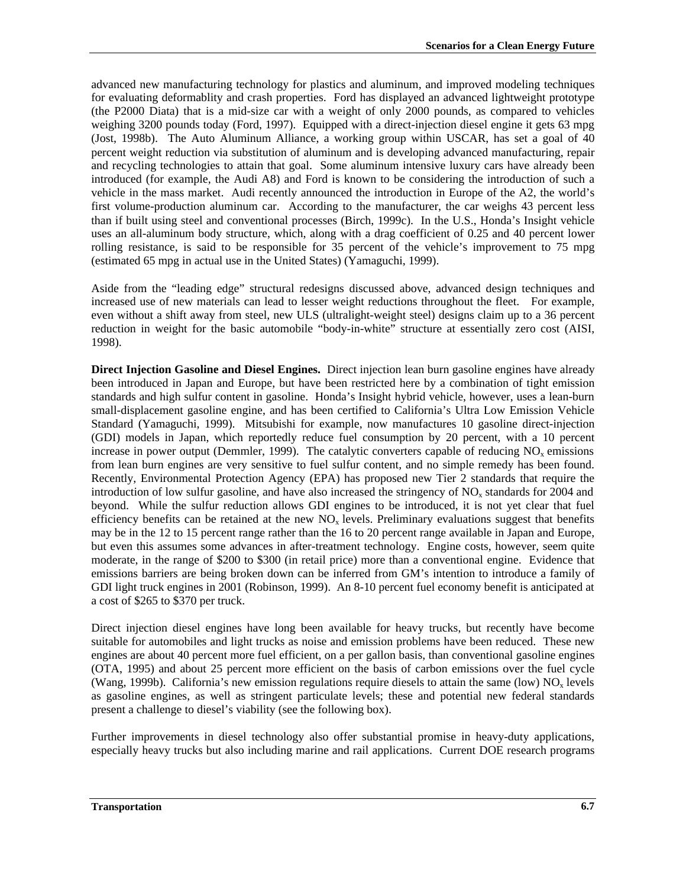advanced new manufacturing technology for plastics and aluminum, and improved modeling techniques for evaluating deformablity and crash properties. Ford has displayed an advanced lightweight prototype (the P2000 Diata) that is a mid-size car with a weight of only 2000 pounds, as compared to vehicles weighing 3200 pounds today (Ford, 1997). Equipped with a direct-injection diesel engine it gets 63 mpg (Jost, 1998b). The Auto Aluminum Alliance, a working group within USCAR, has set a goal of 40 percent weight reduction via substitution of aluminum and is developing advanced manufacturing, repair and recycling technologies to attain that goal. Some aluminum intensive luxury cars have already been introduced (for example, the Audi A8) and Ford is known to be considering the introduction of such a vehicle in the mass market. Audi recently announced the introduction in Europe of the A2, the world's first volume-production aluminum car. According to the manufacturer, the car weighs 43 percent less than if built using steel and conventional processes (Birch, 1999c). In the U.S., Honda's Insight vehicle uses an all-aluminum body structure, which, along with a drag coefficient of 0.25 and 40 percent lower rolling resistance, is said to be responsible for 35 percent of the vehicle's improvement to 75 mpg (estimated 65 mpg in actual use in the United States) (Yamaguchi, 1999).

Aside from the "leading edge" structural redesigns discussed above, advanced design techniques and increased use of new materials can lead to lesser weight reductions throughout the fleet. For example, even without a shift away from steel, new ULS (ultralight-weight steel) designs claim up to a 36 percent reduction in weight for the basic automobile "body-in-white" structure at essentially zero cost (AISI, 1998).

**Direct Injection Gasoline and Diesel Engines.** Direct injection lean burn gasoline engines have already been introduced in Japan and Europe, but have been restricted here by a combination of tight emission standards and high sulfur content in gasoline. Honda's Insight hybrid vehicle, however, uses a lean-burn small-displacement gasoline engine, and has been certified to California's Ultra Low Emission Vehicle Standard (Yamaguchi, 1999). Mitsubishi for example, now manufactures 10 gasoline direct-injection (GDI) models in Japan, which reportedly reduce fuel consumption by 20 percent, with a 10 percent increase in power output (Demmler, 1999). The catalytic converters capable of reducing  $NO<sub>x</sub>$  emissions from lean burn engines are very sensitive to fuel sulfur content, and no simple remedy has been found. Recently, Environmental Protection Agency (EPA) has proposed new Tier 2 standards that require the introduction of low sulfur gasoline, and have also increased the stringency of  $NO<sub>x</sub>$  standards for 2004 and beyond. While the sulfur reduction allows GDI engines to be introduced, it is not yet clear that fuel efficiency benefits can be retained at the new  $NO<sub>x</sub>$  levels. Preliminary evaluations suggest that benefits may be in the 12 to 15 percent range rather than the 16 to 20 percent range available in Japan and Europe, but even this assumes some advances in after-treatment technology. Engine costs, however, seem quite moderate, in the range of \$200 to \$300 (in retail price) more than a conventional engine. Evidence that emissions barriers are being broken down can be inferred from GM's intention to introduce a family of GDI light truck engines in 2001 (Robinson, 1999). An 8-10 percent fuel economy benefit is anticipated at a cost of \$265 to \$370 per truck.

Direct injection diesel engines have long been available for heavy trucks, but recently have become suitable for automobiles and light trucks as noise and emission problems have been reduced. These new engines are about 40 percent more fuel efficient, on a per gallon basis, than conventional gasoline engines (OTA, 1995) and about 25 percent more efficient on the basis of carbon emissions over the fuel cycle (Wang, 1999b). California's new emission regulations require diesels to attain the same (low)  $NO<sub>x</sub>$  levels as gasoline engines, as well as stringent particulate levels; these and potential new federal standards present a challenge to diesel's viability (see the following box).

Further improvements in diesel technology also offer substantial promise in heavy-duty applications, especially heavy trucks but also including marine and rail applications. Current DOE research programs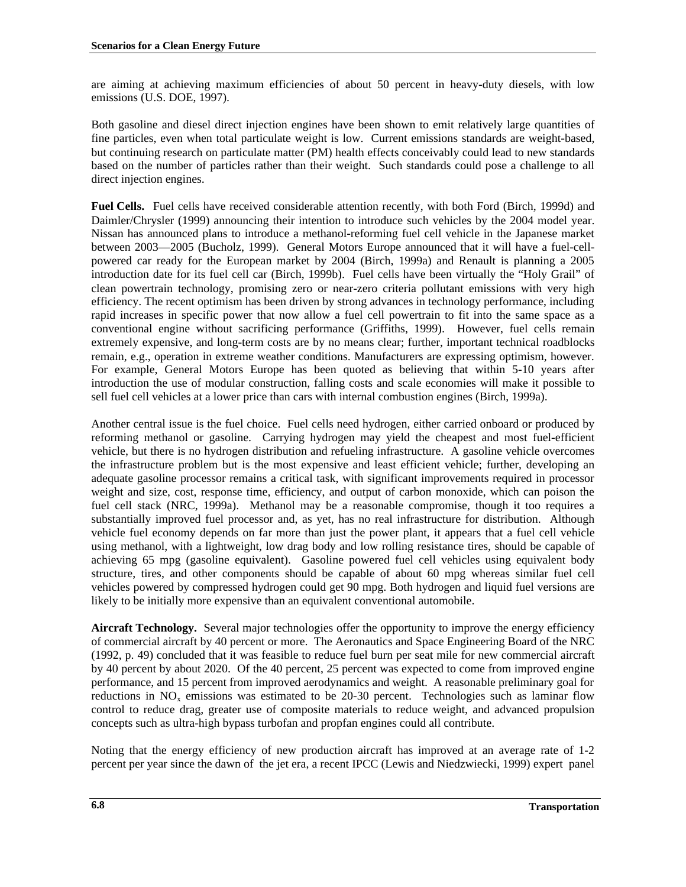are aiming at achieving maximum efficiencies of about 50 percent in heavy-duty diesels, with low emissions (U.S. DOE, 1997).

Both gasoline and diesel direct injection engines have been shown to emit relatively large quantities of fine particles, even when total particulate weight is low. Current emissions standards are weight-based, but continuing research on particulate matter (PM) health effects conceivably could lead to new standards based on the number of particles rather than their weight. Such standards could pose a challenge to all direct injection engines.

**Fuel Cells.**Fuel cells have received considerable attention recently, with both Ford (Birch, 1999d) and Daimler/Chrysler (1999) announcing their intention to introduce such vehicles by the 2004 model year. Nissan has announced plans to introduce a methanol-reforming fuel cell vehicle in the Japanese market between 2003—2005 (Bucholz, 1999). General Motors Europe announced that it will have a fuel-cellpowered car ready for the European market by 2004 (Birch, 1999a) and Renault is planning a 2005 introduction date for its fuel cell car (Birch, 1999b). Fuel cells have been virtually the "Holy Grail" of clean powertrain technology, promising zero or near-zero criteria pollutant emissions with very high efficiency. The recent optimism has been driven by strong advances in technology performance, including rapid increases in specific power that now allow a fuel cell powertrain to fit into the same space as a conventional engine without sacrificing performance (Griffiths, 1999). However, fuel cells remain extremely expensive, and long-term costs are by no means clear; further, important technical roadblocks remain, e.g., operation in extreme weather conditions. Manufacturers are expressing optimism, however. For example, General Motors Europe has been quoted as believing that within 5-10 years after introduction the use of modular construction, falling costs and scale economies will make it possible to sell fuel cell vehicles at a lower price than cars with internal combustion engines (Birch, 1999a).

Another central issue is the fuel choice. Fuel cells need hydrogen, either carried onboard or produced by reforming methanol or gasoline. Carrying hydrogen may yield the cheapest and most fuel-efficient vehicle, but there is no hydrogen distribution and refueling infrastructure. A gasoline vehicle overcomes the infrastructure problem but is the most expensive and least efficient vehicle; further, developing an adequate gasoline processor remains a critical task, with significant improvements required in processor weight and size, cost, response time, efficiency, and output of carbon monoxide, which can poison the fuel cell stack (NRC, 1999a). Methanol may be a reasonable compromise, though it too requires a substantially improved fuel processor and, as yet, has no real infrastructure for distribution. Although vehicle fuel economy depends on far more than just the power plant, it appears that a fuel cell vehicle using methanol, with a lightweight, low drag body and low rolling resistance tires, should be capable of achieving 65 mpg (gasoline equivalent). Gasoline powered fuel cell vehicles using equivalent body structure, tires, and other components should be capable of about 60 mpg whereas similar fuel cell vehicles powered by compressed hydrogen could get 90 mpg. Both hydrogen and liquid fuel versions are likely to be initially more expensive than an equivalent conventional automobile.

**Aircraft Technology.** Several major technologies offer the opportunity to improve the energy efficiency of commercial aircraft by 40 percent or more. The Aeronautics and Space Engineering Board of the NRC (1992, p. 49) concluded that it was feasible to reduce fuel burn per seat mile for new commercial aircraft by 40 percent by about 2020. Of the 40 percent, 25 percent was expected to come from improved engine performance, and 15 percent from improved aerodynamics and weight. A reasonable preliminary goal for reductions in  $NO<sub>x</sub>$  emissions was estimated to be 20-30 percent. Technologies such as laminar flow control to reduce drag, greater use of composite materials to reduce weight, and advanced propulsion concepts such as ultra-high bypass turbofan and propfan engines could all contribute.

Noting that the energy efficiency of new production aircraft has improved at an average rate of 1-2 percent per year since the dawn of the jet era, a recent IPCC (Lewis and Niedzwiecki, 1999) expert panel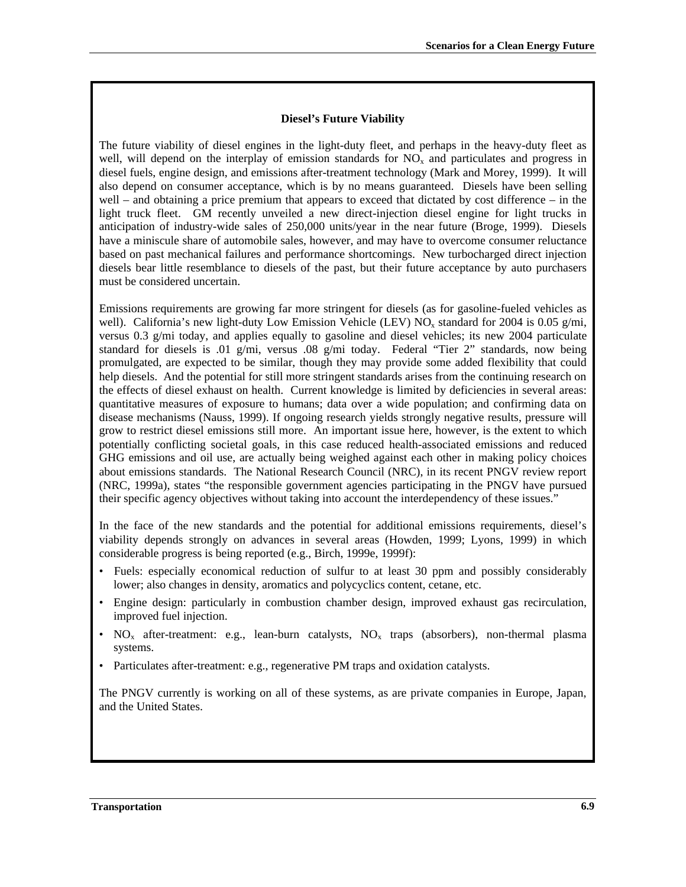### **Diesel's Future Viability**

The future viability of diesel engines in the light-duty fleet, and perhaps in the heavy-duty fleet as well, will depend on the interplay of emission standards for  $NO<sub>x</sub>$  and particulates and progress in diesel fuels, engine design, and emissions after-treatment technology (Mark and Morey, 1999). It will also depend on consumer acceptance, which is by no means guaranteed. Diesels have been selling well – and obtaining a price premium that appears to exceed that dictated by cost difference – in the light truck fleet. GM recently unveiled a new direct-injection diesel engine for light trucks in anticipation of industry-wide sales of 250,000 units/year in the near future (Broge, 1999). Diesels have a miniscule share of automobile sales, however, and may have to overcome consumer reluctance based on past mechanical failures and performance shortcomings. New turbocharged direct injection diesels bear little resemblance to diesels of the past, but their future acceptance by auto purchasers must be considered uncertain.

Emissions requirements are growing far more stringent for diesels (as for gasoline-fueled vehicles as well). California's new light-duty Low Emission Vehicle (LEV)  $NO<sub>x</sub>$  standard for 2004 is 0.05 g/mi, versus 0.3 g/mi today, and applies equally to gasoline and diesel vehicles; its new 2004 particulate standard for diesels is .01 g/mi, versus .08 g/mi today. Federal "Tier 2" standards, now being promulgated, are expected to be similar, though they may provide some added flexibility that could help diesels. And the potential for still more stringent standards arises from the continuing research on the effects of diesel exhaust on health. Current knowledge is limited by deficiencies in several areas: quantitative measures of exposure to humans; data over a wide population; and confirming data on disease mechanisms (Nauss, 1999). If ongoing research yields strongly negative results, pressure will grow to restrict diesel emissions still more. An important issue here, however, is the extent to which potentially conflicting societal goals, in this case reduced health-associated emissions and reduced GHG emissions and oil use, are actually being weighed against each other in making policy choices about emissions standards. The National Research Council (NRC), in its recent PNGV review report (NRC, 1999a), states "the responsible government agencies participating in the PNGV have pursued their specific agency objectives without taking into account the interdependency of these issues."

In the face of the new standards and the potential for additional emissions requirements, diesel's viability depends strongly on advances in several areas (Howden, 1999; Lyons, 1999) in which considerable progress is being reported (e.g., Birch, 1999e, 1999f):

- Fuels: especially economical reduction of sulfur to at least 30 ppm and possibly considerably lower; also changes in density, aromatics and polycyclics content, cetane, etc.
- Engine design: particularly in combustion chamber design, improved exhaust gas recirculation, improved fuel injection.
- $NO_x$  after-treatment: e.g., lean-burn catalysts,  $NO_x$  traps (absorbers), non-thermal plasma systems.
- Particulates after-treatment: e.g., regenerative PM traps and oxidation catalysts.

The PNGV currently is working on all of these systems, as are private companies in Europe, Japan, and the United States.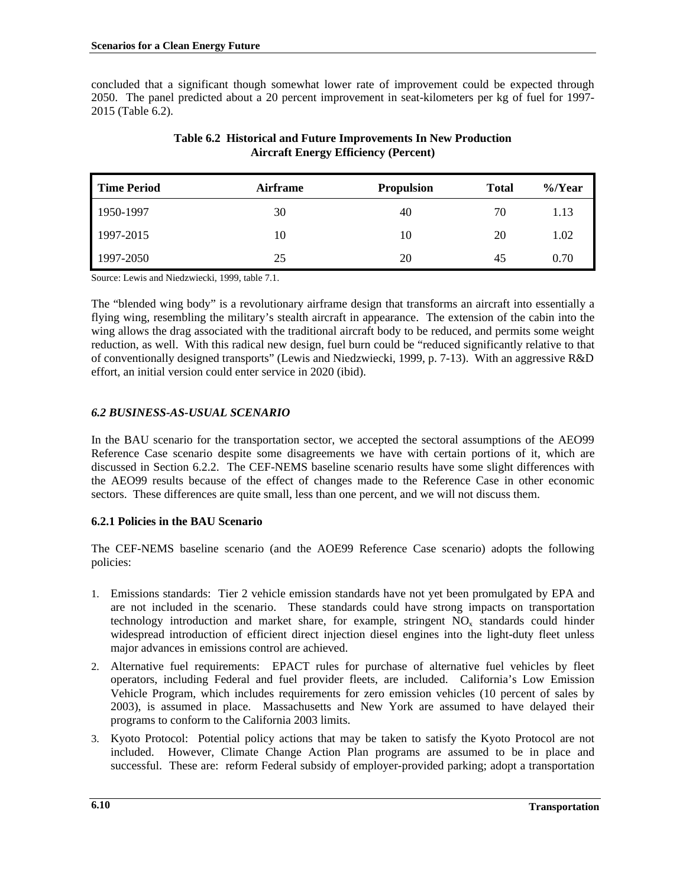concluded that a significant though somewhat lower rate of improvement could be expected through 2050. The panel predicted about a 20 percent improvement in seat-kilometers per kg of fuel for 1997- 2015 (Table 6.2).

| <b>Time Period</b> | <b>Airframe</b> | <b>Propulsion</b> | <b>Total</b> | $\%$ /Year |
|--------------------|-----------------|-------------------|--------------|------------|
| 1950-1997          | 30              | 40                | 70           | 1.13       |
| 1997-2015          | 10              | 10                | 20           | 1.02       |
| 1997-2050          | 25              | 20                | 45           | 0.70       |

## **Table 6.2 Historical and Future Improvements In New Production Aircraft Energy Efficiency (Percent)**

Source: Lewis and Niedzwiecki, 1999, table 7.1.

The "blended wing body" is a revolutionary airframe design that transforms an aircraft into essentially a flying wing, resembling the military's stealth aircraft in appearance. The extension of the cabin into the wing allows the drag associated with the traditional aircraft body to be reduced, and permits some weight reduction, as well. With this radical new design, fuel burn could be "reduced significantly relative to that of conventionally designed transports" (Lewis and Niedzwiecki, 1999, p. 7-13). With an aggressive R&D effort, an initial version could enter service in 2020 (ibid).

# *6.2 BUSINESS-AS-USUAL SCENARIO*

In the BAU scenario for the transportation sector, we accepted the sectoral assumptions of the AEO99 Reference Case scenario despite some disagreements we have with certain portions of it, which are discussed in Section 6.2.2. The CEF-NEMS baseline scenario results have some slight differences with the AEO99 results because of the effect of changes made to the Reference Case in other economic sectors. These differences are quite small, less than one percent, and we will not discuss them.

# **6.2.1 Policies in the BAU Scenario**

The CEF-NEMS baseline scenario (and the AOE99 Reference Case scenario) adopts the following policies:

- 1. Emissions standards: Tier 2 vehicle emission standards have not yet been promulgated by EPA and are not included in the scenario. These standards could have strong impacts on transportation technology introduction and market share, for example, stringent  $NO<sub>x</sub>$  standards could hinder widespread introduction of efficient direct injection diesel engines into the light-duty fleet unless major advances in emissions control are achieved.
- 2. Alternative fuel requirements: EPACT rules for purchase of alternative fuel vehicles by fleet operators, including Federal and fuel provider fleets, are included. California's Low Emission Vehicle Program, which includes requirements for zero emission vehicles (10 percent of sales by 2003), is assumed in place. Massachusetts and New York are assumed to have delayed their programs to conform to the California 2003 limits.
- 3. Kyoto Protocol: Potential policy actions that may be taken to satisfy the Kyoto Protocol are not included. However, Climate Change Action Plan programs are assumed to be in place and successful. These are: reform Federal subsidy of employer-provided parking; adopt a transportation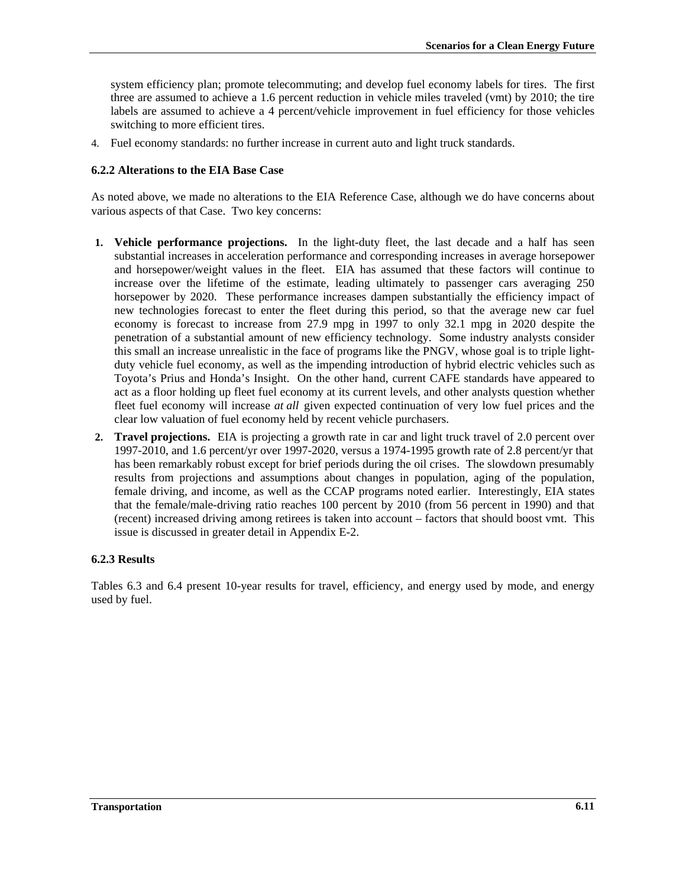system efficiency plan; promote telecommuting; and develop fuel economy labels for tires. The first three are assumed to achieve a 1.6 percent reduction in vehicle miles traveled (vmt) by 2010; the tire labels are assumed to achieve a 4 percent/vehicle improvement in fuel efficiency for those vehicles switching to more efficient tires.

4. Fuel economy standards: no further increase in current auto and light truck standards.

### **6.2.2 Alterations to the EIA Base Case**

As noted above, we made no alterations to the EIA Reference Case, although we do have concerns about various aspects of that Case. Two key concerns:

- **1. Vehicle performance projections.** In the light-duty fleet, the last decade and a half has seen substantial increases in acceleration performance and corresponding increases in average horsepower and horsepower/weight values in the fleet. EIA has assumed that these factors will continue to increase over the lifetime of the estimate, leading ultimately to passenger cars averaging 250 horsepower by 2020. These performance increases dampen substantially the efficiency impact of new technologies forecast to enter the fleet during this period, so that the average new car fuel economy is forecast to increase from 27.9 mpg in 1997 to only 32.1 mpg in 2020 despite the penetration of a substantial amount of new efficiency technology. Some industry analysts consider this small an increase unrealistic in the face of programs like the PNGV, whose goal is to triple lightduty vehicle fuel economy, as well as the impending introduction of hybrid electric vehicles such as Toyota's Prius and Honda's Insight. On the other hand, current CAFE standards have appeared to act as a floor holding up fleet fuel economy at its current levels, and other analysts question whether fleet fuel economy will increase *at all* given expected continuation of very low fuel prices and the clear low valuation of fuel economy held by recent vehicle purchasers.
- **2. Travel projections.** EIA is projecting a growth rate in car and light truck travel of 2.0 percent over 1997-2010, and 1.6 percent/yr over 1997-2020, versus a 1974-1995 growth rate of 2.8 percent/yr that has been remarkably robust except for brief periods during the oil crises. The slowdown presumably results from projections and assumptions about changes in population, aging of the population, female driving, and income, as well as the CCAP programs noted earlier. Interestingly, EIA states that the female/male-driving ratio reaches 100 percent by 2010 (from 56 percent in 1990) and that (recent) increased driving among retirees is taken into account – factors that should boost vmt. This issue is discussed in greater detail in Appendix E-2.

#### **6.2.3 Results**

Tables 6.3 and 6.4 present 10-year results for travel, efficiency, and energy used by mode, and energy used by fuel.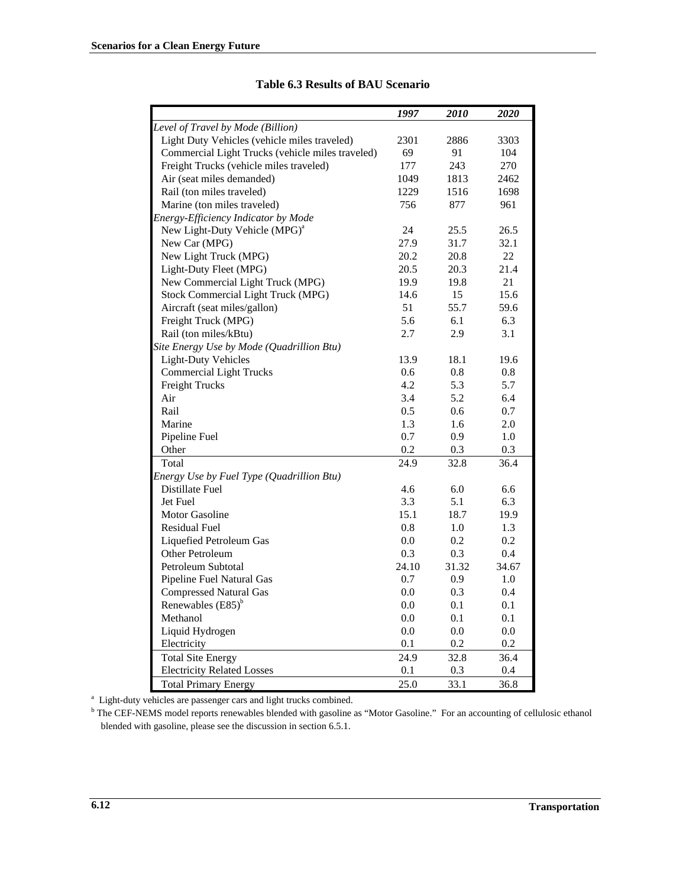|                                                  | 1997    | 2010    | 2020    |
|--------------------------------------------------|---------|---------|---------|
| Level of Travel by Mode (Billion)                |         |         |         |
| Light Duty Vehicles (vehicle miles traveled)     | 2301    | 2886    | 3303    |
| Commercial Light Trucks (vehicle miles traveled) | 69      | 91      | 104     |
| Freight Trucks (vehicle miles traveled)          | 177     | 243     | 270     |
| Air (seat miles demanded)                        | 1049    | 1813    | 2462    |
|                                                  |         | 1516    | 1698    |
| Rail (ton miles traveled)                        | 1229    |         |         |
| Marine (ton miles traveled)                      | 756     | 877     | 961     |
| Energy-Efficiency Indicator by Mode              |         |         |         |
| New Light-Duty Vehicle (MPG) <sup>a</sup>        | 24      | 25.5    | 26.5    |
| New Car (MPG)                                    | 27.9    | 31.7    | 32.1    |
| New Light Truck (MPG)                            | 20.2    | 20.8    | 22      |
| Light-Duty Fleet (MPG)                           | 20.5    | 20.3    | 21.4    |
| New Commercial Light Truck (MPG)                 | 19.9    | 19.8    | 21      |
| Stock Commercial Light Truck (MPG)               | 14.6    | 15      | 15.6    |
| Aircraft (seat miles/gallon)                     | 51      | 55.7    | 59.6    |
| Freight Truck (MPG)                              | 5.6     | 6.1     | 6.3     |
| Rail (ton miles/kBtu)                            | 2.7     | 2.9     | 3.1     |
| Site Energy Use by Mode (Quadrillion Btu)        |         |         |         |
| <b>Light-Duty Vehicles</b>                       | 13.9    | 18.1    | 19.6    |
| <b>Commercial Light Trucks</b>                   | 0.6     | 0.8     | 0.8     |
| <b>Freight Trucks</b>                            | 4.2     | 5.3     | 5.7     |
| Air                                              | 3.4     | 5.2     | 6.4     |
| Rail                                             | 0.5     | 0.6     | 0.7     |
| Marine                                           | 1.3     | 1.6     | 2.0     |
| Pipeline Fuel                                    | 0.7     | 0.9     | 1.0     |
| Other                                            | 0.2     | 0.3     | 0.3     |
| Total                                            | 24.9    | 32.8    | 36.4    |
| Energy Use by Fuel Type (Quadrillion Btu)        |         |         |         |
| Distillate Fuel                                  | 4.6     | 6.0     | 6.6     |
| Jet Fuel                                         | 3.3     | 5.1     | 6.3     |
| Motor Gasoline                                   | 15.1    | 18.7    | 19.9    |
| <b>Residual Fuel</b>                             | 0.8     | 1.0     | 1.3     |
| Liquefied Petroleum Gas                          | 0.0     | 0.2     | 0.2     |
| Other Petroleum                                  | 0.3     | 0.3     | 0.4     |
| Petroleum Subtotal                               | 24.10   | 31.32   | 34.67   |
| Pipeline Fuel Natural Gas                        | 0.7     | 0.9     | 1.0     |
| <b>Compressed Natural Gas</b>                    | 0.0     | 0.3     | 0.4     |
| Renewables $(E85)^{b}$                           | 0.0     | 0.1     | 0.1     |
| Methanol                                         | 0.0     | 0.1     | 0.1     |
| Liquid Hydrogen                                  | $0.0\,$ | $0.0\,$ | $0.0\,$ |
| Electricity                                      | 0.1     | 0.2     | 0.2     |
| <b>Total Site Energy</b>                         | 24.9    | 32.8    | 36.4    |
| <b>Electricity Related Losses</b>                | 0.1     | 0.3     | 0.4     |
| <b>Total Primary Energy</b>                      | 25.0    | 33.1    | 36.8    |

### **Table 6.3 Results of BAU Scenario**

<sup>a</sup> Light-duty vehicles are passenger cars and light trucks combined.

<sup>b</sup> The CEF-NEMS model reports renewables blended with gasoline as "Motor Gasoline." For an accounting of cellulosic ethanol blended with gasoline, please see the discussion in section 6.5.1.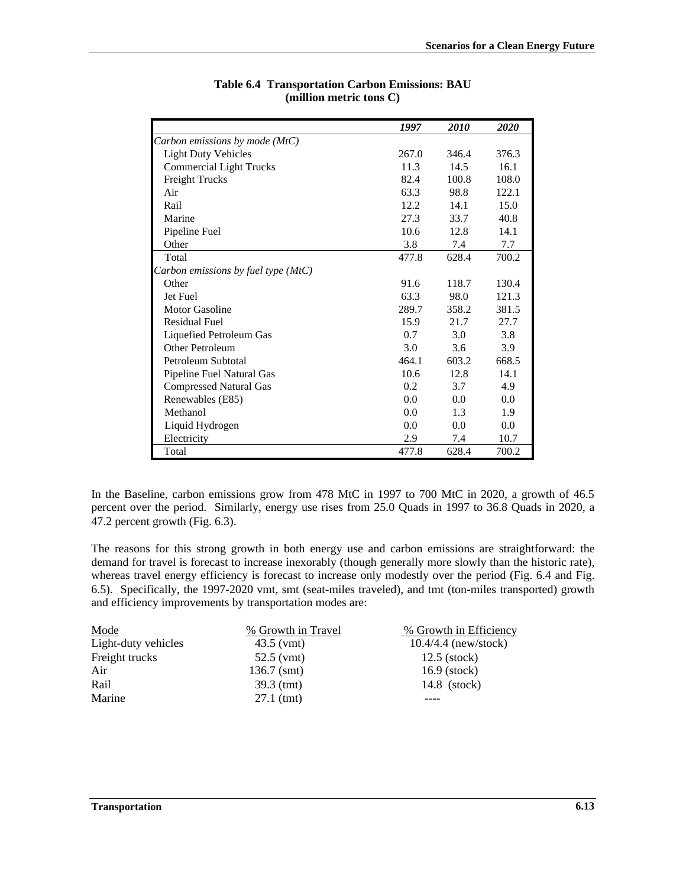|                                       | 1997  | <i>2010</i> | 2020  |
|---------------------------------------|-------|-------------|-------|
| Carbon emissions by mode (MtC)        |       |             |       |
| <b>Light Duty Vehicles</b>            | 267.0 | 346.4       | 376.3 |
| <b>Commercial Light Trucks</b>        | 11.3  | 14.5        | 16.1  |
| <b>Freight Trucks</b>                 | 82.4  | 100.8       | 108.0 |
| Air                                   | 63.3  | 98.8        | 122.1 |
| Rail                                  | 12.2  | 14.1        | 15.0  |
| Marine                                | 27.3  | 33.7        | 40.8  |
| Pipeline Fuel                         | 10.6  | 12.8        | 14.1  |
| Other                                 | 3.8   | 7.4         | 7.7   |
| Total                                 | 477.8 | 628.4       | 700.2 |
| Carbon emissions by fuel type $(MtC)$ |       |             |       |
| Other                                 | 91.6  | 118.7       | 130.4 |
| Jet Fuel                              | 63.3  | 98.0        | 121.3 |
| Motor Gasoline                        | 289.7 | 358.2       | 381.5 |
| <b>Residual Fuel</b>                  | 15.9  | 21.7        | 27.7  |
| Liquefied Petroleum Gas               | 0.7   | 3.0         | 3.8   |
| Other Petroleum                       | 3.0   | 3.6         | 3.9   |
| Petroleum Subtotal                    | 464.1 | 603.2       | 668.5 |
| Pipeline Fuel Natural Gas             | 10.6  | 12.8        | 14.1  |
| <b>Compressed Natural Gas</b>         | 0.2   | 3.7         | 4.9   |
| Renewables (E85)                      | 0.0   | 0.0         | 0.0   |
| Methanol                              | 0.0   | 1.3         | 1.9   |
| Liquid Hydrogen                       | 0.0   | 0.0         | 0.0   |
| Electricity                           | 2.9   | 7.4         | 10.7  |
| Total                                 | 477.8 | 628.4       | 700.2 |

## **Table 6.4 Transportation Carbon Emissions: BAU (million metric tons C)**

In the Baseline, carbon emissions grow from 478 MtC in 1997 to 700 MtC in 2020, a growth of 46.5 percent over the period. Similarly, energy use rises from 25.0 Quads in 1997 to 36.8 Quads in 2020, a 47.2 percent growth (Fig. 6.3).

The reasons for this strong growth in both energy use and carbon emissions are straightforward: the demand for travel is forecast to increase inexorably (though generally more slowly than the historic rate), whereas travel energy efficiency is forecast to increase only modestly over the period (Fig. 6.4 and Fig. 6.5). Specifically, the 1997-2020 vmt, smt (seat-miles traveled), and tmt (ton-miles transported) growth and efficiency improvements by transportation modes are:

| Mode                | % Growth in Travel | % Growth in Efficiency |
|---------------------|--------------------|------------------------|
| Light-duty vehicles | $43.5$ (vmt)       | $10.4/4.4$ (new/stock) |
| Freight trucks      | $52.5$ (vmt)       | $12.5$ (stock)         |
| Air                 | $136.7$ (smt)      | $16.9$ (stock)         |
| Rail                | $39.3$ (tmt)       | 14.8 (stock)           |
| Marine              | $27.1$ (tmt)       |                        |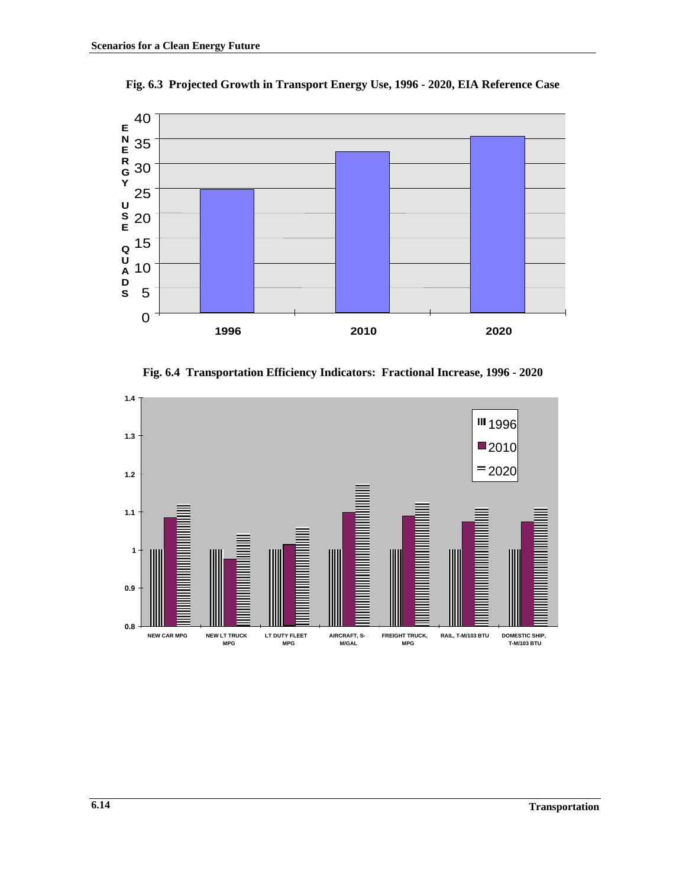

**Fig. 6.3 Projected Growth in Transport Energy Use, 1996 - 2020, EIA Reference Case**

**Fig. 6.4 Transportation Efficiency Indicators: Fractional Increase, 1996 - 2020**

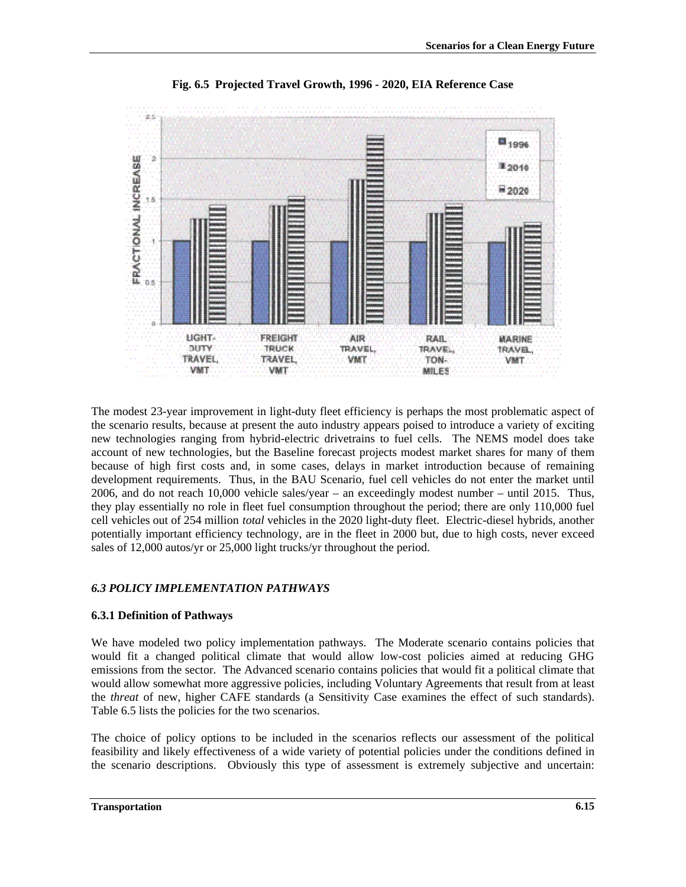

**Fig. 6.5 Projected Travel Growth, 1996 - 2020, EIA Reference Case**

The modest 23-year improvement in light-duty fleet efficiency is perhaps the most problematic aspect of the scenario results, because at present the auto industry appears poised to introduce a variety of exciting new technologies ranging from hybrid-electric drivetrains to fuel cells. The NEMS model does take account of new technologies, but the Baseline forecast projects modest market shares for many of them because of high first costs and, in some cases, delays in market introduction because of remaining development requirements. Thus, in the BAU Scenario, fuel cell vehicles do not enter the market until 2006, and do not reach 10,000 vehicle sales/year – an exceedingly modest number – until 2015. Thus, they play essentially no role in fleet fuel consumption throughout the period; there are only 110,000 fuel cell vehicles out of 254 million *total* vehicles in the 2020 light-duty fleet. Electric-diesel hybrids, another potentially important efficiency technology, are in the fleet in 2000 but, due to high costs, never exceed sales of 12,000 autos/yr or 25,000 light trucks/yr throughout the period.

# *6.3 POLICY IMPLEMENTATION PATHWAYS*

## **6.3.1 Definition of Pathways**

We have modeled two policy implementation pathways. The Moderate scenario contains policies that would fit a changed political climate that would allow low-cost policies aimed at reducing GHG emissions from the sector. The Advanced scenario contains policies that would fit a political climate that would allow somewhat more aggressive policies, including Voluntary Agreements that result from at least the *threat* of new, higher CAFE standards (a Sensitivity Case examines the effect of such standards). Table 6.5 lists the policies for the two scenarios.

The choice of policy options to be included in the scenarios reflects our assessment of the political feasibility and likely effectiveness of a wide variety of potential policies under the conditions defined in the scenario descriptions. Obviously this type of assessment is extremely subjective and uncertain: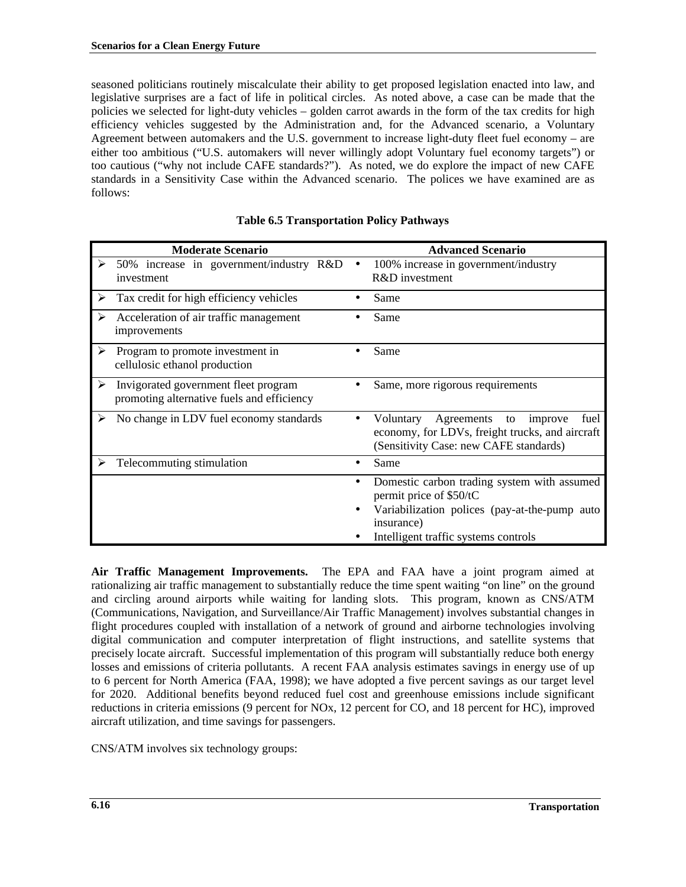seasoned politicians routinely miscalculate their ability to get proposed legislation enacted into law, and legislative surprises are a fact of life in political circles. As noted above, a case can be made that the policies we selected for light-duty vehicles – golden carrot awards in the form of the tax credits for high efficiency vehicles suggested by the Administration and, for the Advanced scenario, a Voluntary Agreement between automakers and the U.S. government to increase light-duty fleet fuel economy – are either too ambitious ("U.S. automakers will never willingly adopt Voluntary fuel economy targets") or too cautious ("why not include CAFE standards?"). As noted, we do explore the impact of new CAFE standards in a Sensitivity Case within the Advanced scenario. The polices we have examined are as follows:

| <b>Moderate Scenario</b>                                                                | <b>Advanced Scenario</b>                                                                                                                                                                   |
|-----------------------------------------------------------------------------------------|--------------------------------------------------------------------------------------------------------------------------------------------------------------------------------------------|
| 50% increase in government/industry R&D<br>⋗<br>investment                              | 100% increase in government/industry<br>R&D investment                                                                                                                                     |
| ➤<br>Tax credit for high efficiency vehicles                                            | Same                                                                                                                                                                                       |
| ⋗<br>Acceleration of air traffic management<br>improvements                             | Same                                                                                                                                                                                       |
| Program to promote investment in<br>➤<br>cellulosic ethanol production                  | Same<br>$\bullet$                                                                                                                                                                          |
| Invigorated government fleet program<br>➤<br>promoting alternative fuels and efficiency | Same, more rigorous requirements                                                                                                                                                           |
| No change in LDV fuel economy standards<br>⋗                                            | Agreements<br>Voluntary<br>improve<br>fuel<br>to<br>$\bullet$<br>economy, for LDVs, freight trucks, and aircraft<br>(Sensitivity Case: new CAFE standards)                                 |
| Telecommuting stimulation                                                               | Same<br>$\bullet$                                                                                                                                                                          |
|                                                                                         | Domestic carbon trading system with assumed<br>$\bullet$<br>permit price of \$50/tC<br>Variabilization polices (pay-at-the-pump auto<br>insurance)<br>Intelligent traffic systems controls |

## **Table 6.5 Transportation Policy Pathways**

**Air Traffic Management Improvements.**The EPA and FAA have a joint program aimed at rationalizing air traffic management to substantially reduce the time spent waiting "on line" on the ground and circling around airports while waiting for landing slots. This program, known as CNS/ATM (Communications, Navigation, and Surveillance/Air Traffic Management) involves substantial changes in flight procedures coupled with installation of a network of ground and airborne technologies involving digital communication and computer interpretation of flight instructions, and satellite systems that precisely locate aircraft. Successful implementation of this program will substantially reduce both energy losses and emissions of criteria pollutants. A recent FAA analysis estimates savings in energy use of up to 6 percent for North America (FAA, 1998); we have adopted a five percent savings as our target level for 2020. Additional benefits beyond reduced fuel cost and greenhouse emissions include significant reductions in criteria emissions (9 percent for NOx, 12 percent for CO, and 18 percent for HC), improved aircraft utilization, and time savings for passengers.

CNS/ATM involves six technology groups: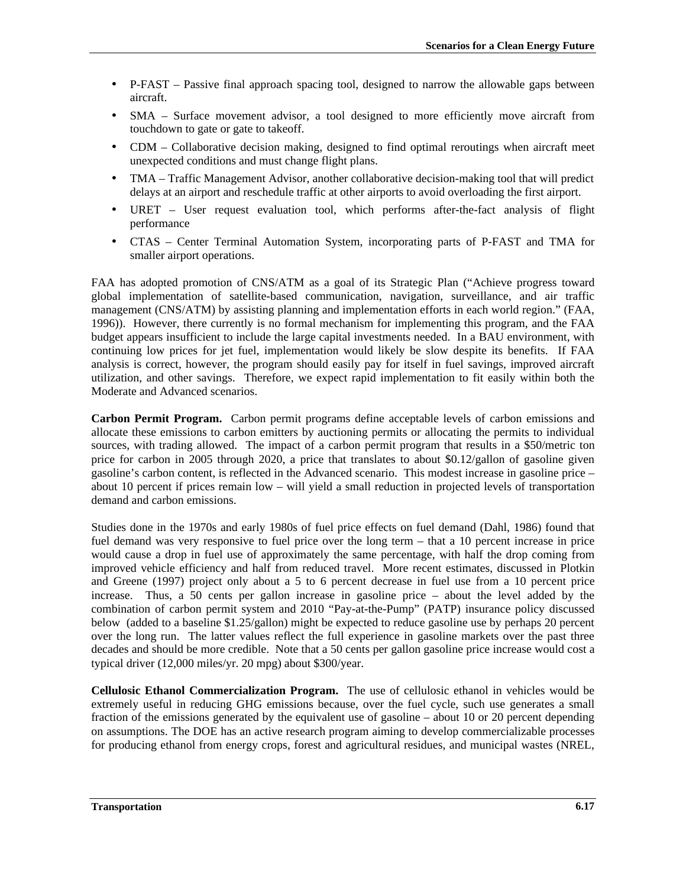- P-FAST Passive final approach spacing tool, designed to narrow the allowable gaps between aircraft.
- SMA Surface movement advisor, a tool designed to more efficiently move aircraft from touchdown to gate or gate to takeoff.
- CDM Collaborative decision making, designed to find optimal reroutings when aircraft meet unexpected conditions and must change flight plans.
- TMA Traffic Management Advisor, another collaborative decision-making tool that will predict delays at an airport and reschedule traffic at other airports to avoid overloading the first airport.
- URET User request evaluation tool, which performs after-the-fact analysis of flight performance
- CTAS Center Terminal Automation System, incorporating parts of P-FAST and TMA for smaller airport operations.

FAA has adopted promotion of CNS/ATM as a goal of its Strategic Plan ("Achieve progress toward global implementation of satellite-based communication, navigation, surveillance, and air traffic management (CNS/ATM) by assisting planning and implementation efforts in each world region." (FAA, 1996)). However, there currently is no formal mechanism for implementing this program, and the FAA budget appears insufficient to include the large capital investments needed. In a BAU environment, with continuing low prices for jet fuel, implementation would likely be slow despite its benefits. If FAA analysis is correct, however, the program should easily pay for itself in fuel savings, improved aircraft utilization, and other savings. Therefore, we expect rapid implementation to fit easily within both the Moderate and Advanced scenarios.

**Carbon Permit Program.**Carbon permit programs define acceptable levels of carbon emissions and allocate these emissions to carbon emitters by auctioning permits or allocating the permits to individual sources, with trading allowed. The impact of a carbon permit program that results in a \$50/metric ton price for carbon in 2005 through 2020, a price that translates to about \$0.12/gallon of gasoline given gasoline's carbon content, is reflected in the Advanced scenario. This modest increase in gasoline price – about 10 percent if prices remain low – will yield a small reduction in projected levels of transportation demand and carbon emissions.

Studies done in the 1970s and early 1980s of fuel price effects on fuel demand (Dahl, 1986) found that fuel demand was very responsive to fuel price over the long term – that a 10 percent increase in price would cause a drop in fuel use of approximately the same percentage, with half the drop coming from improved vehicle efficiency and half from reduced travel. More recent estimates, discussed in Plotkin and Greene (1997) project only about a 5 to 6 percent decrease in fuel use from a 10 percent price increase. Thus, a 50 cents per gallon increase in gasoline price – about the level added by the combination of carbon permit system and 2010 "Pay-at-the-Pump" (PATP) insurance policy discussed below (added to a baseline \$1.25/gallon) might be expected to reduce gasoline use by perhaps 20 percent over the long run. The latter values reflect the full experience in gasoline markets over the past three decades and should be more credible. Note that a 50 cents per gallon gasoline price increase would cost a typical driver (12,000 miles/yr. 20 mpg) about \$300/year.

**Cellulosic Ethanol Commercialization Program.** The use of cellulosic ethanol in vehicles would be extremely useful in reducing GHG emissions because, over the fuel cycle, such use generates a small fraction of the emissions generated by the equivalent use of gasoline – about 10 or 20 percent depending on assumptions. The DOE has an active research program aiming to develop commercializable processes for producing ethanol from energy crops, forest and agricultural residues, and municipal wastes (NREL,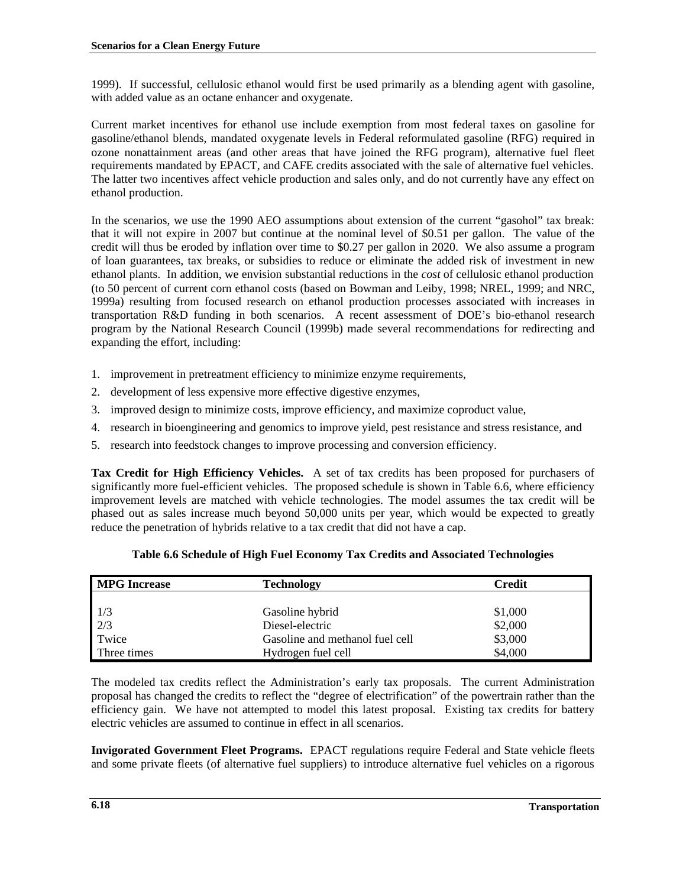1999). If successful, cellulosic ethanol would first be used primarily as a blending agent with gasoline, with added value as an octane enhancer and oxygenate.

Current market incentives for ethanol use include exemption from most federal taxes on gasoline for gasoline/ethanol blends, mandated oxygenate levels in Federal reformulated gasoline (RFG) required in ozone nonattainment areas (and other areas that have joined the RFG program), alternative fuel fleet requirements mandated by EPACT, and CAFE credits associated with the sale of alternative fuel vehicles. The latter two incentives affect vehicle production and sales only, and do not currently have any effect on ethanol production.

In the scenarios, we use the 1990 AEO assumptions about extension of the current "gasohol" tax break: that it will not expire in 2007 but continue at the nominal level of \$0.51 per gallon. The value of the credit will thus be eroded by inflation over time to \$0.27 per gallon in 2020. We also assume a program of loan guarantees, tax breaks, or subsidies to reduce or eliminate the added risk of investment in new ethanol plants. In addition, we envision substantial reductions in the *cost* of cellulosic ethanol production (to 50 percent of current corn ethanol costs (based on Bowman and Leiby, 1998; NREL, 1999; and NRC, 1999a) resulting from focused research on ethanol production processes associated with increases in transportation R&D funding in both scenarios. A recent assessment of DOE's bio-ethanol research program by the National Research Council (1999b) made several recommendations for redirecting and expanding the effort, including:

- 1. improvement in pretreatment efficiency to minimize enzyme requirements,
- 2. development of less expensive more effective digestive enzymes,
- 3. improved design to minimize costs, improve efficiency, and maximize coproduct value,
- 4. research in bioengineering and genomics to improve yield, pest resistance and stress resistance, and
- 5. research into feedstock changes to improve processing and conversion efficiency.

**Tax Credit for High Efficiency Vehicles.**A set of tax credits has been proposed for purchasers of significantly more fuel-efficient vehicles. The proposed schedule is shown in Table 6.6, where efficiency improvement levels are matched with vehicle technologies. The model assumes the tax credit will be phased out as sales increase much beyond 50,000 units per year, which would be expected to greatly reduce the penetration of hybrids relative to a tax credit that did not have a cap.

| <b>MPG</b> Increase | <b>Technology</b>               | Credit  |
|---------------------|---------------------------------|---------|
|                     |                                 |         |
|                     | Gasoline hybrid                 | \$1,000 |
| $\frac{1}{3}$       | Diesel-electric                 | \$2,000 |
| Twice               | Gasoline and methanol fuel cell | \$3,000 |
| Three times         | Hydrogen fuel cell              | \$4,000 |

# **Table 6.6 Schedule of High Fuel Economy Tax Credits and Associated Technologies**

The modeled tax credits reflect the Administration's early tax proposals. The current Administration proposal has changed the credits to reflect the "degree of electrification" of the powertrain rather than the efficiency gain. We have not attempted to model this latest proposal. Existing tax credits for battery electric vehicles are assumed to continue in effect in all scenarios.

**Invigorated Government Fleet Programs.**EPACT regulations require Federal and State vehicle fleets and some private fleets (of alternative fuel suppliers) to introduce alternative fuel vehicles on a rigorous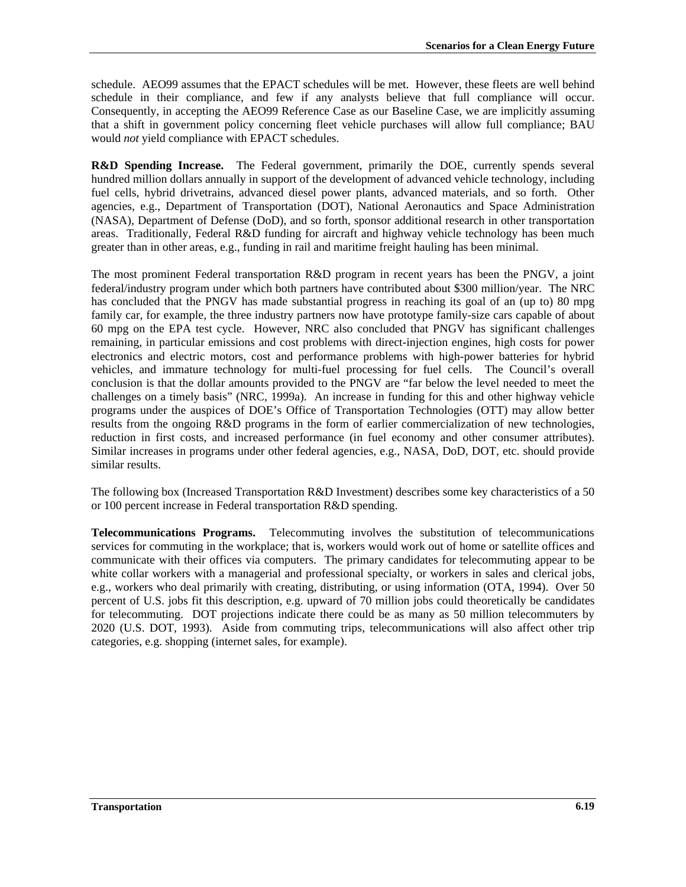schedule. AEO99 assumes that the EPACT schedules will be met. However, these fleets are well behind schedule in their compliance, and few if any analysts believe that full compliance will occur. Consequently, in accepting the AEO99 Reference Case as our Baseline Case, we are implicitly assuming that a shift in government policy concerning fleet vehicle purchases will allow full compliance; BAU would *not* yield compliance with EPACT schedules.

**R&D Spending Increase.** The Federal government, primarily the DOE, currently spends several hundred million dollars annually in support of the development of advanced vehicle technology, including fuel cells, hybrid drivetrains, advanced diesel power plants, advanced materials, and so forth. Other agencies, e.g., Department of Transportation (DOT), National Aeronautics and Space Administration (NASA), Department of Defense (DoD), and so forth, sponsor additional research in other transportation areas. Traditionally, Federal R&D funding for aircraft and highway vehicle technology has been much greater than in other areas, e.g., funding in rail and maritime freight hauling has been minimal.

The most prominent Federal transportation R&D program in recent years has been the PNGV, a joint federal/industry program under which both partners have contributed about \$300 million/year. The NRC has concluded that the PNGV has made substantial progress in reaching its goal of an (up to) 80 mpg family car, for example, the three industry partners now have prototype family-size cars capable of about 60 mpg on the EPA test cycle. However, NRC also concluded that PNGV has significant challenges remaining, in particular emissions and cost problems with direct-injection engines, high costs for power electronics and electric motors, cost and performance problems with high-power batteries for hybrid vehicles, and immature technology for multi-fuel processing for fuel cells. The Council's overall conclusion is that the dollar amounts provided to the PNGV are "far below the level needed to meet the challenges on a timely basis" (NRC, 1999a). An increase in funding for this and other highway vehicle programs under the auspices of DOE's Office of Transportation Technologies (OTT) may allow better results from the ongoing R&D programs in the form of earlier commercialization of new technologies, reduction in first costs, and increased performance (in fuel economy and other consumer attributes). Similar increases in programs under other federal agencies, e.g., NASA, DoD, DOT, etc. should provide similar results.

The following box (Increased Transportation R&D Investment) describes some key characteristics of a 50 or 100 percent increase in Federal transportation R&D spending.

**Telecommunications Programs.**Telecommuting involves the substitution of telecommunications services for commuting in the workplace; that is, workers would work out of home or satellite offices and communicate with their offices via computers. The primary candidates for telecommuting appear to be white collar workers with a managerial and professional specialty, or workers in sales and clerical jobs, e.g., workers who deal primarily with creating, distributing, or using information (OTA, 1994). Over 50 percent of U.S. jobs fit this description, e.g. upward of 70 million jobs could theoretically be candidates for telecommuting. DOT projections indicate there could be as many as 50 million telecommuters by 2020 (U.S. DOT, 1993). Aside from commuting trips, telecommunications will also affect other trip categories, e.g. shopping (internet sales, for example).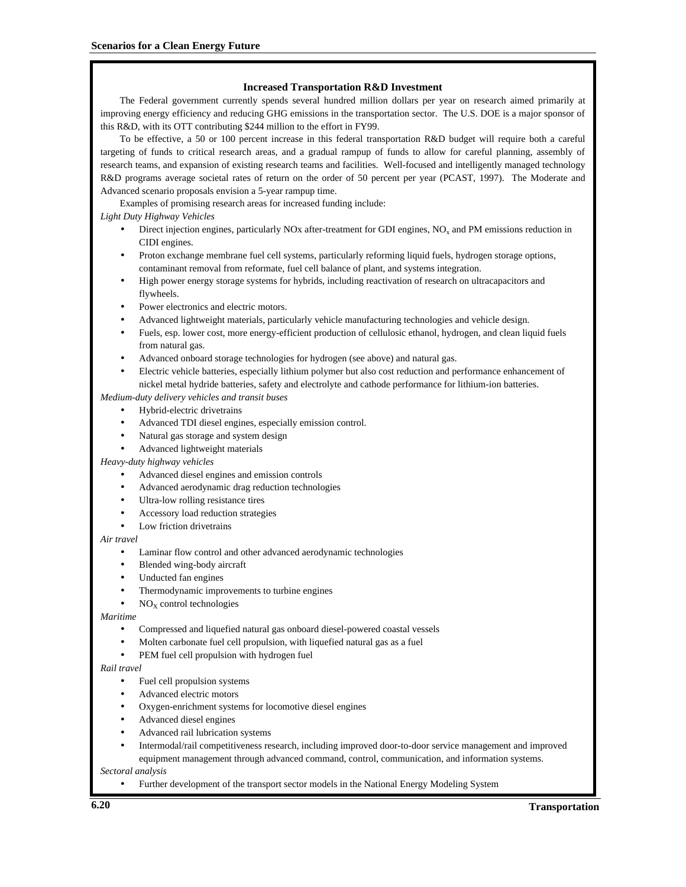#### **Increased Transportation R&D Investment**

The Federal government currently spends several hundred million dollars per year on research aimed primarily at improving energy efficiency and reducing GHG emissions in the transportation sector. The U.S. DOE is a major sponsor of this R&D, with its OTT contributing \$244 million to the effort in FY99.

To be effective, a 50 or 100 percent increase in this federal transportation R&D budget will require both a careful targeting of funds to critical research areas, and a gradual rampup of funds to allow for careful planning, assembly of research teams, and expansion of existing research teams and facilities. Well-focused and intelligently managed technology R&D programs average societal rates of return on the order of 50 percent per year (PCAST, 1997). The Moderate and Advanced scenario proposals envision a 5-year rampup time.

Examples of promising research areas for increased funding include:

#### *Light Duty Highway Vehicles*

- Direct injection engines, particularly NOx after-treatment for GDI engines,  $NO<sub>x</sub>$  and PM emissions reduction in CIDI engines.
- Proton exchange membrane fuel cell systems, particularly reforming liquid fuels, hydrogen storage options, contaminant removal from reformate, fuel cell balance of plant, and systems integration.
- High power energy storage systems for hybrids, including reactivation of research on ultracapacitors and flywheels.
- Power electronics and electric motors.
- Advanced lightweight materials, particularly vehicle manufacturing technologies and vehicle design.
- Fuels, esp. lower cost, more energy-efficient production of cellulosic ethanol, hydrogen, and clean liquid fuels from natural gas.
- Advanced onboard storage technologies for hydrogen (see above) and natural gas.
- Electric vehicle batteries, especially lithium polymer but also cost reduction and performance enhancement of nickel metal hydride batteries, safety and electrolyte and cathode performance for lithium-ion batteries.

#### *Medium-duty delivery vehicles and transit buses*

- Hybrid-electric drivetrains
- Advanced TDI diesel engines, especially emission control.
- Natural gas storage and system design
- Advanced lightweight materials

#### *Heavy-duty highway vehicles*

- Advanced diesel engines and emission controls
- Advanced aerodynamic drag reduction technologies
- Ultra-low rolling resistance tires
- Accessory load reduction strategies
- Low friction drivetrains

#### *Air travel*

- Laminar flow control and other advanced aerodynamic technologies
- Blended wing-body aircraft
- Unducted fan engines
- Thermodynamic improvements to turbine engines
- $NO<sub>X</sub>$  control technologies

#### *Maritime*

- Compressed and liquefied natural gas onboard diesel-powered coastal vessels
- Molten carbonate fuel cell propulsion, with liquefied natural gas as a fuel
- PEM fuel cell propulsion with hydrogen fuel

#### *Rail travel*

- Fuel cell propulsion systems
- Advanced electric motors
- Oxygen-enrichment systems for locomotive diesel engines
- Advanced diesel engines
- Advanced rail lubrication systems
- Intermodal/rail competitiveness research, including improved door-to-door service management and improved equipment management through advanced command, control, communication, and information systems.

#### *Sectoral analysis*

• Further development of the transport sector models in the National Energy Modeling System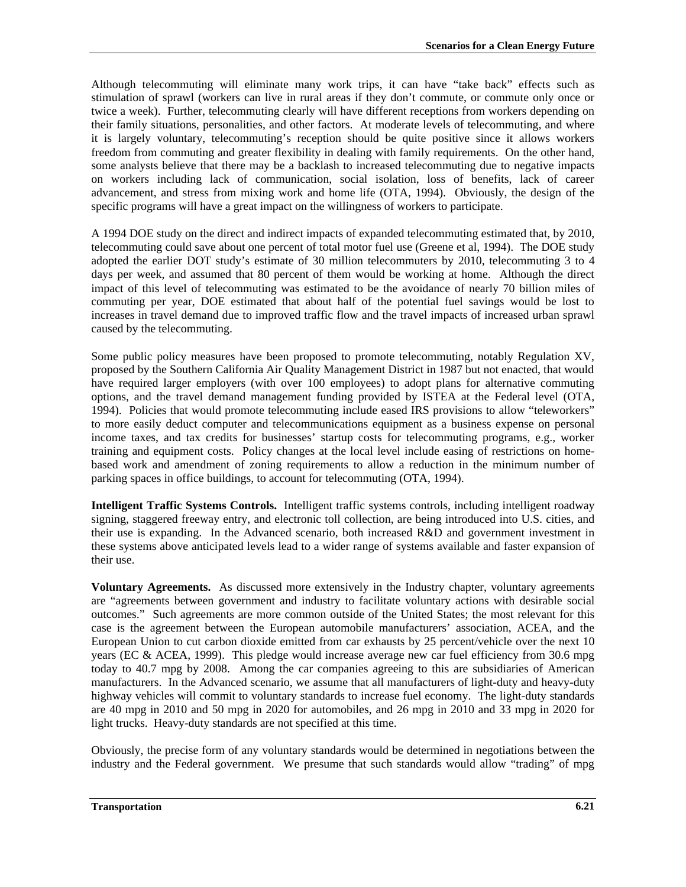Although telecommuting will eliminate many work trips, it can have "take back" effects such as stimulation of sprawl (workers can live in rural areas if they don't commute, or commute only once or twice a week). Further, telecommuting clearly will have different receptions from workers depending on their family situations, personalities, and other factors. At moderate levels of telecommuting, and where it is largely voluntary, telecommuting's reception should be quite positive since it allows workers freedom from commuting and greater flexibility in dealing with family requirements. On the other hand, some analysts believe that there may be a backlash to increased telecommuting due to negative impacts on workers including lack of communication, social isolation, loss of benefits, lack of career advancement, and stress from mixing work and home life (OTA, 1994). Obviously, the design of the specific programs will have a great impact on the willingness of workers to participate.

A 1994 DOE study on the direct and indirect impacts of expanded telecommuting estimated that, by 2010, telecommuting could save about one percent of total motor fuel use (Greene et al, 1994). The DOE study adopted the earlier DOT study's estimate of 30 million telecommuters by 2010, telecommuting 3 to 4 days per week, and assumed that 80 percent of them would be working at home. Although the direct impact of this level of telecommuting was estimated to be the avoidance of nearly 70 billion miles of commuting per year, DOE estimated that about half of the potential fuel savings would be lost to increases in travel demand due to improved traffic flow and the travel impacts of increased urban sprawl caused by the telecommuting.

Some public policy measures have been proposed to promote telecommuting, notably Regulation XV, proposed by the Southern California Air Quality Management District in 1987 but not enacted, that would have required larger employers (with over 100 employees) to adopt plans for alternative commuting options, and the travel demand management funding provided by ISTEA at the Federal level (OTA, 1994). Policies that would promote telecommuting include eased IRS provisions to allow "teleworkers" to more easily deduct computer and telecommunications equipment as a business expense on personal income taxes, and tax credits for businesses' startup costs for telecommuting programs, e.g., worker training and equipment costs. Policy changes at the local level include easing of restrictions on homebased work and amendment of zoning requirements to allow a reduction in the minimum number of parking spaces in office buildings, to account for telecommuting (OTA, 1994).

**Intelligent Traffic Systems Controls.**Intelligent traffic systems controls, including intelligent roadway signing, staggered freeway entry, and electronic toll collection, are being introduced into U.S. cities, and their use is expanding. In the Advanced scenario, both increased R&D and government investment in these systems above anticipated levels lead to a wider range of systems available and faster expansion of their use.

**Voluntary Agreements.**As discussed more extensively in the Industry chapter, voluntary agreements are "agreements between government and industry to facilitate voluntary actions with desirable social outcomes." Such agreements are more common outside of the United States; the most relevant for this case is the agreement between the European automobile manufacturers' association, ACEA, and the European Union to cut carbon dioxide emitted from car exhausts by 25 percent/vehicle over the next 10 years (EC & ACEA, 1999). This pledge would increase average new car fuel efficiency from 30.6 mpg today to 40.7 mpg by 2008. Among the car companies agreeing to this are subsidiaries of American manufacturers. In the Advanced scenario, we assume that all manufacturers of light-duty and heavy-duty highway vehicles will commit to voluntary standards to increase fuel economy. The light-duty standards are 40 mpg in 2010 and 50 mpg in 2020 for automobiles, and 26 mpg in 2010 and 33 mpg in 2020 for light trucks. Heavy-duty standards are not specified at this time.

Obviously, the precise form of any voluntary standards would be determined in negotiations between the industry and the Federal government. We presume that such standards would allow "trading" of mpg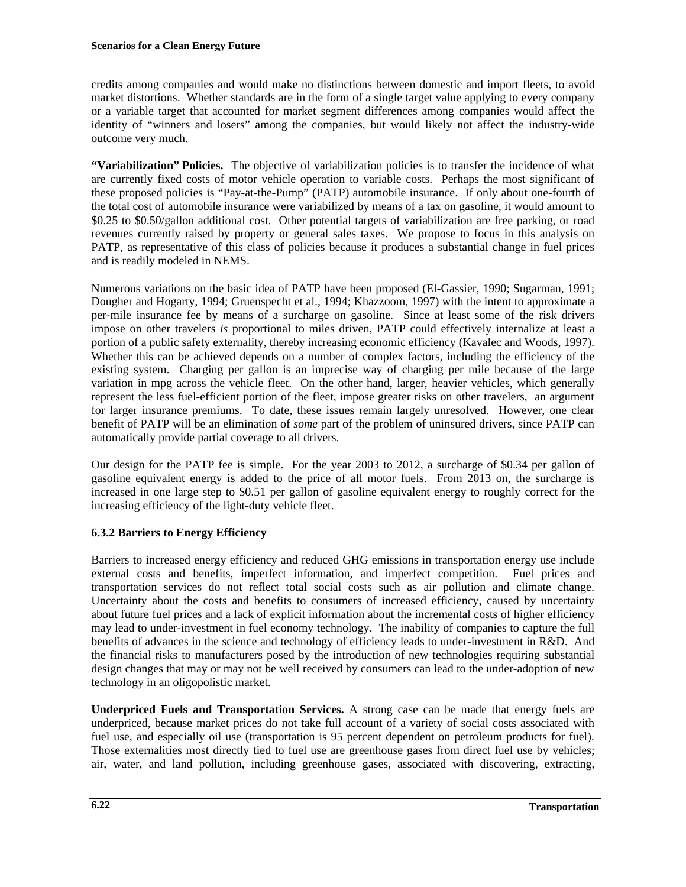credits among companies and would make no distinctions between domestic and import fleets, to avoid market distortions. Whether standards are in the form of a single target value applying to every company or a variable target that accounted for market segment differences among companies would affect the identity of "winners and losers" among the companies, but would likely not affect the industry-wide outcome very much.

**"Variabilization" Policies.**The objective of variabilization policies is to transfer the incidence of what are currently fixed costs of motor vehicle operation to variable costs. Perhaps the most significant of these proposed policies is "Pay-at-the-Pump" (PATP) automobile insurance. If only about one-fourth of the total cost of automobile insurance were variabilized by means of a tax on gasoline, it would amount to \$0.25 to \$0.50/gallon additional cost. Other potential targets of variabilization are free parking, or road revenues currently raised by property or general sales taxes. We propose to focus in this analysis on PATP, as representative of this class of policies because it produces a substantial change in fuel prices and is readily modeled in NEMS.

Numerous variations on the basic idea of PATP have been proposed (El-Gassier, 1990; Sugarman, 1991; Dougher and Hogarty, 1994; Gruenspecht et al., 1994; Khazzoom, 1997) with the intent to approximate a per-mile insurance fee by means of a surcharge on gasoline. Since at least some of the risk drivers impose on other travelers *is* proportional to miles driven, PATP could effectively internalize at least a portion of a public safety externality, thereby increasing economic efficiency (Kavalec and Woods, 1997). Whether this can be achieved depends on a number of complex factors, including the efficiency of the existing system. Charging per gallon is an imprecise way of charging per mile because of the large variation in mpg across the vehicle fleet. On the other hand, larger, heavier vehicles, which generally represent the less fuel-efficient portion of the fleet, impose greater risks on other travelers, an argument for larger insurance premiums. To date, these issues remain largely unresolved. However, one clear benefit of PATP will be an elimination of *some* part of the problem of uninsured drivers, since PATP can automatically provide partial coverage to all drivers.

Our design for the PATP fee is simple. For the year 2003 to 2012, a surcharge of \$0.34 per gallon of gasoline equivalent energy is added to the price of all motor fuels. From 2013 on, the surcharge is increased in one large step to \$0.51 per gallon of gasoline equivalent energy to roughly correct for the increasing efficiency of the light-duty vehicle fleet.

# **6.3.2 Barriers to Energy Efficiency**

Barriers to increased energy efficiency and reduced GHG emissions in transportation energy use include external costs and benefits, imperfect information, and imperfect competition. Fuel prices and transportation services do not reflect total social costs such as air pollution and climate change. Uncertainty about the costs and benefits to consumers of increased efficiency, caused by uncertainty about future fuel prices and a lack of explicit information about the incremental costs of higher efficiency may lead to under-investment in fuel economy technology. The inability of companies to capture the full benefits of advances in the science and technology of efficiency leads to under-investment in R&D. And the financial risks to manufacturers posed by the introduction of new technologies requiring substantial design changes that may or may not be well received by consumers can lead to the under-adoption of new technology in an oligopolistic market.

**Underpriced Fuels and Transportation Services.** A strong case can be made that energy fuels are underpriced, because market prices do not take full account of a variety of social costs associated with fuel use, and especially oil use (transportation is 95 percent dependent on petroleum products for fuel). Those externalities most directly tied to fuel use are greenhouse gases from direct fuel use by vehicles; air, water, and land pollution, including greenhouse gases, associated with discovering, extracting,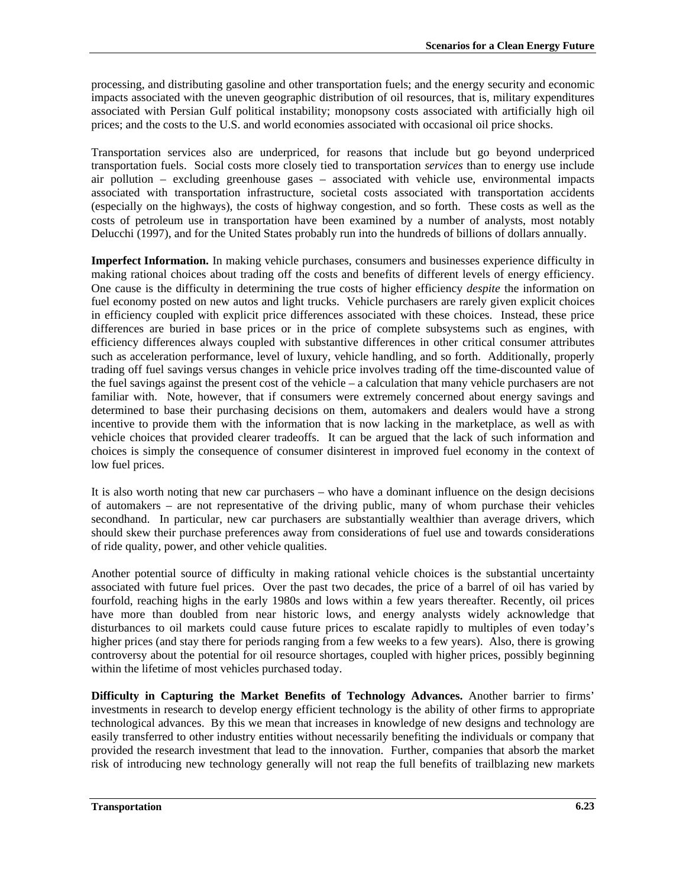processing, and distributing gasoline and other transportation fuels; and the energy security and economic impacts associated with the uneven geographic distribution of oil resources, that is, military expenditures associated with Persian Gulf political instability; monopsony costs associated with artificially high oil prices; and the costs to the U.S. and world economies associated with occasional oil price shocks.

Transportation services also are underpriced, for reasons that include but go beyond underpriced transportation fuels. Social costs more closely tied to transportation *services* than to energy use include air pollution – excluding greenhouse gases – associated with vehicle use, environmental impacts associated with transportation infrastructure, societal costs associated with transportation accidents (especially on the highways), the costs of highway congestion, and so forth. These costs as well as the costs of petroleum use in transportation have been examined by a number of analysts, most notably Delucchi (1997), and for the United States probably run into the hundreds of billions of dollars annually.

**Imperfect Information.** In making vehicle purchases, consumers and businesses experience difficulty in making rational choices about trading off the costs and benefits of different levels of energy efficiency. One cause is the difficulty in determining the true costs of higher efficiency *despite* the information on fuel economy posted on new autos and light trucks. Vehicle purchasers are rarely given explicit choices in efficiency coupled with explicit price differences associated with these choices. Instead, these price differences are buried in base prices or in the price of complete subsystems such as engines, with efficiency differences always coupled with substantive differences in other critical consumer attributes such as acceleration performance, level of luxury, vehicle handling, and so forth. Additionally, properly trading off fuel savings versus changes in vehicle price involves trading off the time-discounted value of the fuel savings against the present cost of the vehicle – a calculation that many vehicle purchasers are not familiar with. Note, however, that if consumers were extremely concerned about energy savings and determined to base their purchasing decisions on them, automakers and dealers would have a strong incentive to provide them with the information that is now lacking in the marketplace, as well as with vehicle choices that provided clearer tradeoffs. It can be argued that the lack of such information and choices is simply the consequence of consumer disinterest in improved fuel economy in the context of low fuel prices.

It is also worth noting that new car purchasers – who have a dominant influence on the design decisions of automakers – are not representative of the driving public, many of whom purchase their vehicles secondhand. In particular, new car purchasers are substantially wealthier than average drivers, which should skew their purchase preferences away from considerations of fuel use and towards considerations of ride quality, power, and other vehicle qualities.

Another potential source of difficulty in making rational vehicle choices is the substantial uncertainty associated with future fuel prices. Over the past two decades, the price of a barrel of oil has varied by fourfold, reaching highs in the early 1980s and lows within a few years thereafter. Recently, oil prices have more than doubled from near historic lows, and energy analysts widely acknowledge that disturbances to oil markets could cause future prices to escalate rapidly to multiples of even today's higher prices (and stay there for periods ranging from a few weeks to a few years). Also, there is growing controversy about the potential for oil resource shortages, coupled with higher prices, possibly beginning within the lifetime of most vehicles purchased today.

**Difficulty in Capturing the Market Benefits of Technology Advances.** Another barrier to firms' investments in research to develop energy efficient technology is the ability of other firms to appropriate technological advances. By this we mean that increases in knowledge of new designs and technology are easily transferred to other industry entities without necessarily benefiting the individuals or company that provided the research investment that lead to the innovation. Further, companies that absorb the market risk of introducing new technology generally will not reap the full benefits of trailblazing new markets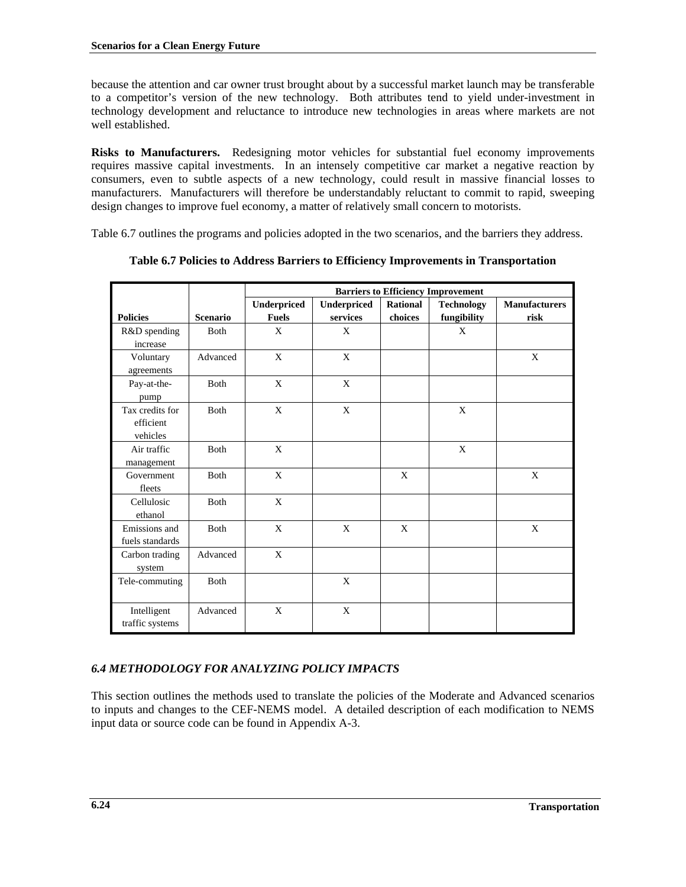because the attention and car owner trust brought about by a successful market launch may be transferable to a competitor's version of the new technology. Both attributes tend to yield under-investment in technology development and reluctance to introduce new technologies in areas where markets are not well established.

**Risks to Manufacturers.** Redesigning motor vehicles for substantial fuel economy improvements requires massive capital investments. In an intensely competitive car market a negative reaction by consumers, even to subtle aspects of a new technology, could result in massive financial losses to manufacturers. Manufacturers will therefore be understandably reluctant to commit to rapid, sweeping design changes to improve fuel economy, a matter of relatively small concern to motorists.

Table 6.7 outlines the programs and policies adopted in the two scenarios, and the barriers they address.

|                                          |                 | <b>Barriers to Efficiency Improvement</b> |                    |          |                   |                      |
|------------------------------------------|-----------------|-------------------------------------------|--------------------|----------|-------------------|----------------------|
|                                          |                 | Underpriced                               | <b>Underpriced</b> | Rational | <b>Technology</b> | <b>Manufacturers</b> |
| <b>Policies</b>                          | <b>Scenario</b> | <b>Fuels</b>                              | services           | choices  | fungibility       | risk                 |
| R&D spending<br>increase                 | <b>Both</b>     | X                                         | $\mathbf{X}$       |          | X                 |                      |
| Voluntary<br>agreements                  | Advanced        | X                                         | X                  |          |                   | X                    |
| Pay-at-the-<br>pump                      | <b>Both</b>     | X                                         | X                  |          |                   |                      |
| Tax credits for<br>efficient<br>vehicles | Both            | $\mathbf{x}$                              | X                  |          | X                 |                      |
| Air traffic<br>management                | <b>Both</b>     | X                                         |                    |          | X                 |                      |
| Government<br>fleets                     | Both            | X                                         |                    | X        |                   | X                    |
| Cellulosic<br>ethanol                    | Both            | X                                         |                    |          |                   |                      |
| Emissions and<br>fuels standards         | <b>B</b> oth    | X                                         | X                  | X        |                   | X                    |
| Carbon trading<br>system                 | Advanced        | X                                         |                    |          |                   |                      |
| Tele-commuting                           | <b>Both</b>     |                                           | X                  |          |                   |                      |
| Intelligent<br>traffic systems           | Advanced        | $\mathbf{x}$                              | X                  |          |                   |                      |

**Table 6.7 Policies to Address Barriers to Efficiency Improvements in Transportation**

# *6.4 METHODOLOGY FOR ANALYZING POLICY IMPACTS*

This section outlines the methods used to translate the policies of the Moderate and Advanced scenarios to inputs and changes to the CEF-NEMS model. A detailed description of each modification to NEMS input data or source code can be found in Appendix A-3.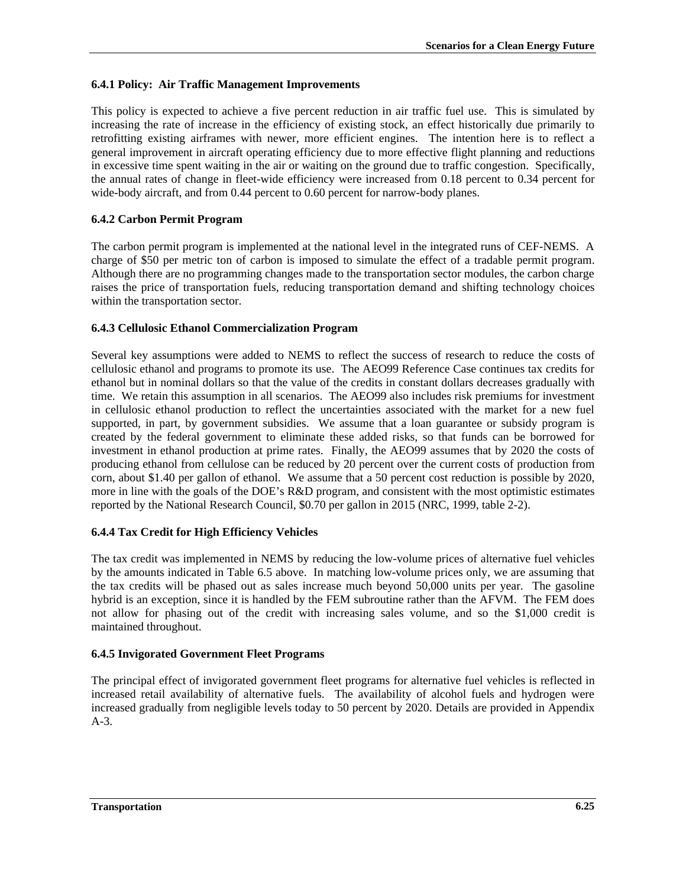# **6.4.1 Policy: Air Traffic Management Improvements**

This policy is expected to achieve a five percent reduction in air traffic fuel use. This is simulated by increasing the rate of increase in the efficiency of existing stock, an effect historically due primarily to retrofitting existing airframes with newer, more efficient engines. The intention here is to reflect a general improvement in aircraft operating efficiency due to more effective flight planning and reductions in excessive time spent waiting in the air or waiting on the ground due to traffic congestion. Specifically, the annual rates of change in fleet-wide efficiency were increased from 0.18 percent to 0.34 percent for wide-body aircraft, and from 0.44 percent to 0.60 percent for narrow-body planes.

# **6.4.2 Carbon Permit Program**

The carbon permit program is implemented at the national level in the integrated runs of CEF-NEMS. A charge of \$50 per metric ton of carbon is imposed to simulate the effect of a tradable permit program. Although there are no programming changes made to the transportation sector modules, the carbon charge raises the price of transportation fuels, reducing transportation demand and shifting technology choices within the transportation sector.

## **6.4.3 Cellulosic Ethanol Commercialization Program**

Several key assumptions were added to NEMS to reflect the success of research to reduce the costs of cellulosic ethanol and programs to promote its use. The AEO99 Reference Case continues tax credits for ethanol but in nominal dollars so that the value of the credits in constant dollars decreases gradually with time. We retain this assumption in all scenarios. The AEO99 also includes risk premiums for investment in cellulosic ethanol production to reflect the uncertainties associated with the market for a new fuel supported, in part, by government subsidies. We assume that a loan guarantee or subsidy program is created by the federal government to eliminate these added risks, so that funds can be borrowed for investment in ethanol production at prime rates. Finally, the AEO99 assumes that by 2020 the costs of producing ethanol from cellulose can be reduced by 20 percent over the current costs of production from corn, about \$1.40 per gallon of ethanol. We assume that a 50 percent cost reduction is possible by 2020, more in line with the goals of the DOE's R&D program, and consistent with the most optimistic estimates reported by the National Research Council, \$0.70 per gallon in 2015 (NRC, 1999, table 2-2).

## **6.4.4 Tax Credit for High Efficiency Vehicles**

The tax credit was implemented in NEMS by reducing the low-volume prices of alternative fuel vehicles by the amounts indicated in Table 6.5 above. In matching low-volume prices only, we are assuming that the tax credits will be phased out as sales increase much beyond 50,000 units per year. The gasoline hybrid is an exception, since it is handled by the FEM subroutine rather than the AFVM. The FEM does not allow for phasing out of the credit with increasing sales volume, and so the \$1,000 credit is maintained throughout.

## **6.4.5 Invigorated Government Fleet Programs**

The principal effect of invigorated government fleet programs for alternative fuel vehicles is reflected in increased retail availability of alternative fuels. The availability of alcohol fuels and hydrogen were increased gradually from negligible levels today to 50 percent by 2020. Details are provided in Appendix A-3.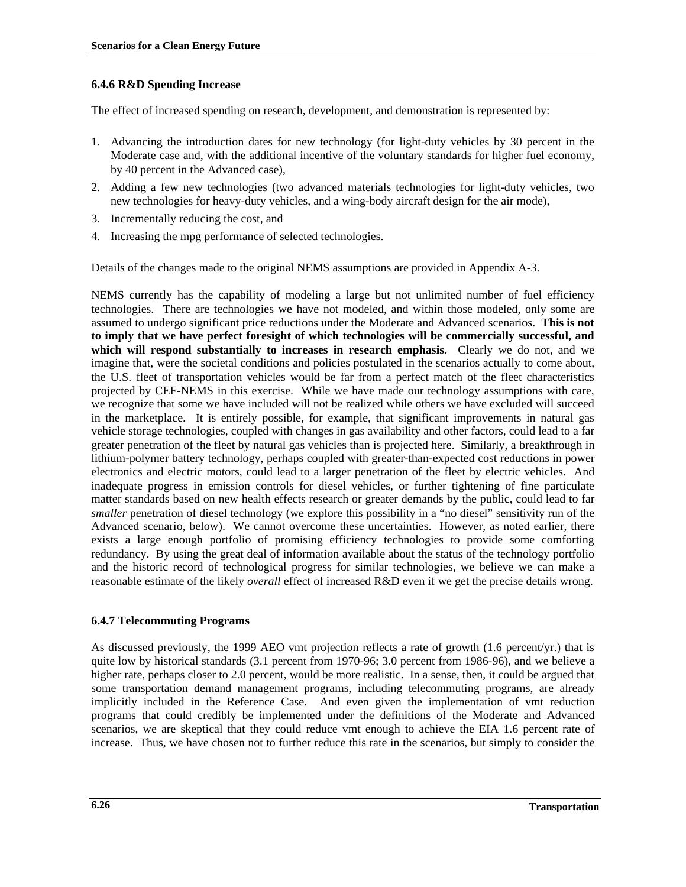## **6.4.6 R&D Spending Increase**

The effect of increased spending on research, development, and demonstration is represented by:

- 1. Advancing the introduction dates for new technology (for light-duty vehicles by 30 percent in the Moderate case and, with the additional incentive of the voluntary standards for higher fuel economy, by 40 percent in the Advanced case),
- 2. Adding a few new technologies (two advanced materials technologies for light-duty vehicles, two new technologies for heavy-duty vehicles, and a wing-body aircraft design for the air mode),
- 3. Incrementally reducing the cost, and
- 4. Increasing the mpg performance of selected technologies.

Details of the changes made to the original NEMS assumptions are provided in Appendix A-3.

NEMS currently has the capability of modeling a large but not unlimited number of fuel efficiency technologies. There are technologies we have not modeled, and within those modeled, only some are assumed to undergo significant price reductions under the Moderate and Advanced scenarios. **This is not to imply that we have perfect foresight of which technologies will be commercially successful, and** which will respond substantially to increases in research emphasis. Clearly we do not, and we imagine that, were the societal conditions and policies postulated in the scenarios actually to come about, the U.S. fleet of transportation vehicles would be far from a perfect match of the fleet characteristics projected by CEF-NEMS in this exercise. While we have made our technology assumptions with care, we recognize that some we have included will not be realized while others we have excluded will succeed in the marketplace. It is entirely possible, for example, that significant improvements in natural gas vehicle storage technologies, coupled with changes in gas availability and other factors, could lead to a far greater penetration of the fleet by natural gas vehicles than is projected here. Similarly, a breakthrough in lithium-polymer battery technology, perhaps coupled with greater-than-expected cost reductions in power electronics and electric motors, could lead to a larger penetration of the fleet by electric vehicles. And inadequate progress in emission controls for diesel vehicles, or further tightening of fine particulate matter standards based on new health effects research or greater demands by the public, could lead to far *smaller* penetration of diesel technology (we explore this possibility in a "no diesel" sensitivity run of the Advanced scenario, below). We cannot overcome these uncertainties. However, as noted earlier, there exists a large enough portfolio of promising efficiency technologies to provide some comforting redundancy. By using the great deal of information available about the status of the technology portfolio and the historic record of technological progress for similar technologies, we believe we can make a reasonable estimate of the likely *overall* effect of increased R&D even if we get the precise details wrong.

## **6.4.7 Telecommuting Programs**

As discussed previously, the 1999 AEO vmt projection reflects a rate of growth (1.6 percent/yr.) that is quite low by historical standards (3.1 percent from 1970-96; 3.0 percent from 1986-96), and we believe a higher rate, perhaps closer to 2.0 percent, would be more realistic. In a sense, then, it could be argued that some transportation demand management programs, including telecommuting programs, are already implicitly included in the Reference Case. And even given the implementation of vmt reduction programs that could credibly be implemented under the definitions of the Moderate and Advanced scenarios, we are skeptical that they could reduce vmt enough to achieve the EIA 1.6 percent rate of increase. Thus, we have chosen not to further reduce this rate in the scenarios, but simply to consider the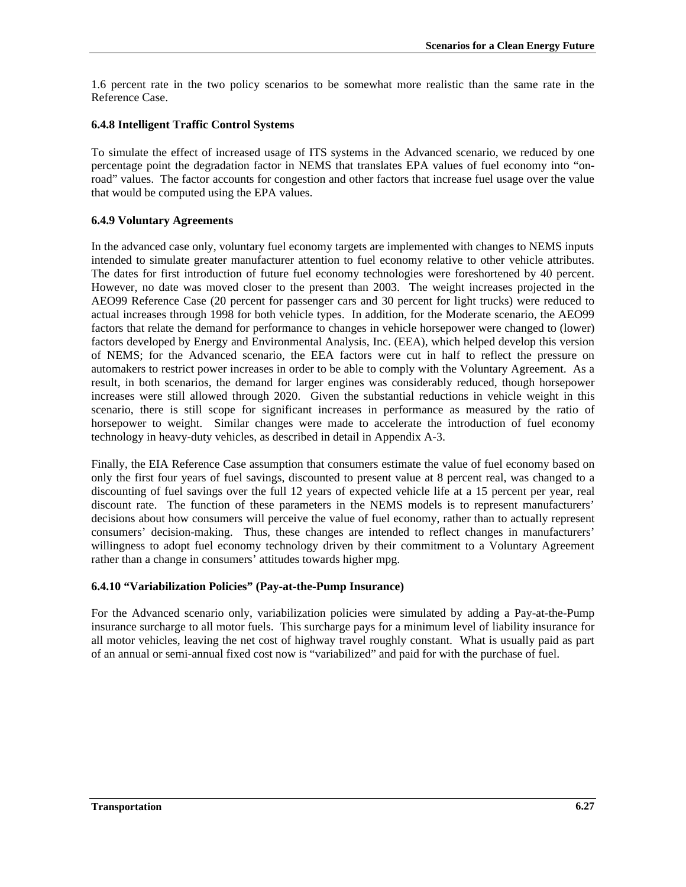1.6 percent rate in the two policy scenarios to be somewhat more realistic than the same rate in the Reference Case.

#### **6.4.8 Intelligent Traffic Control Systems**

To simulate the effect of increased usage of ITS systems in the Advanced scenario, we reduced by one percentage point the degradation factor in NEMS that translates EPA values of fuel economy into "onroad" values. The factor accounts for congestion and other factors that increase fuel usage over the value that would be computed using the EPA values.

### **6.4.9 Voluntary Agreements**

In the advanced case only, voluntary fuel economy targets are implemented with changes to NEMS inputs intended to simulate greater manufacturer attention to fuel economy relative to other vehicle attributes. The dates for first introduction of future fuel economy technologies were foreshortened by 40 percent. However, no date was moved closer to the present than 2003. The weight increases projected in the AEO99 Reference Case (20 percent for passenger cars and 30 percent for light trucks) were reduced to actual increases through 1998 for both vehicle types. In addition, for the Moderate scenario, the AEO99 factors that relate the demand for performance to changes in vehicle horsepower were changed to (lower) factors developed by Energy and Environmental Analysis, Inc. (EEA), which helped develop this version of NEMS; for the Advanced scenario, the EEA factors were cut in half to reflect the pressure on automakers to restrict power increases in order to be able to comply with the Voluntary Agreement. As a result, in both scenarios, the demand for larger engines was considerably reduced, though horsepower increases were still allowed through 2020. Given the substantial reductions in vehicle weight in this scenario, there is still scope for significant increases in performance as measured by the ratio of horsepower to weight. Similar changes were made to accelerate the introduction of fuel economy technology in heavy-duty vehicles, as described in detail in Appendix A-3.

Finally, the EIA Reference Case assumption that consumers estimate the value of fuel economy based on only the first four years of fuel savings, discounted to present value at 8 percent real, was changed to a discounting of fuel savings over the full 12 years of expected vehicle life at a 15 percent per year, real discount rate. The function of these parameters in the NEMS models is to represent manufacturers' decisions about how consumers will perceive the value of fuel economy, rather than to actually represent consumers' decision-making. Thus, these changes are intended to reflect changes in manufacturers' willingness to adopt fuel economy technology driven by their commitment to a Voluntary Agreement rather than a change in consumers' attitudes towards higher mpg.

#### **6.4.10 "Variabilization Policies" (Pay-at-the-Pump Insurance)**

For the Advanced scenario only, variabilization policies were simulated by adding a Pay-at-the-Pump insurance surcharge to all motor fuels. This surcharge pays for a minimum level of liability insurance for all motor vehicles, leaving the net cost of highway travel roughly constant. What is usually paid as part of an annual or semi-annual fixed cost now is "variabilized" and paid for with the purchase of fuel.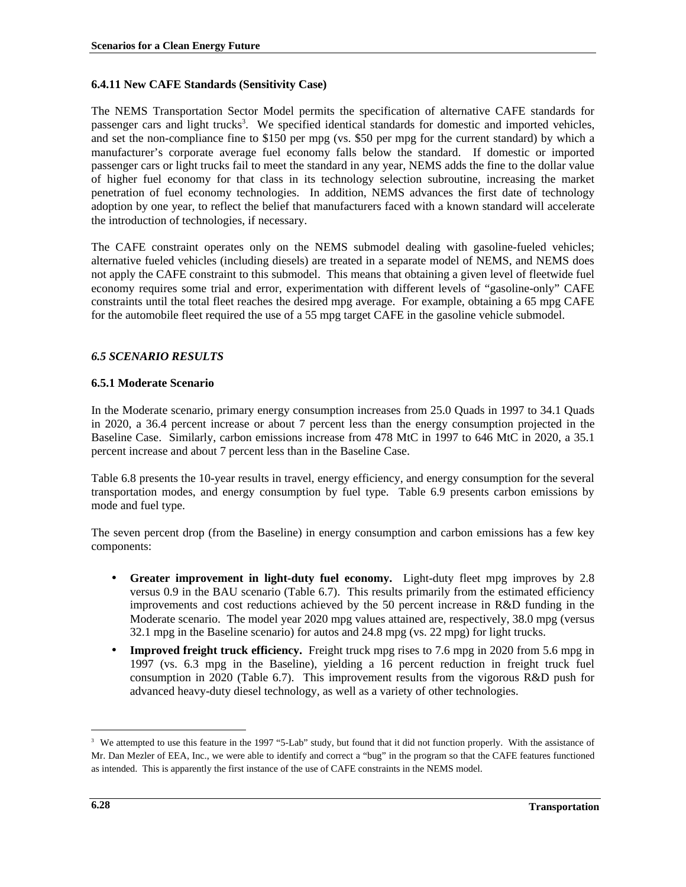# **6.4.11 New CAFE Standards (Sensitivity Case)**

The NEMS Transportation Sector Model permits the specification of alternative CAFE standards for passenger cars and light trucks<sup>3</sup>. We specified identical standards for domestic and imported vehicles, and set the non-compliance fine to \$150 per mpg (vs. \$50 per mpg for the current standard) by which a manufacturer's corporate average fuel economy falls below the standard. If domestic or imported passenger cars or light trucks fail to meet the standard in any year, NEMS adds the fine to the dollar value of higher fuel economy for that class in its technology selection subroutine, increasing the market penetration of fuel economy technologies. In addition, NEMS advances the first date of technology adoption by one year, to reflect the belief that manufacturers faced with a known standard will accelerate the introduction of technologies, if necessary.

The CAFE constraint operates only on the NEMS submodel dealing with gasoline-fueled vehicles; alternative fueled vehicles (including diesels) are treated in a separate model of NEMS, and NEMS does not apply the CAFE constraint to this submodel. This means that obtaining a given level of fleetwide fuel economy requires some trial and error, experimentation with different levels of "gasoline-only" CAFE constraints until the total fleet reaches the desired mpg average. For example, obtaining a 65 mpg CAFE for the automobile fleet required the use of a 55 mpg target CAFE in the gasoline vehicle submodel.

## *6.5 SCENARIO RESULTS*

## **6.5.1 Moderate Scenario**

In the Moderate scenario, primary energy consumption increases from 25.0 Quads in 1997 to 34.1 Quads in 2020, a 36.4 percent increase or about 7 percent less than the energy consumption projected in the Baseline Case. Similarly, carbon emissions increase from 478 MtC in 1997 to 646 MtC in 2020, a 35.1 percent increase and about 7 percent less than in the Baseline Case.

Table 6.8 presents the 10-year results in travel, energy efficiency, and energy consumption for the several transportation modes, and energy consumption by fuel type. Table 6.9 presents carbon emissions by mode and fuel type.

The seven percent drop (from the Baseline) in energy consumption and carbon emissions has a few key components:

- **Greater improvement in light-duty fuel economy.** Light-duty fleet mpg improves by 2.8 versus 0.9 in the BAU scenario (Table 6.7). This results primarily from the estimated efficiency improvements and cost reductions achieved by the 50 percent increase in R&D funding in the Moderate scenario. The model year 2020 mpg values attained are, respectively, 38.0 mpg (versus 32.1 mpg in the Baseline scenario) for autos and 24.8 mpg (vs. 22 mpg) for light trucks.
- **Improved freight truck efficiency.** Freight truck mpg rises to 7.6 mpg in 2020 from 5.6 mpg in 1997 (vs. 6.3 mpg in the Baseline), yielding a 16 percent reduction in freight truck fuel consumption in 2020 (Table 6.7). This improvement results from the vigorous R&D push for advanced heavy-duty diesel technology, as well as a variety of other technologies.

 $\overline{a}$ 

<sup>&</sup>lt;sup>3</sup> We attempted to use this feature in the 1997 "5-Lab" study, but found that it did not function properly. With the assistance of Mr. Dan Mezler of EEA, Inc., we were able to identify and correct a "bug" in the program so that the CAFE features functioned as intended. This is apparently the first instance of the use of CAFE constraints in the NEMS model.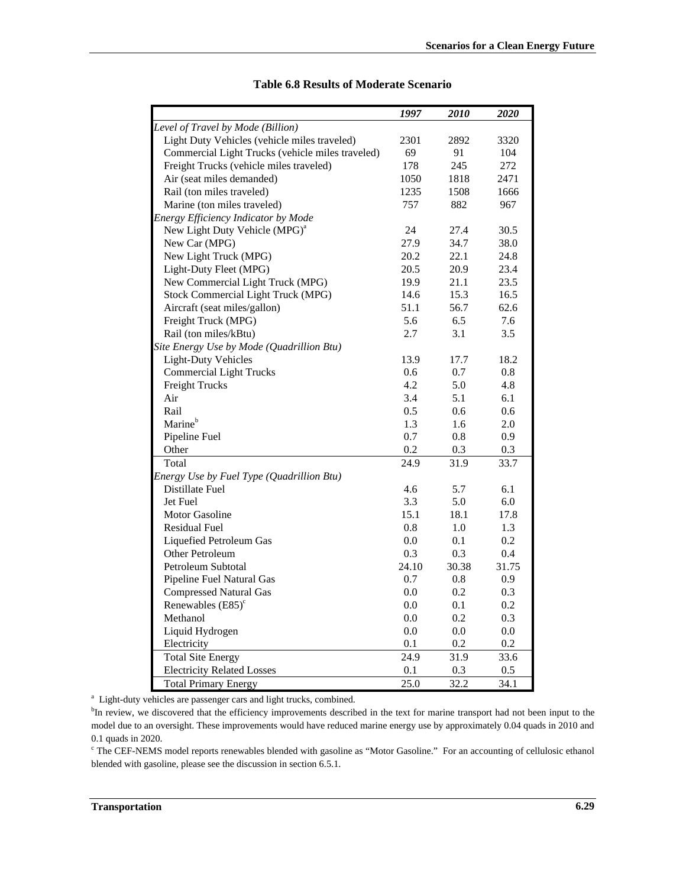|                                                  | 1997    | 2010  | 2020    |
|--------------------------------------------------|---------|-------|---------|
| Level of Travel by Mode (Billion)                |         |       |         |
| Light Duty Vehicles (vehicle miles traveled)     | 2301    | 2892  | 3320    |
| Commercial Light Trucks (vehicle miles traveled) | 69      | 91    | 104     |
| Freight Trucks (vehicle miles traveled)          | 178     | 245   | 272     |
| Air (seat miles demanded)                        | 1050    | 1818  | 2471    |
| Rail (ton miles traveled)                        | 1235    | 1508  | 1666    |
| Marine (ton miles traveled)                      | 757     | 882   | 967     |
| Energy Efficiency Indicator by Mode              |         |       |         |
| New Light Duty Vehicle (MPG) <sup>a</sup>        | 24      | 27.4  | 30.5    |
| New Car (MPG)                                    | 27.9    | 34.7  | 38.0    |
| New Light Truck (MPG)                            | 20.2    | 22.1  | 24.8    |
| Light-Duty Fleet (MPG)                           | 20.5    | 20.9  | 23.4    |
| New Commercial Light Truck (MPG)                 | 19.9    | 21.1  | 23.5    |
| Stock Commercial Light Truck (MPG)               | 14.6    | 15.3  | 16.5    |
| Aircraft (seat miles/gallon)                     | 51.1    | 56.7  | 62.6    |
| Freight Truck (MPG)                              | 5.6     | 6.5   | 7.6     |
| Rail (ton miles/kBtu)                            | 2.7     | 3.1   | 3.5     |
| Site Energy Use by Mode (Quadrillion Btu)        |         |       |         |
| <b>Light-Duty Vehicles</b>                       | 13.9    | 17.7  | 18.2    |
| <b>Commercial Light Trucks</b>                   | 0.6     | 0.7   | 0.8     |
| Freight Trucks                                   | 4.2     | 5.0   | 4.8     |
| Air                                              | 3.4     | 5.1   | 6.1     |
| Rail                                             | 0.5     | 0.6   | 0.6     |
| Marine <sup>b</sup>                              | 1.3     | 1.6   | 2.0     |
| Pipeline Fuel                                    | 0.7     | 0.8   | 0.9     |
| Other                                            | 0.2     | 0.3   | 0.3     |
| Total                                            | 24.9    | 31.9  | 33.7    |
| Energy Use by Fuel Type (Quadrillion Btu)        |         |       |         |
| Distillate Fuel                                  | 4.6     | 5.7   | 6.1     |
| Jet Fuel                                         | 3.3     | 5.0   | 6.0     |
| Motor Gasoline                                   | 15.1    | 18.1  | 17.8    |
| <b>Residual Fuel</b>                             | 0.8     | 1.0   | 1.3     |
| Liquefied Petroleum Gas                          | 0.0     | 0.1   | 0.2     |
| Other Petroleum                                  | 0.3     | 0.3   | 0.4     |
| Petroleum Subtotal                               | 24.10   | 30.38 | 31.75   |
| Pipeline Fuel Natural Gas                        | 0.7     | 0.8   | 0.9     |
| <b>Compressed Natural Gas</b>                    | 0.0     | 0.2   | 0.3     |
| Renewables $(E85)$ <sup>c</sup>                  | 0.0     | 0.1   | 0.2     |
| Methanol                                         | 0.0     | 0.2   | 0.3     |
| Liquid Hydrogen                                  | $0.0\,$ | 0.0   | $0.0\,$ |
| Electricity                                      | 0.1     | 0.2   | 0.2     |
| <b>Total Site Energy</b>                         | 24.9    | 31.9  | 33.6    |
| <b>Electricity Related Losses</b>                | 0.1     | 0.3   | 0.5     |
| <b>Total Primary Energy</b>                      | 25.0    | 32.2  | 34.1    |

#### **Table 6.8 Results of Moderate Scenario**

<sup>a</sup> Light-duty vehicles are passenger cars and light trucks, combined.

<sup>b</sup>In review, we discovered that the efficiency improvements described in the text for marine transport had not been input to the model due to an oversight. These improvements would have reduced marine energy use by approximately 0.04 quads in 2010 and 0.1 quads in 2020.

<sup>c</sup> The CEF-NEMS model reports renewables blended with gasoline as "Motor Gasoline." For an accounting of cellulosic ethanol blended with gasoline, please see the discussion in section 6.5.1.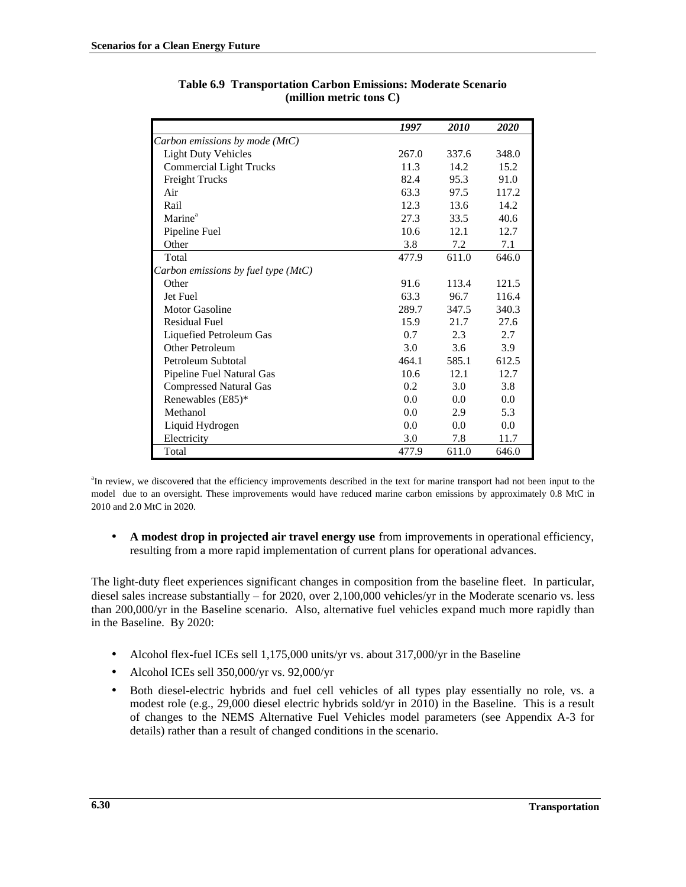|                                       | 1997  | 2010  | 2020  |
|---------------------------------------|-------|-------|-------|
| Carbon emissions by mode (MtC)        |       |       |       |
| <b>Light Duty Vehicles</b>            | 267.0 | 337.6 | 348.0 |
| <b>Commercial Light Trucks</b>        | 11.3  | 14.2  | 15.2  |
| <b>Freight Trucks</b>                 | 82.4  | 95.3  | 91.0  |
| Air                                   | 63.3  | 97.5  | 117.2 |
| Rail                                  | 12.3  | 13.6  | 14.2  |
| Marine <sup>a</sup>                   | 27.3  | 33.5  | 40.6  |
| Pipeline Fuel                         | 10.6  | 12.1  | 12.7  |
| Other                                 | 3.8   | 7.2   | 7.1   |
| Total                                 | 477.9 | 611.0 | 646.0 |
| Carbon emissions by fuel type $(MtC)$ |       |       |       |
| Other                                 | 91.6  | 113.4 | 121.5 |
| Jet Fuel                              | 63.3  | 96.7  | 116.4 |
| <b>Motor Gasoline</b>                 | 289.7 | 347.5 | 340.3 |
| <b>Residual Fuel</b>                  | 15.9  | 21.7  | 27.6  |
| Liquefied Petroleum Gas               | 0.7   | 2.3   | 2.7   |
| Other Petroleum                       | 3.0   | 3.6   | 3.9   |
| Petroleum Subtotal                    | 464.1 | 585.1 | 612.5 |
| Pipeline Fuel Natural Gas             | 10.6  | 12.1  | 12.7  |
| <b>Compressed Natural Gas</b>         | 0.2   | 3.0   | 3.8   |
| Renewables (E85)*                     | 0.0   | 0.0   | 0.0   |
| Methanol                              | 0.0   | 2.9   | 5.3   |
| Liquid Hydrogen                       | 0.0   | 0.0   | 0.0   |
| Electricity                           | 3.0   | 7.8   | 11.7  |
| Total                                 | 477.9 | 611.0 | 646.0 |

**Table 6.9 Transportation Carbon Emissions: Moderate Scenario (million metric tons C)**

<sup>a</sup>In review, we discovered that the efficiency improvements described in the text for marine transport had not been input to the model due to an oversight. These improvements would have reduced marine carbon emissions by approximately 0.8 MtC in 2010 and 2.0 MtC in 2020.

• **A modest drop in projected air travel energy use** from improvements in operational efficiency, resulting from a more rapid implementation of current plans for operational advances.

The light-duty fleet experiences significant changes in composition from the baseline fleet. In particular, diesel sales increase substantially – for 2020, over 2,100,000 vehicles/yr in the Moderate scenario vs. less than 200,000/yr in the Baseline scenario. Also, alternative fuel vehicles expand much more rapidly than in the Baseline. By 2020:

- Alcohol flex-fuel ICEs sell 1,175,000 units/yr vs. about 317,000/yr in the Baseline
- Alcohol ICEs sell 350,000/yr vs. 92,000/yr
- Both diesel-electric hybrids and fuel cell vehicles of all types play essentially no role, vs. a modest role (e.g., 29,000 diesel electric hybrids sold/yr in 2010) in the Baseline. This is a result of changes to the NEMS Alternative Fuel Vehicles model parameters (see Appendix A-3 for details) rather than a result of changed conditions in the scenario.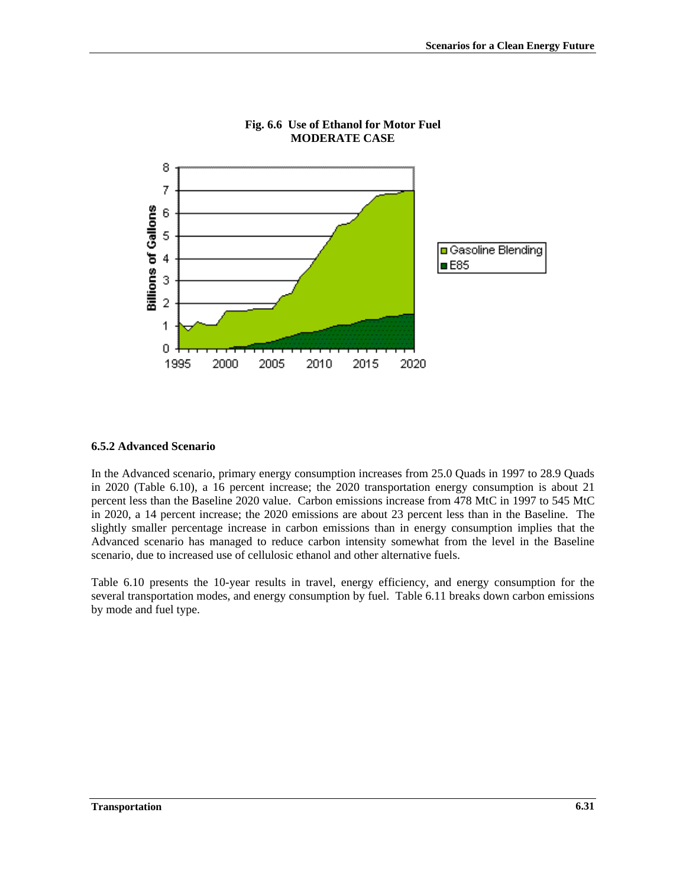

## **Fig. 6.6 Use of Ethanol for Motor Fuel MODERATE CASE**

#### **6.5.2 Advanced Scenario**

In the Advanced scenario, primary energy consumption increases from 25.0 Quads in 1997 to 28.9 Quads in 2020 (Table 6.10), a 16 percent increase; the 2020 transportation energy consumption is about 21 percent less than the Baseline 2020 value. Carbon emissions increase from 478 MtC in 1997 to 545 MtC in 2020, a 14 percent increase; the 2020 emissions are about 23 percent less than in the Baseline. The slightly smaller percentage increase in carbon emissions than in energy consumption implies that the Advanced scenario has managed to reduce carbon intensity somewhat from the level in the Baseline scenario, due to increased use of cellulosic ethanol and other alternative fuels.

Table 6.10 presents the 10-year results in travel, energy efficiency, and energy consumption for the several transportation modes, and energy consumption by fuel. Table 6.11 breaks down carbon emissions by mode and fuel type.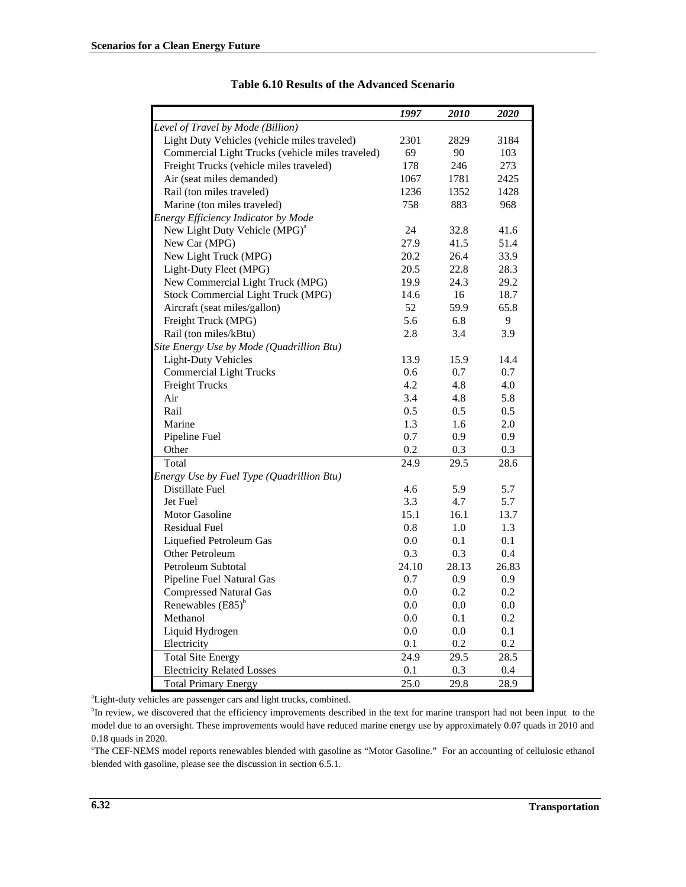|                                                  | 1997         | <i>2010</i>  | <b>2020</b> |
|--------------------------------------------------|--------------|--------------|-------------|
| Level of Travel by Mode (Billion)                |              |              |             |
| Light Duty Vehicles (vehicle miles traveled)     | 2301         | 2829         | 3184        |
| Commercial Light Trucks (vehicle miles traveled) | 69           | 90           | 103         |
| Freight Trucks (vehicle miles traveled)          | 178          | 246          | 273         |
| Air (seat miles demanded)                        | 1067         | 1781         | 2425        |
| Rail (ton miles traveled)                        | 1236         | 1352         | 1428        |
| Marine (ton miles traveled)                      | 758          | 883          | 968         |
| Energy Efficiency Indicator by Mode              |              |              |             |
| New Light Duty Vehicle (MPG) <sup>a</sup>        | 24           | 32.8         | 41.6        |
| New Car (MPG)                                    | 27.9         | 41.5         | 51.4        |
| New Light Truck (MPG)                            | 20.2         | 26.4         | 33.9        |
|                                                  |              |              |             |
| Light-Duty Fleet (MPG)                           | 20.5<br>19.9 | 22.8<br>24.3 | 28.3        |
| New Commercial Light Truck (MPG)                 |              |              | 29.2        |
| Stock Commercial Light Truck (MPG)               | 14.6         | 16           | 18.7        |
| Aircraft (seat miles/gallon)                     | 52           | 59.9         | 65.8        |
| Freight Truck (MPG)                              | 5.6          | 6.8          | 9           |
| Rail (ton miles/kBtu)                            | 2.8          | 3.4          | 3.9         |
| Site Energy Use by Mode (Quadrillion Btu)        |              |              |             |
| <b>Light-Duty Vehicles</b>                       | 13.9         | 15.9         | 14.4        |
| <b>Commercial Light Trucks</b>                   | 0.6          | 0.7          | 0.7         |
| Freight Trucks                                   | 4.2          | 4.8          | 4.0         |
| Air                                              | 3.4          | 4.8          | 5.8         |
| Rail                                             | 0.5          | 0.5          | 0.5         |
| Marine                                           | 1.3          | 1.6          | 2.0         |
| Pipeline Fuel                                    | 0.7          | 0.9          | 0.9         |
| Other                                            | 0.2          | 0.3          | 0.3         |
| Total                                            | 24.9         | 29.5         | 28.6        |
| Energy Use by Fuel Type (Quadrillion Btu)        |              |              |             |
| Distillate Fuel                                  | 4.6          | 5.9          | 5.7         |
| Jet Fuel                                         | 3.3          | 4.7          | 5.7         |
| Motor Gasoline                                   | 15.1         | 16.1         | 13.7        |
| <b>Residual Fuel</b>                             | 0.8          | 1.0          | 1.3         |
| Liquefied Petroleum Gas                          | 0.0          | 0.1          | 0.1         |
| Other Petroleum                                  | 0.3          | 0.3          | 0.4         |
| Petroleum Subtotal                               | 24.10        | 28.13        | 26.83       |
| Pipeline Fuel Natural Gas                        | 0.7          | 0.9          | 0.9         |
| <b>Compressed Natural Gas</b>                    | 0.0          | 0.2          | 0.2         |
| Renewables $(E85)^{b}$                           | 0.0          | 0.0          | $0.0\,$     |
| Methanol                                         | 0.0          | 0.1          | 0.2         |
| Liquid Hydrogen                                  | $0.0\,$      | 0.0          | 0.1         |
| Electricity                                      | 0.1          | 0.2          | 0.2         |
| <b>Total Site Energy</b>                         | 24.9         | 29.5         | 28.5        |
| <b>Electricity Related Losses</b>                | 0.1          | 0.3          | 0.4         |
| <b>Total Primary Energy</b>                      | 25.0         | 29.8         | 28.9        |

### **Table 6.10 Results of the Advanced Scenario**

<sup>a</sup>Light-duty vehicles are passenger cars and light trucks, combined.

<sup>b</sup>In review, we discovered that the efficiency improvements described in the text for marine transport had not been input to the model due to an oversight. These improvements would have reduced marine energy use by approximately 0.07 quads in 2010 and 0.18 quads in 2020.

<sup>c</sup>The CEF-NEMS model reports renewables blended with gasoline as "Motor Gasoline." For an accounting of cellulosic ethanol blended with gasoline, please see the discussion in section 6.5.1.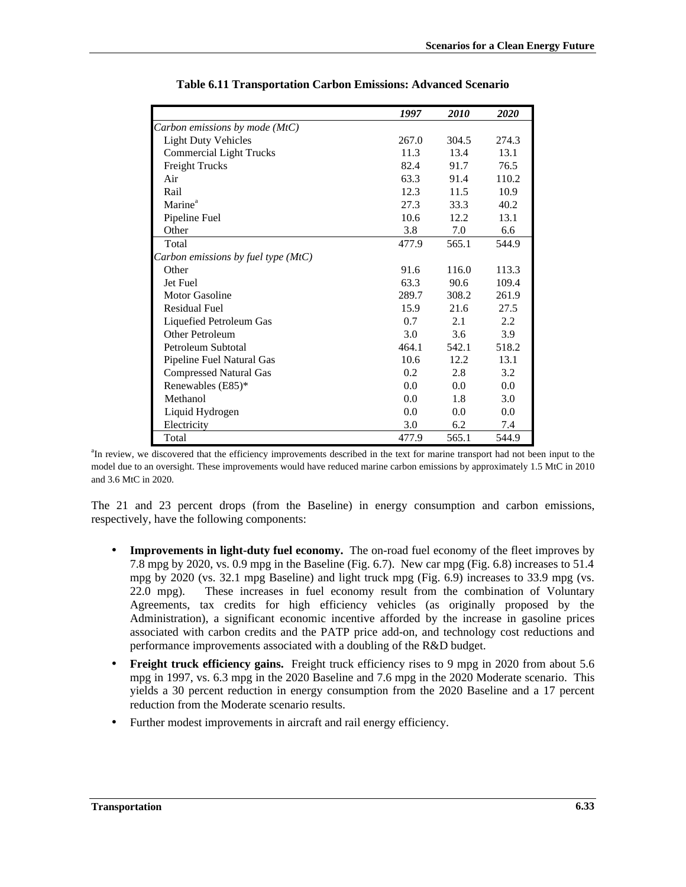|                                       | 1997  | 2010  | 2020  |
|---------------------------------------|-------|-------|-------|
| Carbon emissions by mode (MtC)        |       |       |       |
| <b>Light Duty Vehicles</b>            | 267.0 | 304.5 | 274.3 |
| <b>Commercial Light Trucks</b>        | 11.3  | 13.4  | 13.1  |
| <b>Freight Trucks</b>                 | 82.4  | 91.7  | 76.5  |
| Air                                   | 63.3  | 91.4  | 110.2 |
| Rail                                  | 12.3  | 11.5  | 10.9  |
| Marine <sup>a</sup>                   | 27.3  | 33.3  | 40.2  |
| Pipeline Fuel                         | 10.6  | 12.2  | 13.1  |
| Other                                 | 3.8   | 7.0   | 6.6   |
| Total                                 | 477.9 | 565.1 | 544.9 |
| Carbon emissions by fuel type $(MtC)$ |       |       |       |
| Other                                 | 91.6  | 116.0 | 113.3 |
| Jet Fuel                              | 63.3  | 90.6  | 109.4 |
| Motor Gasoline                        | 289.7 | 308.2 | 261.9 |
| <b>Residual Fuel</b>                  | 15.9  | 21.6  | 27.5  |
| Liquefied Petroleum Gas               | 0.7   | 2.1   | 2.2   |
| Other Petroleum                       | 3.0   | 3.6   | 3.9   |
| Petroleum Subtotal                    | 464.1 | 542.1 | 518.2 |
| Pipeline Fuel Natural Gas             | 10.6  | 12.2  | 13.1  |
| <b>Compressed Natural Gas</b>         | 0.2   | 2.8   | 3.2   |
| Renewables (E85)*                     | 0.0   | 0.0   | 0.0   |
| Methanol                              | 0.0   | 1.8   | 3.0   |
| Liquid Hydrogen                       | 0.0   | 0.0   | 0.0   |
| Electricity                           | 3.0   | 6.2   | 7.4   |
| Total                                 | 477.9 | 565.1 | 544.9 |

**Table 6.11 Transportation Carbon Emissions: Advanced Scenario**

<sup>a</sup>In review, we discovered that the efficiency improvements described in the text for marine transport had not been input to the model due to an oversight. These improvements would have reduced marine carbon emissions by approximately 1.5 MtC in 2010 and 3.6 MtC in 2020.

The 21 and 23 percent drops (from the Baseline) in energy consumption and carbon emissions, respectively, have the following components:

- **Improvements in light-duty fuel economy.** The on-road fuel economy of the fleet improves by 7.8 mpg by 2020, vs. 0.9 mpg in the Baseline (Fig. 6.7). New car mpg (Fig. 6.8) increases to 51.4 mpg by 2020 (vs. 32.1 mpg Baseline) and light truck mpg (Fig. 6.9) increases to 33.9 mpg (vs. 22.0 mpg). These increases in fuel economy result from the combination of Voluntary Agreements, tax credits for high efficiency vehicles (as originally proposed by the Administration), a significant economic incentive afforded by the increase in gasoline prices associated with carbon credits and the PATP price add-on, and technology cost reductions and performance improvements associated with a doubling of the R&D budget.
- **Freight truck efficiency gains.** Freight truck efficiency rises to 9 mpg in 2020 from about 5.6 mpg in 1997, vs. 6.3 mpg in the 2020 Baseline and 7.6 mpg in the 2020 Moderate scenario. This yields a 30 percent reduction in energy consumption from the 2020 Baseline and a 17 percent reduction from the Moderate scenario results.
- Further modest improvements in aircraft and rail energy efficiency.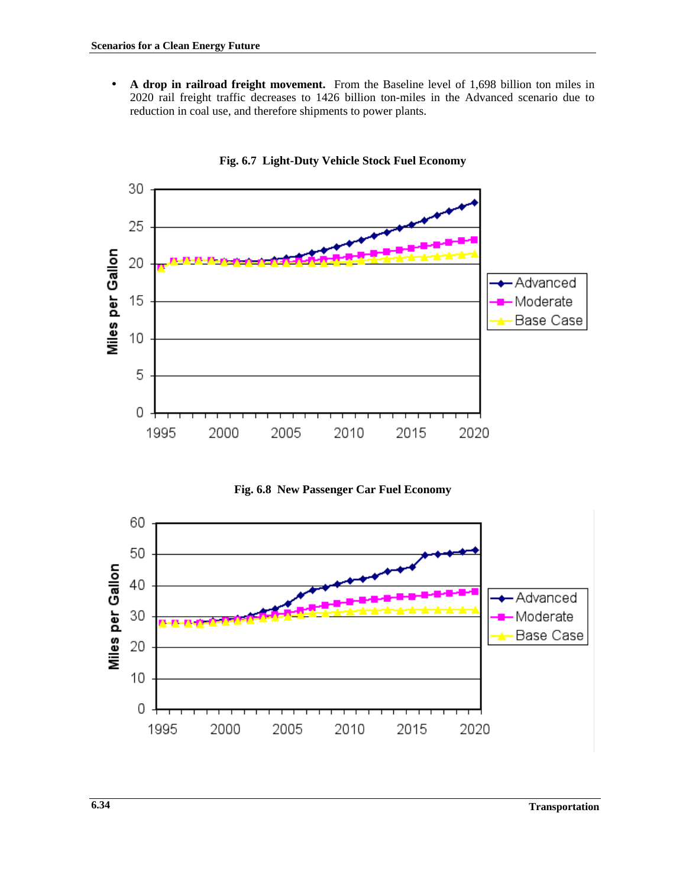• **A drop in railroad freight movement.** From the Baseline level of 1,698 billion ton miles in 2020 rail freight traffic decreases to 1426 billion ton-miles in the Advanced scenario due to reduction in coal use, and therefore shipments to power plants.



**Fig. 6.7 Light-Duty Vehicle Stock Fuel Economy**



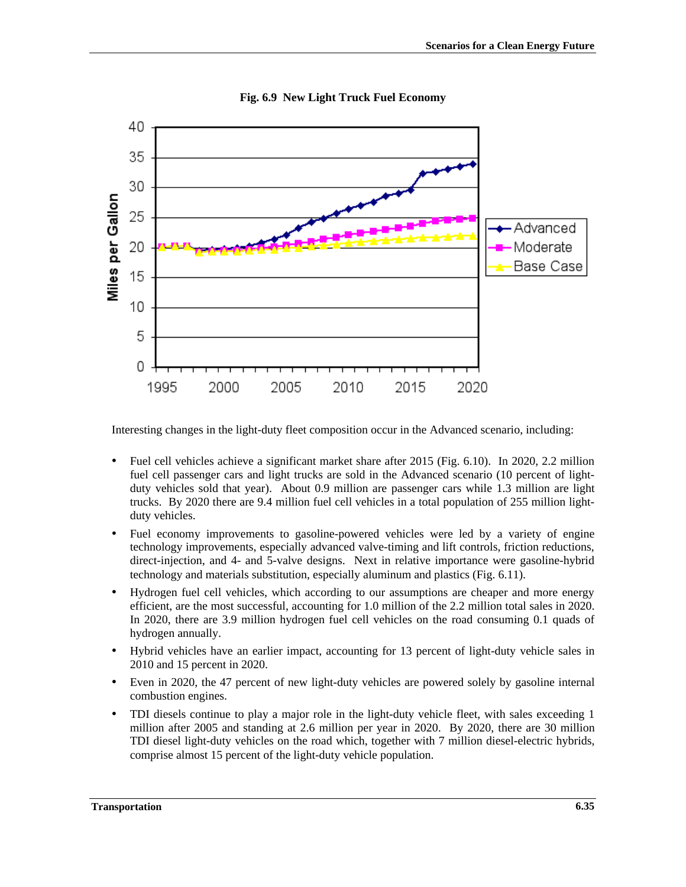

## **Fig. 6.9 New Light Truck Fuel Economy**

Interesting changes in the light-duty fleet composition occur in the Advanced scenario, including:

- Fuel cell vehicles achieve a significant market share after 2015 (Fig. 6.10). In 2020, 2.2 million fuel cell passenger cars and light trucks are sold in the Advanced scenario (10 percent of lightduty vehicles sold that year). About 0.9 million are passenger cars while 1.3 million are light trucks. By 2020 there are 9.4 million fuel cell vehicles in a total population of 255 million lightduty vehicles.
- Fuel economy improvements to gasoline-powered vehicles were led by a variety of engine technology improvements, especially advanced valve-timing and lift controls, friction reductions, direct-injection, and 4- and 5-valve designs. Next in relative importance were gasoline-hybrid technology and materials substitution, especially aluminum and plastics (Fig. 6.11).
- Hydrogen fuel cell vehicles, which according to our assumptions are cheaper and more energy efficient, are the most successful, accounting for 1.0 million of the 2.2 million total sales in 2020. In 2020, there are 3.9 million hydrogen fuel cell vehicles on the road consuming 0.1 quads of hydrogen annually.
- Hybrid vehicles have an earlier impact, accounting for 13 percent of light-duty vehicle sales in 2010 and 15 percent in 2020.
- Even in 2020, the 47 percent of new light-duty vehicles are powered solely by gasoline internal combustion engines.
- TDI diesels continue to play a major role in the light-duty vehicle fleet, with sales exceeding 1 million after 2005 and standing at 2.6 million per year in 2020. By 2020, there are 30 million TDI diesel light-duty vehicles on the road which, together with 7 million diesel-electric hybrids, comprise almost 15 percent of the light-duty vehicle population.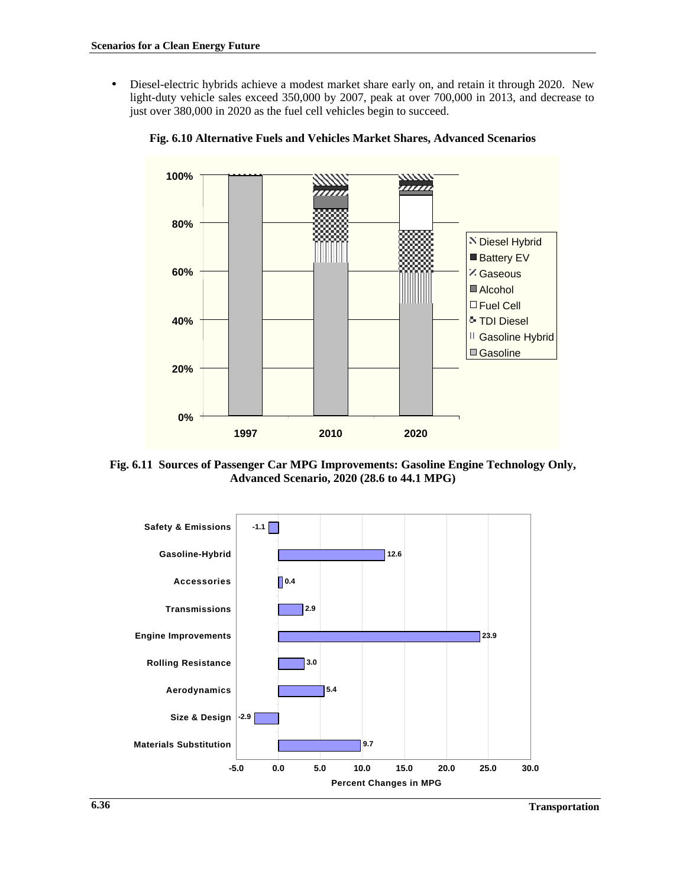• Diesel-electric hybrids achieve a modest market share early on, and retain it through 2020. New light-duty vehicle sales exceed 350,000 by 2007, peak at over 700,000 in 2013, and decrease to just over 380,000 in 2020 as the fuel cell vehicles begin to succeed.



**Fig. 6.10 Alternative Fuels and Vehicles Market Shares, Advanced Scenarios**

**Fig. 6.11 Sources of Passenger Car MPG Improvements: Gasoline Engine Technology Only, Advanced Scenario, 2020 (28.6 to 44.1 MPG)**

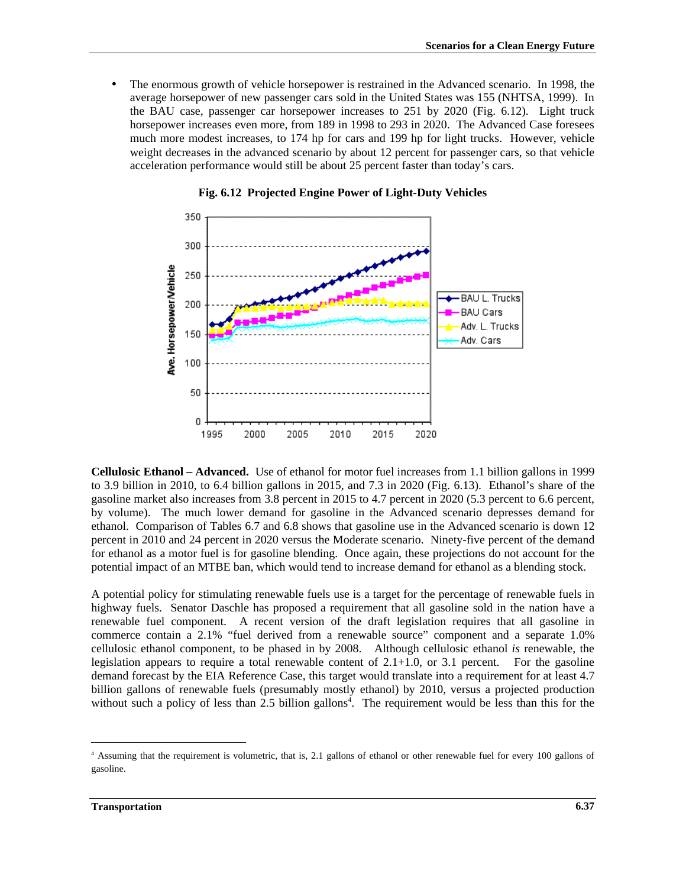• The enormous growth of vehicle horsepower is restrained in the Advanced scenario. In 1998, the average horsepower of new passenger cars sold in the United States was 155 (NHTSA, 1999). In the BAU case, passenger car horsepower increases to 251 by 2020 (Fig. 6.12). Light truck horsepower increases even more, from 189 in 1998 to 293 in 2020. The Advanced Case foresees much more modest increases, to 174 hp for cars and 199 hp for light trucks. However, vehicle weight decreases in the advanced scenario by about 12 percent for passenger cars, so that vehicle acceleration performance would still be about 25 percent faster than today's cars.



**Fig. 6.12 Projected Engine Power of Light-Duty Vehicles**

**Cellulosic Ethanol – Advanced.** Use of ethanol for motor fuel increases from 1.1 billion gallons in 1999 to 3.9 billion in 2010, to 6.4 billion gallons in 2015, and 7.3 in 2020 (Fig. 6.13). Ethanol's share of the gasoline market also increases from 3.8 percent in 2015 to 4.7 percent in 2020 (5.3 percent to 6.6 percent, by volume). The much lower demand for gasoline in the Advanced scenario depresses demand for ethanol. Comparison of Tables 6.7 and 6.8 shows that gasoline use in the Advanced scenario is down 12 percent in 2010 and 24 percent in 2020 versus the Moderate scenario. Ninety-five percent of the demand for ethanol as a motor fuel is for gasoline blending. Once again, these projections do not account for the potential impact of an MTBE ban, which would tend to increase demand for ethanol as a blending stock.

A potential policy for stimulating renewable fuels use is a target for the percentage of renewable fuels in highway fuels. Senator Daschle has proposed a requirement that all gasoline sold in the nation have a renewable fuel component. A recent version of the draft legislation requires that all gasoline in commerce contain a 2.1% "fuel derived from a renewable source" component and a separate 1.0% cellulosic ethanol component, to be phased in by 2008. Although cellulosic ethanol *is* renewable, the legislation appears to require a total renewable content of  $2.1+1.0$ , or  $3.1$  percent. For the gasoline demand forecast by the EIA Reference Case, this target would translate into a requirement for at least 4.7 billion gallons of renewable fuels (presumably mostly ethanol) by 2010, versus a projected production without such a policy of less than 2.5 billion gallons<sup>4</sup>. The requirement would be less than this for the

 $\overline{a}$ 

<sup>4</sup> Assuming that the requirement is volumetric, that is, 2.1 gallons of ethanol or other renewable fuel for every 100 gallons of gasoline.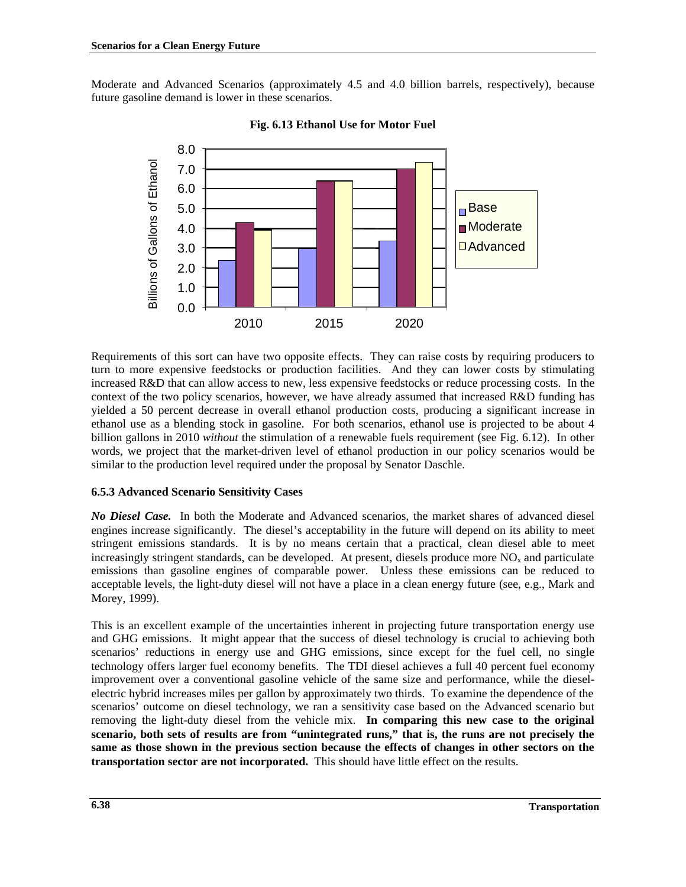Moderate and Advanced Scenarios (approximately 4.5 and 4.0 billion barrels, respectively), because future gasoline demand is lower in these scenarios.



**Fig. 6.13 Ethanol Use for Motor Fuel**

Requirements of this sort can have two opposite effects. They can raise costs by requiring producers to turn to more expensive feedstocks or production facilities. And they can lower costs by stimulating increased R&D that can allow access to new, less expensive feedstocks or reduce processing costs. In the context of the two policy scenarios, however, we have already assumed that increased R&D funding has yielded a 50 percent decrease in overall ethanol production costs, producing a significant increase in ethanol use as a blending stock in gasoline. For both scenarios, ethanol use is projected to be about 4 billion gallons in 2010 *without* the stimulation of a renewable fuels requirement (see Fig. 6.12). In other words, we project that the market-driven level of ethanol production in our policy scenarios would be similar to the production level required under the proposal by Senator Daschle.

# **6.5.3 Advanced Scenario Sensitivity Cases**

*No Diesel Case.* In both the Moderate and Advanced scenarios, the market shares of advanced diesel engines increase significantly. The diesel's acceptability in the future will depend on its ability to meet stringent emissions standards. It is by no means certain that a practical, clean diesel able to meet increasingly stringent standards, can be developed. At present, diesels produce more  $NO<sub>x</sub>$  and particulate emissions than gasoline engines of comparable power. Unless these emissions can be reduced to acceptable levels, the light-duty diesel will not have a place in a clean energy future (see, e.g., Mark and Morey, 1999).

This is an excellent example of the uncertainties inherent in projecting future transportation energy use and GHG emissions. It might appear that the success of diesel technology is crucial to achieving both scenarios' reductions in energy use and GHG emissions, since except for the fuel cell, no single technology offers larger fuel economy benefits. The TDI diesel achieves a full 40 percent fuel economy improvement over a conventional gasoline vehicle of the same size and performance, while the dieselelectric hybrid increases miles per gallon by approximately two thirds. To examine the dependence of the scenarios' outcome on diesel technology, we ran a sensitivity case based on the Advanced scenario but removing the light-duty diesel from the vehicle mix. **In comparing this new case to the original scenario, both sets of results are from "unintegrated runs," that is, the runs are not precisely the same as those shown in the previous section because the effects of changes in other sectors on the transportation sector are not incorporated.** This should have little effect on the results.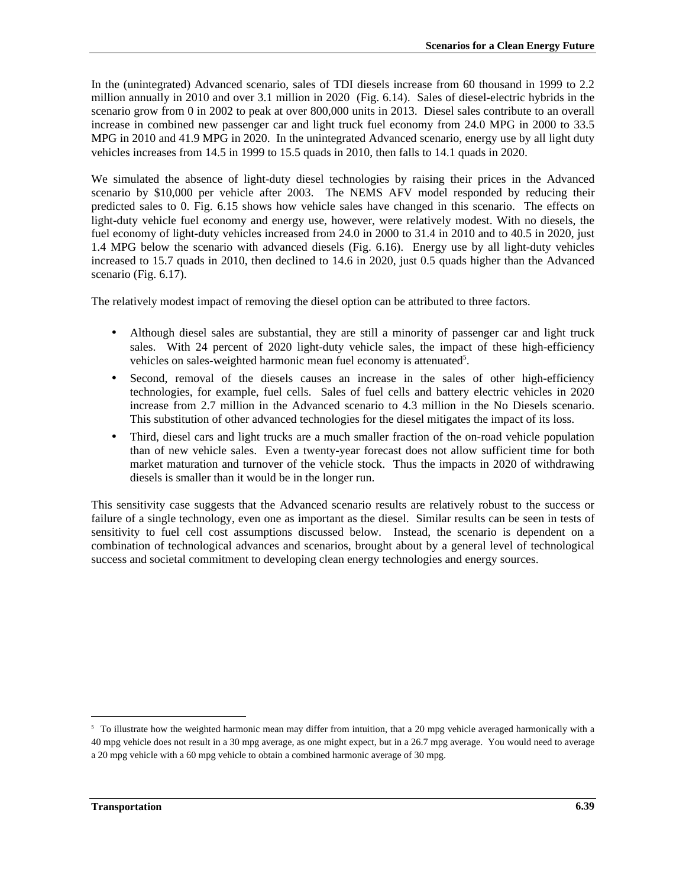In the (unintegrated) Advanced scenario, sales of TDI diesels increase from 60 thousand in 1999 to 2.2 million annually in 2010 and over 3.1 million in 2020 (Fig. 6.14). Sales of diesel-electric hybrids in the scenario grow from 0 in 2002 to peak at over 800,000 units in 2013. Diesel sales contribute to an overall increase in combined new passenger car and light truck fuel economy from 24.0 MPG in 2000 to 33.5 MPG in 2010 and 41.9 MPG in 2020. In the unintegrated Advanced scenario, energy use by all light duty vehicles increases from 14.5 in 1999 to 15.5 quads in 2010, then falls to 14.1 quads in 2020.

We simulated the absence of light-duty diesel technologies by raising their prices in the Advanced scenario by \$10,000 per vehicle after 2003. The NEMS AFV model responded by reducing their predicted sales to 0. Fig. 6.15 shows how vehicle sales have changed in this scenario. The effects on light-duty vehicle fuel economy and energy use, however, were relatively modest. With no diesels, the fuel economy of light-duty vehicles increased from 24.0 in 2000 to 31.4 in 2010 and to 40.5 in 2020, just 1.4 MPG below the scenario with advanced diesels (Fig. 6.16). Energy use by all light-duty vehicles increased to 15.7 quads in 2010, then declined to 14.6 in 2020, just 0.5 quads higher than the Advanced scenario (Fig. 6.17).

The relatively modest impact of removing the diesel option can be attributed to three factors.

- Although diesel sales are substantial, they are still a minority of passenger car and light truck sales. With 24 percent of 2020 light-duty vehicle sales, the impact of these high-efficiency vehicles on sales-weighted harmonic mean fuel economy is attenuated<sup>5</sup>.
- Second, removal of the diesels causes an increase in the sales of other high-efficiency technologies, for example, fuel cells. Sales of fuel cells and battery electric vehicles in 2020 increase from 2.7 million in the Advanced scenario to 4.3 million in the No Diesels scenario. This substitution of other advanced technologies for the diesel mitigates the impact of its loss.
- Third, diesel cars and light trucks are a much smaller fraction of the on-road vehicle population than of new vehicle sales. Even a twenty-year forecast does not allow sufficient time for both market maturation and turnover of the vehicle stock. Thus the impacts in 2020 of withdrawing diesels is smaller than it would be in the longer run.

This sensitivity case suggests that the Advanced scenario results are relatively robust to the success or failure of a single technology, even one as important as the diesel. Similar results can be seen in tests of sensitivity to fuel cell cost assumptions discussed below. Instead, the scenario is dependent on a combination of technological advances and scenarios, brought about by a general level of technological success and societal commitment to developing clean energy technologies and energy sources.

 $\overline{a}$ 

<sup>&</sup>lt;sup>5</sup> To illustrate how the weighted harmonic mean may differ from intuition, that a 20 mpg vehicle averaged harmonically with a 40 mpg vehicle does not result in a 30 mpg average, as one might expect, but in a 26.7 mpg average. You would need to average a 20 mpg vehicle with a 60 mpg vehicle to obtain a combined harmonic average of 30 mpg.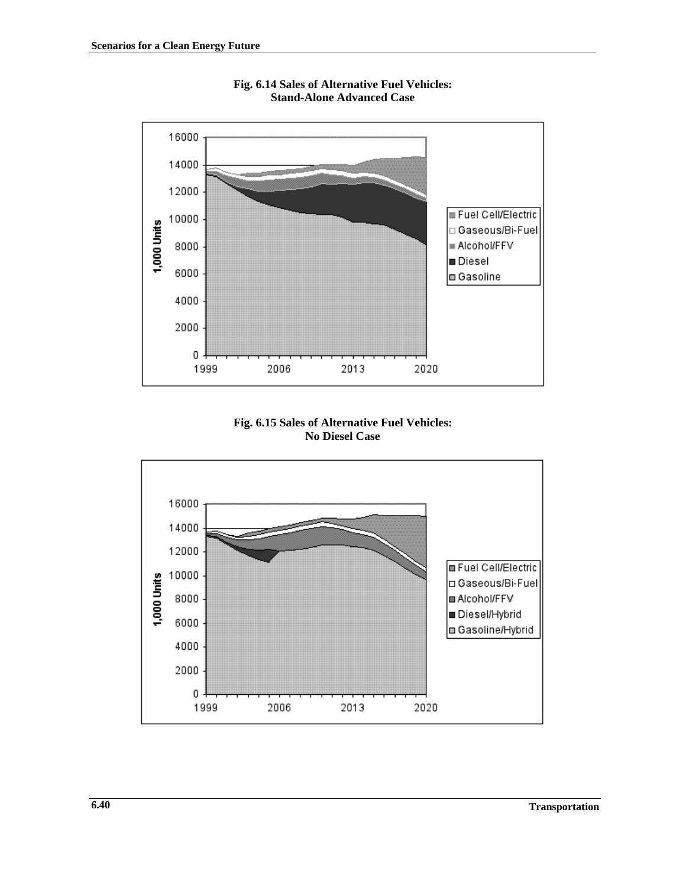

**Fig. 6.14 Sales of Alternative Fuel Vehicles: Stand-Alone Advanced Case**

**Fig. 6.15 Sales of Alternative Fuel Vehicles: No Diesel Case**

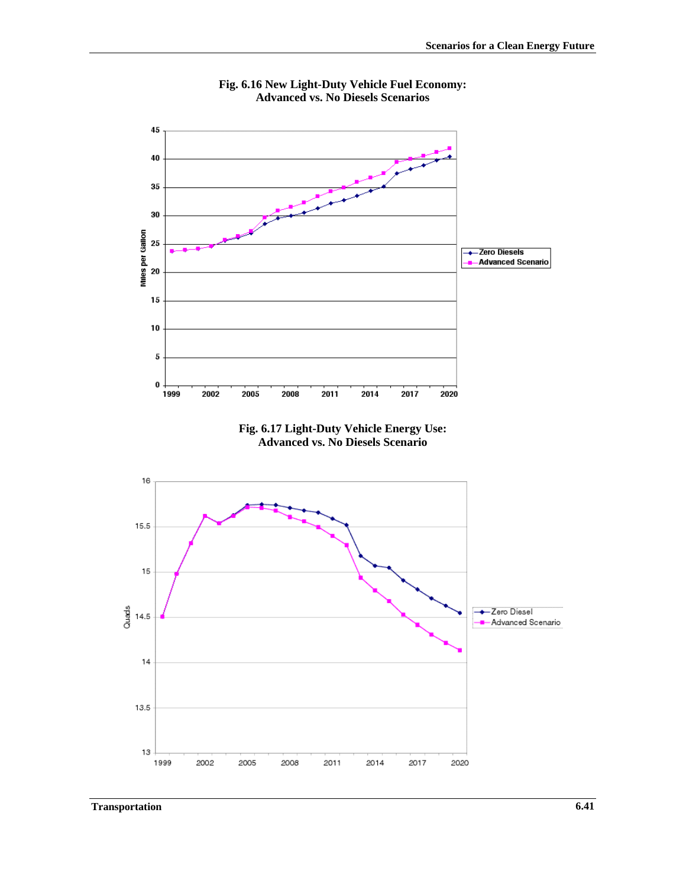

**Fig. 6.16 New Light-Duty Vehicle Fuel Economy: Advanced vs. No Diesels Scenarios**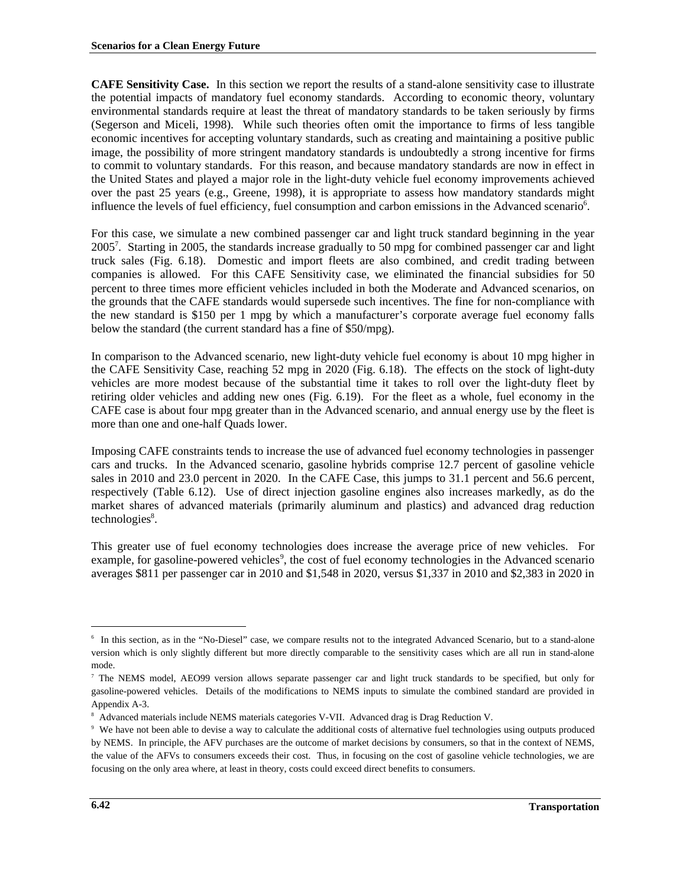**CAFE Sensitivity Case.** In this section we report the results of a stand-alone sensitivity case to illustrate the potential impacts of mandatory fuel economy standards. According to economic theory, voluntary environmental standards require at least the threat of mandatory standards to be taken seriously by firms (Segerson and Miceli, 1998). While such theories often omit the importance to firms of less tangible economic incentives for accepting voluntary standards, such as creating and maintaining a positive public image, the possibility of more stringent mandatory standards is undoubtedly a strong incentive for firms to commit to voluntary standards. For this reason, and because mandatory standards are now in effect in the United States and played a major role in the light-duty vehicle fuel economy improvements achieved over the past 25 years (e.g., Greene, 1998), it is appropriate to assess how mandatory standards might influence the levels of fuel efficiency, fuel consumption and carbon emissions in the Advanced scenario<sup>6</sup>.

For this case, we simulate a new combined passenger car and light truck standard beginning in the year 2005<sup>7</sup>. Starting in 2005, the standards increase gradually to 50 mpg for combined passenger car and light truck sales (Fig. 6.18). Domestic and import fleets are also combined, and credit trading between companies is allowed. For this CAFE Sensitivity case, we eliminated the financial subsidies for 50 percent to three times more efficient vehicles included in both the Moderate and Advanced scenarios, on the grounds that the CAFE standards would supersede such incentives. The fine for non-compliance with the new standard is \$150 per 1 mpg by which a manufacturer's corporate average fuel economy falls below the standard (the current standard has a fine of \$50/mpg).

In comparison to the Advanced scenario, new light-duty vehicle fuel economy is about 10 mpg higher in the CAFE Sensitivity Case, reaching 52 mpg in 2020 (Fig. 6.18). The effects on the stock of light-duty vehicles are more modest because of the substantial time it takes to roll over the light-duty fleet by retiring older vehicles and adding new ones (Fig. 6.19). For the fleet as a whole, fuel economy in the CAFE case is about four mpg greater than in the Advanced scenario, and annual energy use by the fleet is more than one and one-half Quads lower.

Imposing CAFE constraints tends to increase the use of advanced fuel economy technologies in passenger cars and trucks. In the Advanced scenario, gasoline hybrids comprise 12.7 percent of gasoline vehicle sales in 2010 and 23.0 percent in 2020. In the CAFE Case, this jumps to 31.1 percent and 56.6 percent, respectively (Table 6.12). Use of direct injection gasoline engines also increases markedly, as do the market shares of advanced materials (primarily aluminum and plastics) and advanced drag reduction technologies<sup>8</sup>.

This greater use of fuel economy technologies does increase the average price of new vehicles. For example, for gasoline-powered vehicles<sup>9</sup>, the cost of fuel economy technologies in the Advanced scenario averages \$811 per passenger car in 2010 and \$1,548 in 2020, versus \$1,337 in 2010 and \$2,383 in 2020 in

 $\overline{a}$ 

<sup>6</sup> In this section, as in the "No-Diesel" case, we compare results not to the integrated Advanced Scenario, but to a stand-alone version which is only slightly different but more directly comparable to the sensitivity cases which are all run in stand-alone mode.

<sup>&</sup>lt;sup>7</sup> The NEMS model, AEO99 version allows separate passenger car and light truck standards to be specified, but only for gasoline-powered vehicles. Details of the modifications to NEMS inputs to simulate the combined standard are provided in Appendix A-3.

<sup>8</sup> Advanced materials include NEMS materials categories V-VII. Advanced drag is Drag Reduction V.

<sup>9</sup> We have not been able to devise a way to calculate the additional costs of alternative fuel technologies using outputs produced by NEMS. In principle, the AFV purchases are the outcome of market decisions by consumers, so that in the context of NEMS, the value of the AFVs to consumers exceeds their cost. Thus, in focusing on the cost of gasoline vehicle technologies, we are focusing on the only area where, at least in theory, costs could exceed direct benefits to consumers.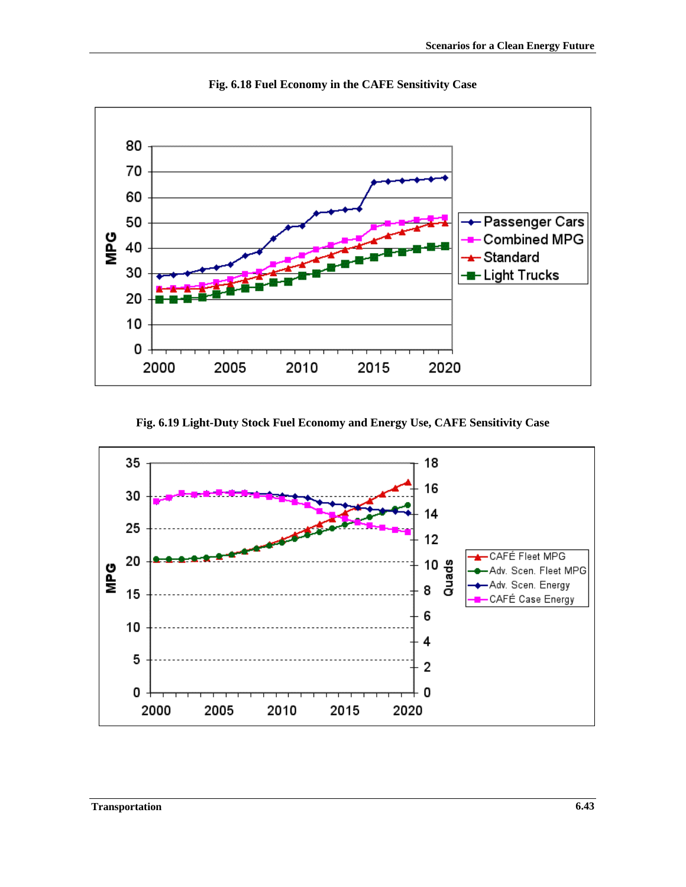

**Fig. 6.18 Fuel Economy in the CAFE Sensitivity Case**

**Fig. 6.19 Light-Duty Stock Fuel Economy and Energy Use, CAFE Sensitivity Case**

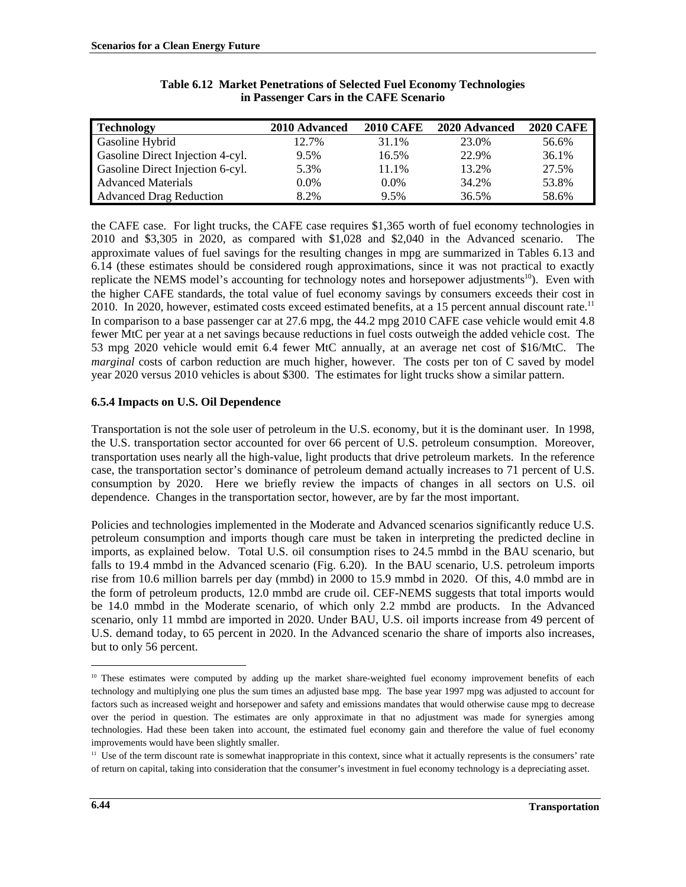| <b>Technology</b>                | 2010 Advanced | <b>2010 CAFE</b> | 2020 Advanced | <b>2020 CAFE</b> |
|----------------------------------|---------------|------------------|---------------|------------------|
| Gasoline Hybrid                  | 12.7%         | 31.1%            | 23.0%         | 56.6%            |
| Gasoline Direct Injection 4-cyl. | 9.5%          | 16.5%            | 22.9%         | 36.1%            |
| Gasoline Direct Injection 6-cyl. | 5.3%          | 11.1%            | 13.2%         | 27.5%            |
| <b>Advanced Materials</b>        | 0.0%          | $0.0\%$          | 34.2%         | 53.8%            |
| <b>Advanced Drag Reduction</b>   | 8.2%          | 9.5%             | 36.5%         | 58.6%            |

## **Table 6.12 Market Penetrations of Selected Fuel Economy Technologies in Passenger Cars in the CAFE Scenario**

the CAFE case. For light trucks, the CAFE case requires \$1,365 worth of fuel economy technologies in 2010 and \$3,305 in 2020, as compared with \$1,028 and \$2,040 in the Advanced scenario. The approximate values of fuel savings for the resulting changes in mpg are summarized in Tables 6.13 and 6.14 (these estimates should be considered rough approximations, since it was not practical to exactly replicate the NEMS model's accounting for technology notes and horsepower adjustments<sup>10</sup>). Even with the higher CAFE standards, the total value of fuel economy savings by consumers exceeds their cost in 2010. In 2020, however, estimated costs exceed estimated benefits, at a 15 percent annual discount rate.<sup>11</sup> In comparison to a base passenger car at 27.6 mpg, the 44.2 mpg 2010 CAFE case vehicle would emit 4.8 fewer MtC per year at a net savings because reductions in fuel costs outweigh the added vehicle cost. The 53 mpg 2020 vehicle would emit 6.4 fewer MtC annually, at an average net cost of \$16/MtC. The *marginal* costs of carbon reduction are much higher, however. The costs per ton of C saved by model year 2020 versus 2010 vehicles is about \$300. The estimates for light trucks show a similar pattern.

# **6.5.4 Impacts on U.S. Oil Dependence**

Transportation is not the sole user of petroleum in the U.S. economy, but it is the dominant user. In 1998, the U.S. transportation sector accounted for over 66 percent of U.S. petroleum consumption. Moreover, transportation uses nearly all the high-value, light products that drive petroleum markets. In the reference case, the transportation sector's dominance of petroleum demand actually increases to 71 percent of U.S. consumption by 2020. Here we briefly review the impacts of changes in all sectors on U.S. oil dependence. Changes in the transportation sector, however, are by far the most important.

Policies and technologies implemented in the Moderate and Advanced scenarios significantly reduce U.S. petroleum consumption and imports though care must be taken in interpreting the predicted decline in imports, as explained below. Total U.S. oil consumption rises to 24.5 mmbd in the BAU scenario, but falls to 19.4 mmbd in the Advanced scenario (Fig. 6.20). In the BAU scenario, U.S. petroleum imports rise from 10.6 million barrels per day (mmbd) in 2000 to 15.9 mmbd in 2020. Of this, 4.0 mmbd are in the form of petroleum products, 12.0 mmbd are crude oil. CEF-NEMS suggests that total imports would be 14.0 mmbd in the Moderate scenario, of which only 2.2 mmbd are products. In the Advanced scenario, only 11 mmbd are imported in 2020. Under BAU, U.S. oil imports increase from 49 percent of U.S. demand today, to 65 percent in 2020. In the Advanced scenario the share of imports also increases, but to only 56 percent.

l

<sup>&</sup>lt;sup>10</sup> These estimates were computed by adding up the market share-weighted fuel economy improvement benefits of each technology and multiplying one plus the sum times an adjusted base mpg. The base year 1997 mpg was adjusted to account for factors such as increased weight and horsepower and safety and emissions mandates that would otherwise cause mpg to decrease over the period in question. The estimates are only approximate in that no adjustment was made for synergies among technologies. Had these been taken into account, the estimated fuel economy gain and therefore the value of fuel economy improvements would have been slightly smaller.

<sup>&</sup>lt;sup>11</sup> Use of the term discount rate is somewhat inappropriate in this context, since what it actually represents is the consumers' rate of return on capital, taking into consideration that the consumer's investment in fuel economy technology is a depreciating asset.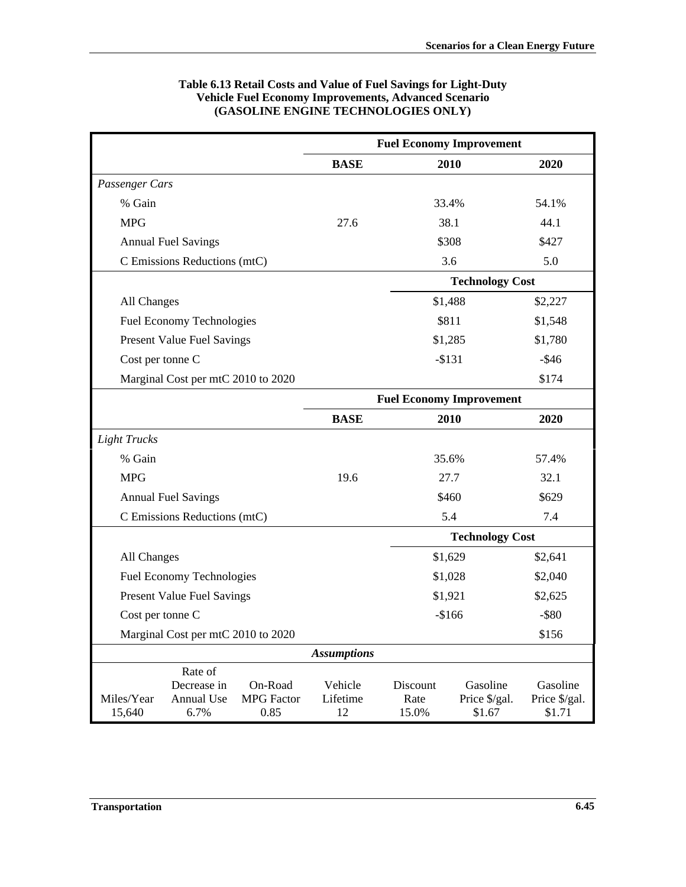|                                    |                                      |                              | <b>Fuel Economy Improvement</b> |                                 |                           |                           |  |
|------------------------------------|--------------------------------------|------------------------------|---------------------------------|---------------------------------|---------------------------|---------------------------|--|
|                                    |                                      |                              | <b>BASE</b>                     |                                 | 2010                      | 2020                      |  |
| Passenger Cars                     |                                      |                              |                                 |                                 |                           |                           |  |
| % Gain                             |                                      |                              |                                 |                                 | 33.4%                     | 54.1%                     |  |
| <b>MPG</b>                         |                                      |                              | 27.6                            |                                 | 38.1                      | 44.1                      |  |
|                                    | <b>Annual Fuel Savings</b>           |                              |                                 |                                 | \$308                     | \$427                     |  |
|                                    | C Emissions Reductions (mtC)         |                              |                                 |                                 | 3.6                       | 5.0                       |  |
|                                    |                                      |                              |                                 |                                 | <b>Technology Cost</b>    |                           |  |
| All Changes                        |                                      |                              |                                 |                                 | \$1,488                   | \$2,227                   |  |
|                                    | <b>Fuel Economy Technologies</b>     |                              |                                 |                                 | \$811                     | \$1,548                   |  |
|                                    | <b>Present Value Fuel Savings</b>    |                              |                                 |                                 | \$1,285                   | \$1,780                   |  |
| Cost per tonne C                   |                                      |                              |                                 |                                 | $-$ \$131                 | $-$ \$46                  |  |
|                                    | Marginal Cost per mtC 2010 to 2020   |                              |                                 |                                 |                           | \$174                     |  |
|                                    |                                      |                              |                                 | <b>Fuel Economy Improvement</b> |                           |                           |  |
|                                    |                                      |                              | <b>BASE</b>                     |                                 | 2010                      | 2020                      |  |
| <b>Light Trucks</b>                |                                      |                              |                                 |                                 |                           |                           |  |
| % Gain                             |                                      |                              |                                 |                                 | 35.6%                     | 57.4%                     |  |
| <b>MPG</b>                         |                                      |                              | 19.6                            |                                 | 27.7                      | 32.1                      |  |
|                                    | <b>Annual Fuel Savings</b>           |                              |                                 |                                 | \$460                     | \$629                     |  |
|                                    | C Emissions Reductions (mtC)         |                              |                                 |                                 | 5.4                       | 7.4                       |  |
|                                    |                                      |                              |                                 |                                 | <b>Technology Cost</b>    |                           |  |
| All Changes                        |                                      |                              |                                 |                                 | \$1,629                   | \$2,641                   |  |
|                                    | <b>Fuel Economy Technologies</b>     |                              |                                 |                                 | \$1,028                   |                           |  |
|                                    | <b>Present Value Fuel Savings</b>    |                              |                                 | \$1,921                         |                           | \$2,625                   |  |
| Cost per tonne C                   |                                      |                              | $-$166$                         |                                 | $-$ \$80                  |                           |  |
| Marginal Cost per mtC 2010 to 2020 |                                      |                              |                                 |                                 |                           | \$156                     |  |
|                                    |                                      |                              | <b>Assumptions</b>              |                                 |                           |                           |  |
| Miles/Year                         | Rate of<br>Decrease in<br>Annual Use | On-Road<br><b>MPG</b> Factor | Vehicle<br>Lifetime             | Discount<br>Rate                | Gasoline<br>Price \$/gal. | Gasoline<br>Price \$/gal. |  |
| 15,640                             | 6.7%                                 | 0.85                         | 12                              | 15.0%                           | \$1.67                    | \$1.71                    |  |

## **Table 6.13 Retail Costs and Value of Fuel Savings for Light-Duty Vehicle Fuel Economy Improvements, Advanced Scenario (GASOLINE ENGINE TECHNOLOGIES ONLY)**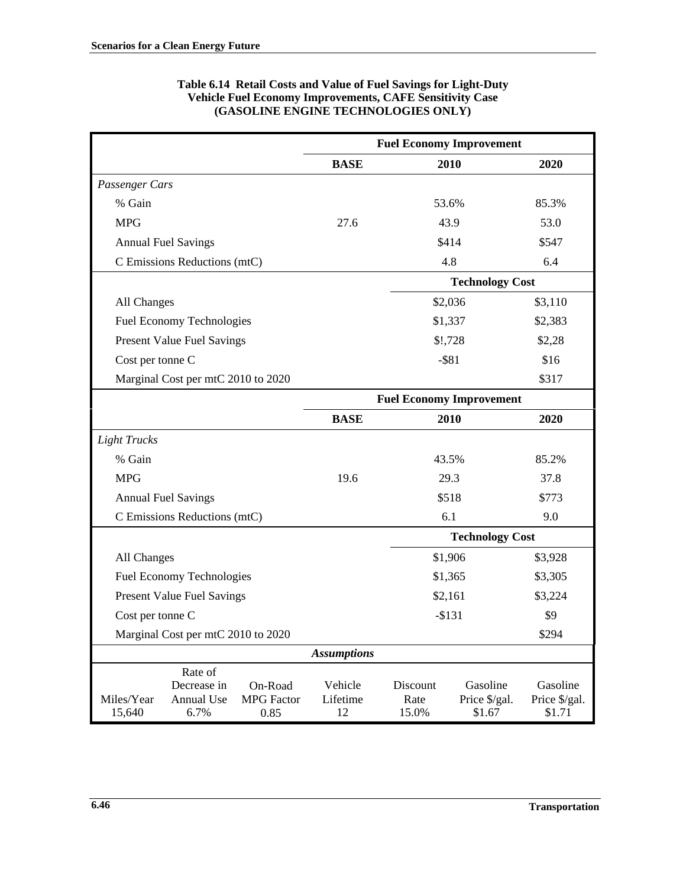|                      |                                              |                                      | <b>Fuel Economy Improvement</b> |                                 |                                     |                                     |  |
|----------------------|----------------------------------------------|--------------------------------------|---------------------------------|---------------------------------|-------------------------------------|-------------------------------------|--|
|                      |                                              |                                      | <b>BASE</b>                     |                                 | 2010                                | 2020                                |  |
| Passenger Cars       |                                              |                                      |                                 |                                 |                                     |                                     |  |
| % Gain               |                                              |                                      |                                 | 53.6%                           |                                     | 85.3%                               |  |
| <b>MPG</b>           |                                              |                                      | 27.6                            |                                 | 43.9                                | 53.0                                |  |
|                      | <b>Annual Fuel Savings</b>                   |                                      |                                 |                                 | \$414                               | \$547                               |  |
|                      | C Emissions Reductions (mtC)                 |                                      |                                 | 4.8                             |                                     | 6.4                                 |  |
|                      |                                              |                                      |                                 |                                 | <b>Technology Cost</b>              |                                     |  |
| All Changes          |                                              |                                      |                                 |                                 | \$2,036                             | \$3,110                             |  |
|                      | Fuel Economy Technologies                    |                                      |                                 | \$1,337                         |                                     | \$2,383                             |  |
|                      | <b>Present Value Fuel Savings</b>            |                                      |                                 |                                 | \$!,728                             | \$2,28                              |  |
| Cost per tonne C     |                                              |                                      |                                 | $-$ \$81                        |                                     | \$16                                |  |
|                      | Marginal Cost per mtC 2010 to 2020           |                                      |                                 |                                 |                                     | \$317                               |  |
|                      |                                              |                                      |                                 | <b>Fuel Economy Improvement</b> |                                     |                                     |  |
|                      |                                              |                                      | <b>BASE</b>                     |                                 | 2010                                | 2020                                |  |
| <b>Light Trucks</b>  |                                              |                                      |                                 |                                 |                                     |                                     |  |
| % Gain               |                                              |                                      |                                 | 43.5%                           |                                     | 85.2%                               |  |
| <b>MPG</b>           |                                              |                                      | 19.6                            |                                 | 29.3                                | 37.8                                |  |
|                      | <b>Annual Fuel Savings</b>                   |                                      |                                 |                                 | \$518                               | \$773                               |  |
|                      | C Emissions Reductions (mtC)                 |                                      |                                 | 6.1                             |                                     | 9.0                                 |  |
|                      |                                              |                                      |                                 |                                 | <b>Technology Cost</b>              |                                     |  |
| All Changes          |                                              |                                      |                                 |                                 | \$1,906                             | \$3,928                             |  |
|                      | Fuel Economy Technologies                    |                                      |                                 | \$1,365                         |                                     | \$3,305                             |  |
|                      | <b>Present Value Fuel Savings</b>            |                                      |                                 | \$2,161                         |                                     | \$3,224                             |  |
| Cost per tonne C     |                                              |                                      | $-$131$                         |                                 | \$9                                 |                                     |  |
|                      | Marginal Cost per mtC 2010 to 2020           |                                      |                                 |                                 |                                     | \$294                               |  |
|                      |                                              |                                      | <b>Assumptions</b>              |                                 |                                     |                                     |  |
| Miles/Year<br>15,640 | Rate of<br>Decrease in<br>Annual Use<br>6.7% | On-Road<br><b>MPG</b> Factor<br>0.85 | Vehicle<br>Lifetime<br>12       | Discount<br>Rate<br>15.0%       | Gasoline<br>Price \$/gal.<br>\$1.67 | Gasoline<br>Price \$/gal.<br>\$1.71 |  |

## **Table 6.14 Retail Costs and Value of Fuel Savings for Light-Duty Vehicle Fuel Economy Improvements, CAFE Sensitivity Case (GASOLINE ENGINE TECHNOLOGIES ONLY)**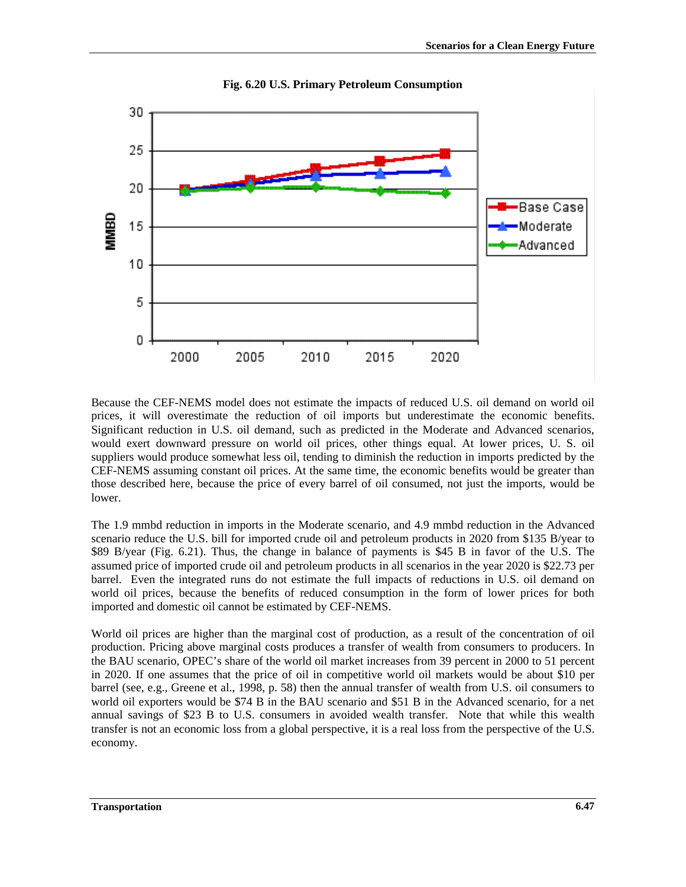

**Fig. 6.20 U.S. Primary Petroleum Consumption**

Because the CEF-NEMS model does not estimate the impacts of reduced U.S. oil demand on world oil prices, it will overestimate the reduction of oil imports but underestimate the economic benefits. Significant reduction in U.S. oil demand, such as predicted in the Moderate and Advanced scenarios, would exert downward pressure on world oil prices, other things equal. At lower prices, U. S. oil suppliers would produce somewhat less oil, tending to diminish the reduction in imports predicted by the CEF-NEMS assuming constant oil prices. At the same time, the economic benefits would be greater than those described here, because the price of every barrel of oil consumed, not just the imports, would be lower.

The 1.9 mmbd reduction in imports in the Moderate scenario, and 4.9 mmbd reduction in the Advanced scenario reduce the U.S. bill for imported crude oil and petroleum products in 2020 from \$135 B/year to \$89 B/year (Fig. 6.21). Thus, the change in balance of payments is \$45 B in favor of the U.S. The assumed price of imported crude oil and petroleum products in all scenarios in the year 2020 is \$22.73 per barrel. Even the integrated runs do not estimate the full impacts of reductions in U.S. oil demand on world oil prices, because the benefits of reduced consumption in the form of lower prices for both imported and domestic oil cannot be estimated by CEF-NEMS.

World oil prices are higher than the marginal cost of production, as a result of the concentration of oil production. Pricing above marginal costs produces a transfer of wealth from consumers to producers. In the BAU scenario, OPEC's share of the world oil market increases from 39 percent in 2000 to 51 percent in 2020. If one assumes that the price of oil in competitive world oil markets would be about \$10 per barrel (see, e.g., Greene et al., 1998, p. 58) then the annual transfer of wealth from U.S. oil consumers to world oil exporters would be \$74 B in the BAU scenario and \$51 B in the Advanced scenario, for a net annual savings of \$23 B to U.S. consumers in avoided wealth transfer. Note that while this wealth transfer is not an economic loss from a global perspective, it is a real loss from the perspective of the U.S. economy.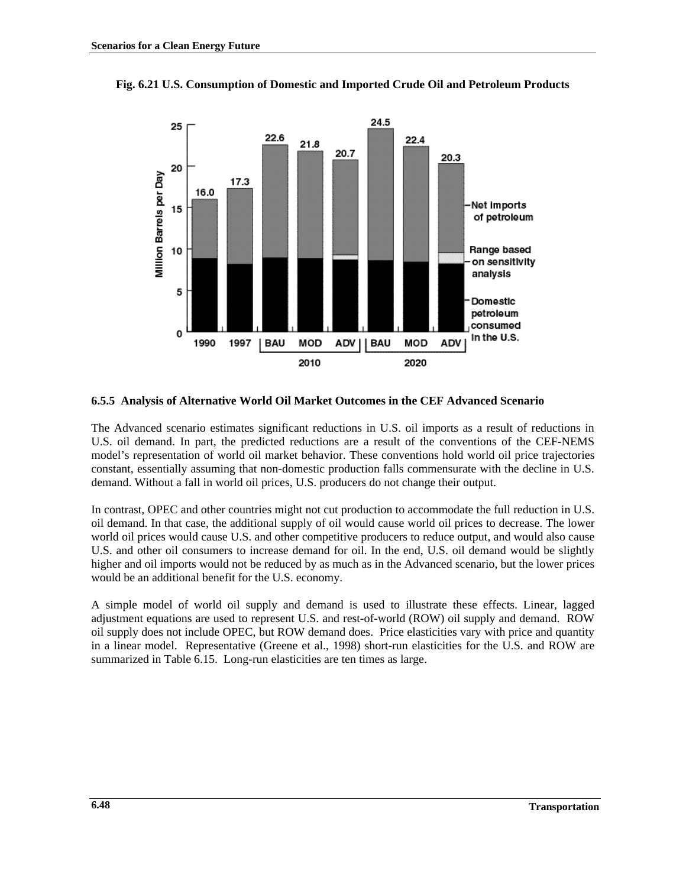



### **6.5.5 Analysis of Alternative World Oil Market Outcomes in the CEF Advanced Scenario**

The Advanced scenario estimates significant reductions in U.S. oil imports as a result of reductions in U.S. oil demand. In part, the predicted reductions are a result of the conventions of the CEF-NEMS model's representation of world oil market behavior. These conventions hold world oil price trajectories constant, essentially assuming that non-domestic production falls commensurate with the decline in U.S. demand. Without a fall in world oil prices, U.S. producers do not change their output.

In contrast, OPEC and other countries might not cut production to accommodate the full reduction in U.S. oil demand. In that case, the additional supply of oil would cause world oil prices to decrease. The lower world oil prices would cause U.S. and other competitive producers to reduce output, and would also cause U.S. and other oil consumers to increase demand for oil. In the end, U.S. oil demand would be slightly higher and oil imports would not be reduced by as much as in the Advanced scenario, but the lower prices would be an additional benefit for the U.S. economy.

A simple model of world oil supply and demand is used to illustrate these effects. Linear, lagged adjustment equations are used to represent U.S. and rest-of-world (ROW) oil supply and demand. ROW oil supply does not include OPEC, but ROW demand does. Price elasticities vary with price and quantity in a linear model. Representative (Greene et al., 1998) short-run elasticities for the U.S. and ROW are summarized in Table 6.15. Long-run elasticities are ten times as large.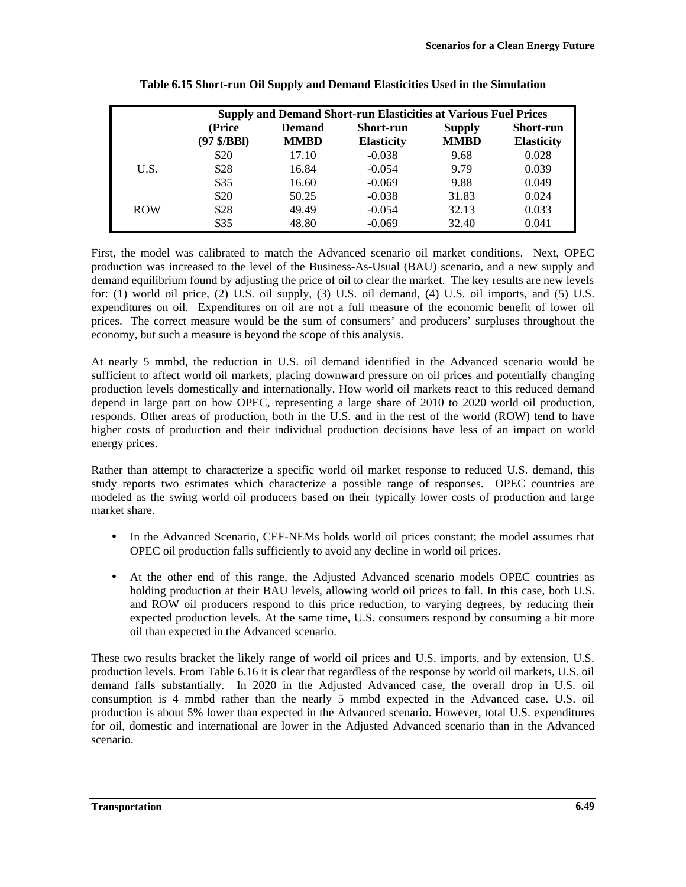|            |                     |               | <b>Supply and Demand Short-run Elasticities at Various Fuel Prices</b> |               |                   |
|------------|---------------------|---------------|------------------------------------------------------------------------|---------------|-------------------|
|            | (Price              | <b>Demand</b> | <b>Short-run</b>                                                       | <b>Supply</b> | <b>Short-run</b>  |
|            | $(97 \frac{6}{10})$ | <b>MMBD</b>   | <b>Elasticity</b>                                                      | <b>MMBD</b>   | <b>Elasticity</b> |
|            | \$20                | 17.10         | $-0.038$                                                               | 9.68          | 0.028             |
| U.S.       | \$28                | 16.84         | $-0.054$                                                               | 9.79          | 0.039             |
|            | \$35                | 16.60         | $-0.069$                                                               | 9.88          | 0.049             |
|            | \$20                | 50.25         | $-0.038$                                                               | 31.83         | 0.024             |
| <b>ROW</b> | \$28                | 49.49         | $-0.054$                                                               | 32.13         | 0.033             |
|            | \$35                | 48.80         | $-0.069$                                                               | 32.40         | 0.041             |

| Table 6.15 Short-run Oil Supply and Demand Elasticities Used in the Simulation |  |  |
|--------------------------------------------------------------------------------|--|--|
|                                                                                |  |  |

First, the model was calibrated to match the Advanced scenario oil market conditions. Next, OPEC production was increased to the level of the Business-As-Usual (BAU) scenario, and a new supply and demand equilibrium found by adjusting the price of oil to clear the market. The key results are new levels for: (1) world oil price, (2) U.S. oil supply, (3) U.S. oil demand, (4) U.S. oil imports, and (5) U.S. expenditures on oil. Expenditures on oil are not a full measure of the economic benefit of lower oil prices. The correct measure would be the sum of consumers' and producers' surpluses throughout the economy, but such a measure is beyond the scope of this analysis.

At nearly 5 mmbd, the reduction in U.S. oil demand identified in the Advanced scenario would be sufficient to affect world oil markets, placing downward pressure on oil prices and potentially changing production levels domestically and internationally. How world oil markets react to this reduced demand depend in large part on how OPEC, representing a large share of 2010 to 2020 world oil production, responds. Other areas of production, both in the U.S. and in the rest of the world (ROW) tend to have higher costs of production and their individual production decisions have less of an impact on world energy prices.

Rather than attempt to characterize a specific world oil market response to reduced U.S. demand, this study reports two estimates which characterize a possible range of responses. OPEC countries are modeled as the swing world oil producers based on their typically lower costs of production and large market share.

- In the Advanced Scenario, CEF-NEMs holds world oil prices constant; the model assumes that OPEC oil production falls sufficiently to avoid any decline in world oil prices.
- At the other end of this range, the Adjusted Advanced scenario models OPEC countries as holding production at their BAU levels, allowing world oil prices to fall. In this case, both U.S. and ROW oil producers respond to this price reduction, to varying degrees, by reducing their expected production levels. At the same time, U.S. consumers respond by consuming a bit more oil than expected in the Advanced scenario.

These two results bracket the likely range of world oil prices and U.S. imports, and by extension, U.S. production levels. From Table 6.16 it is clear that regardless of the response by world oil markets, U.S. oil demand falls substantially. In 2020 in the Adjusted Advanced case, the overall drop in U.S. oil consumption is 4 mmbd rather than the nearly 5 mmbd expected in the Advanced case. U.S. oil production is about 5% lower than expected in the Advanced scenario. However, total U.S. expenditures for oil, domestic and international are lower in the Adjusted Advanced scenario than in the Advanced scenario.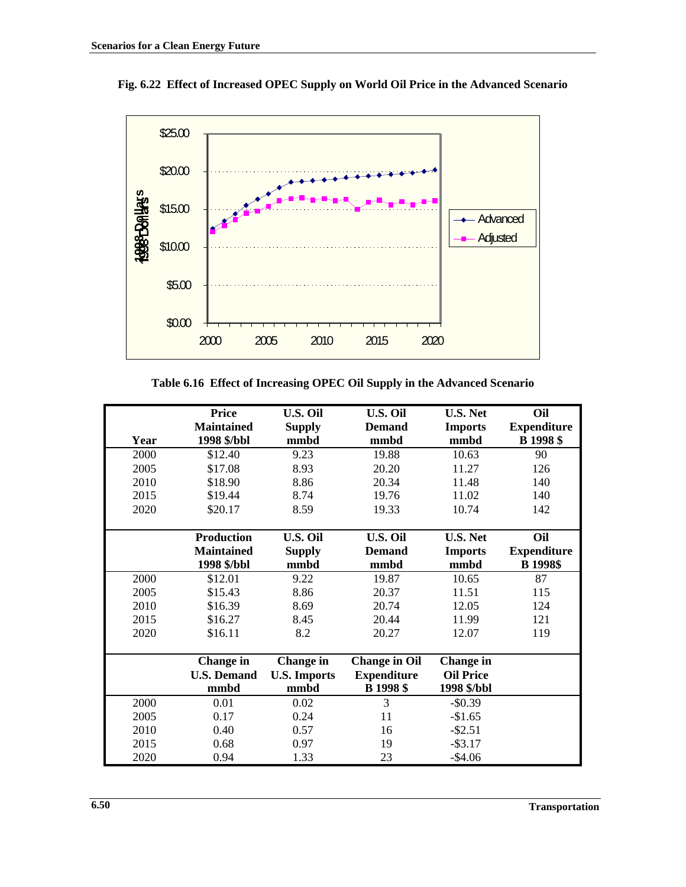

**Fig. 6.22 Effect of Increased OPEC Supply on World Oil Price in the Advanced Scenario**

**Table 6.16 Effect of Increasing OPEC Oil Supply in the Advanced Scenario**

|      | <b>Price</b>       | <b>U.S. Oil</b>     | <b>U.S. Oil</b>      | <b>U.S. Net</b>  | Oil                |
|------|--------------------|---------------------|----------------------|------------------|--------------------|
|      | <b>Maintained</b>  | <b>Supply</b>       | <b>Demand</b>        | <b>Imports</b>   | <b>Expenditure</b> |
| Year | 1998 \$/bbl        | mmbd                | mmbd                 | mmbd             | <b>B</b> 1998 \$   |
| 2000 | \$12.40            | 9.23                | 19.88                | 10.63            | 90                 |
| 2005 | \$17.08            | 8.93                | 20.20                | 11.27            | 126                |
| 2010 | \$18.90            | 8.86                | 20.34                | 11.48            | 140                |
| 2015 | \$19.44            | 8.74                | 19.76                | 11.02            | 140                |
| 2020 | \$20.17            | 8.59                | 19.33                | 10.74            | 142                |
|      |                    |                     |                      |                  |                    |
|      | <b>Production</b>  | U.S. Oil            | <b>U.S. Oil</b>      | <b>U.S. Net</b>  | Oil                |
|      | <b>Maintained</b>  | <b>Supply</b>       | <b>Demand</b>        | <b>Imports</b>   | <b>Expenditure</b> |
|      | 1998 \$/bbl        | mmbd                | mmbd                 | mmbd             | <b>B</b> 1998\$    |
| 2000 | \$12.01            | 9.22                | 19.87                | 10.65            | 87                 |
| 2005 | \$15.43            | 8.86                | 20.37                | 11.51            | 115                |
| 2010 | \$16.39            | 8.69                | 20.74                | 12.05            | 124                |
| 2015 | \$16.27            | 8.45                | 20.44                | 11.99            | 121                |
| 2020 | \$16.11            | 8.2                 | 20.27                | 12.07            | 119                |
|      |                    |                     |                      |                  |                    |
|      | <b>Change</b> in   | Change in           | <b>Change in Oil</b> | <b>Change</b> in |                    |
|      | <b>U.S. Demand</b> | <b>U.S. Imports</b> | <b>Expenditure</b>   | <b>Oil Price</b> |                    |
|      | mmbd               | mmbd                | <b>B</b> 1998 \$     | 1998 \$/bbl      |                    |
| 2000 | 0.01               | 0.02                | 3                    | $-$ \$0.39       |                    |
| 2005 | 0.17               | 0.24                | 11                   | $-$1.65$         |                    |
| 2010 | 0.40               | 0.57                | 16                   | $-$ \$2.51       |                    |
| 2015 | 0.68               | 0.97                | 19                   | $-$ \$3.17       |                    |
| 2020 | 0.94               | 1.33                | 23                   | $-$4.06$         |                    |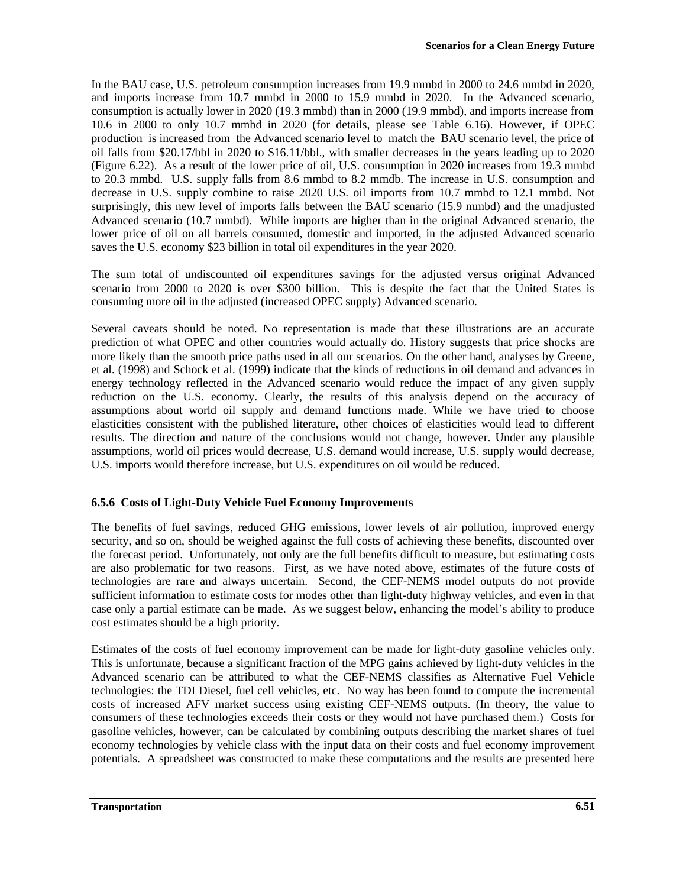In the BAU case, U.S. petroleum consumption increases from 19.9 mmbd in 2000 to 24.6 mmbd in 2020, and imports increase from 10.7 mmbd in 2000 to 15.9 mmbd in 2020. In the Advanced scenario, consumption is actually lower in 2020 (19.3 mmbd) than in 2000 (19.9 mmbd), and imports increase from 10.6 in 2000 to only 10.7 mmbd in 2020 (for details, please see Table 6.16). However, if OPEC production is increased from the Advanced scenario level to match the BAU scenario level, the price of oil falls from \$20.17/bbl in 2020 to \$16.11/bbl., with smaller decreases in the years leading up to 2020 (Figure 6.22). As a result of the lower price of oil, U.S. consumption in 2020 increases from 19.3 mmbd to 20.3 mmbd. U.S. supply falls from 8.6 mmbd to 8.2 mmdb. The increase in U.S. consumption and decrease in U.S. supply combine to raise 2020 U.S. oil imports from 10.7 mmbd to 12.1 mmbd. Not surprisingly, this new level of imports falls between the BAU scenario (15.9 mmbd) and the unadjusted Advanced scenario (10.7 mmbd). While imports are higher than in the original Advanced scenario, the lower price of oil on all barrels consumed, domestic and imported, in the adjusted Advanced scenario saves the U.S. economy \$23 billion in total oil expenditures in the year 2020.

The sum total of undiscounted oil expenditures savings for the adjusted versus original Advanced scenario from 2000 to 2020 is over \$300 billion. This is despite the fact that the United States is consuming more oil in the adjusted (increased OPEC supply) Advanced scenario.

Several caveats should be noted. No representation is made that these illustrations are an accurate prediction of what OPEC and other countries would actually do. History suggests that price shocks are more likely than the smooth price paths used in all our scenarios. On the other hand, analyses by Greene, et al. (1998) and Schock et al. (1999) indicate that the kinds of reductions in oil demand and advances in energy technology reflected in the Advanced scenario would reduce the impact of any given supply reduction on the U.S. economy. Clearly, the results of this analysis depend on the accuracy of assumptions about world oil supply and demand functions made. While we have tried to choose elasticities consistent with the published literature, other choices of elasticities would lead to different results. The direction and nature of the conclusions would not change, however. Under any plausible assumptions, world oil prices would decrease, U.S. demand would increase, U.S. supply would decrease, U.S. imports would therefore increase, but U.S. expenditures on oil would be reduced.

## **6.5.6 Costs of Light-Duty Vehicle Fuel Economy Improvements**

The benefits of fuel savings, reduced GHG emissions, lower levels of air pollution, improved energy security, and so on, should be weighed against the full costs of achieving these benefits, discounted over the forecast period. Unfortunately, not only are the full benefits difficult to measure, but estimating costs are also problematic for two reasons. First, as we have noted above, estimates of the future costs of technologies are rare and always uncertain. Second, the CEF-NEMS model outputs do not provide sufficient information to estimate costs for modes other than light-duty highway vehicles, and even in that case only a partial estimate can be made. As we suggest below, enhancing the model's ability to produce cost estimates should be a high priority.

Estimates of the costs of fuel economy improvement can be made for light-duty gasoline vehicles only. This is unfortunate, because a significant fraction of the MPG gains achieved by light-duty vehicles in the Advanced scenario can be attributed to what the CEF-NEMS classifies as Alternative Fuel Vehicle technologies: the TDI Diesel, fuel cell vehicles, etc. No way has been found to compute the incremental costs of increased AFV market success using existing CEF-NEMS outputs. (In theory, the value to consumers of these technologies exceeds their costs or they would not have purchased them.) Costs for gasoline vehicles, however, can be calculated by combining outputs describing the market shares of fuel economy technologies by vehicle class with the input data on their costs and fuel economy improvement potentials. A spreadsheet was constructed to make these computations and the results are presented here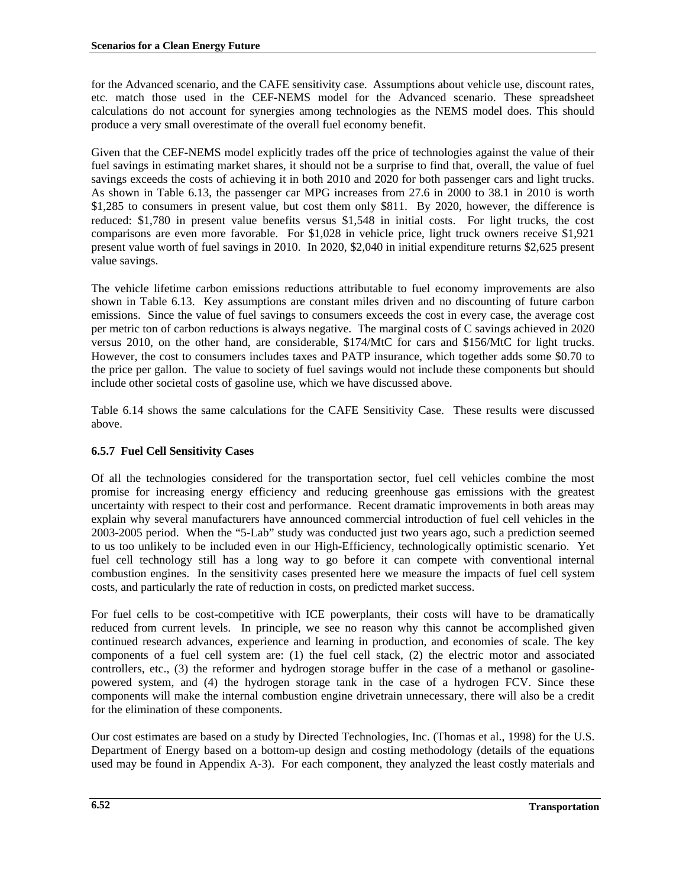for the Advanced scenario, and the CAFE sensitivity case. Assumptions about vehicle use, discount rates, etc. match those used in the CEF-NEMS model for the Advanced scenario. These spreadsheet calculations do not account for synergies among technologies as the NEMS model does. This should produce a very small overestimate of the overall fuel economy benefit.

Given that the CEF-NEMS model explicitly trades off the price of technologies against the value of their fuel savings in estimating market shares, it should not be a surprise to find that, overall, the value of fuel savings exceeds the costs of achieving it in both 2010 and 2020 for both passenger cars and light trucks. As shown in Table 6.13, the passenger car MPG increases from 27.6 in 2000 to 38.1 in 2010 is worth \$1,285 to consumers in present value, but cost them only \$811. By 2020, however, the difference is reduced: \$1,780 in present value benefits versus \$1,548 in initial costs. For light trucks, the cost comparisons are even more favorable. For \$1,028 in vehicle price, light truck owners receive \$1,921 present value worth of fuel savings in 2010. In 2020, \$2,040 in initial expenditure returns \$2,625 present value savings.

The vehicle lifetime carbon emissions reductions attributable to fuel economy improvements are also shown in Table 6.13. Key assumptions are constant miles driven and no discounting of future carbon emissions. Since the value of fuel savings to consumers exceeds the cost in every case, the average cost per metric ton of carbon reductions is always negative. The marginal costs of C savings achieved in 2020 versus 2010, on the other hand, are considerable, \$174/MtC for cars and \$156/MtC for light trucks. However, the cost to consumers includes taxes and PATP insurance, which together adds some \$0.70 to the price per gallon. The value to society of fuel savings would not include these components but should include other societal costs of gasoline use, which we have discussed above.

Table 6.14 shows the same calculations for the CAFE Sensitivity Case. These results were discussed above.

# **6.5.7 Fuel Cell Sensitivity Cases**

Of all the technologies considered for the transportation sector, fuel cell vehicles combine the most promise for increasing energy efficiency and reducing greenhouse gas emissions with the greatest uncertainty with respect to their cost and performance. Recent dramatic improvements in both areas may explain why several manufacturers have announced commercial introduction of fuel cell vehicles in the 2003-2005 period. When the "5-Lab" study was conducted just two years ago, such a prediction seemed to us too unlikely to be included even in our High-Efficiency, technologically optimistic scenario. Yet fuel cell technology still has a long way to go before it can compete with conventional internal combustion engines. In the sensitivity cases presented here we measure the impacts of fuel cell system costs, and particularly the rate of reduction in costs, on predicted market success.

For fuel cells to be cost-competitive with ICE powerplants, their costs will have to be dramatically reduced from current levels. In principle, we see no reason why this cannot be accomplished given continued research advances, experience and learning in production, and economies of scale. The key components of a fuel cell system are: (1) the fuel cell stack, (2) the electric motor and associated controllers, etc., (3) the reformer and hydrogen storage buffer in the case of a methanol or gasolinepowered system, and (4) the hydrogen storage tank in the case of a hydrogen FCV. Since these components will make the internal combustion engine drivetrain unnecessary, there will also be a credit for the elimination of these components.

Our cost estimates are based on a study by Directed Technologies, Inc. (Thomas et al., 1998) for the U.S. Department of Energy based on a bottom-up design and costing methodology (details of the equations used may be found in Appendix A-3). For each component, they analyzed the least costly materials and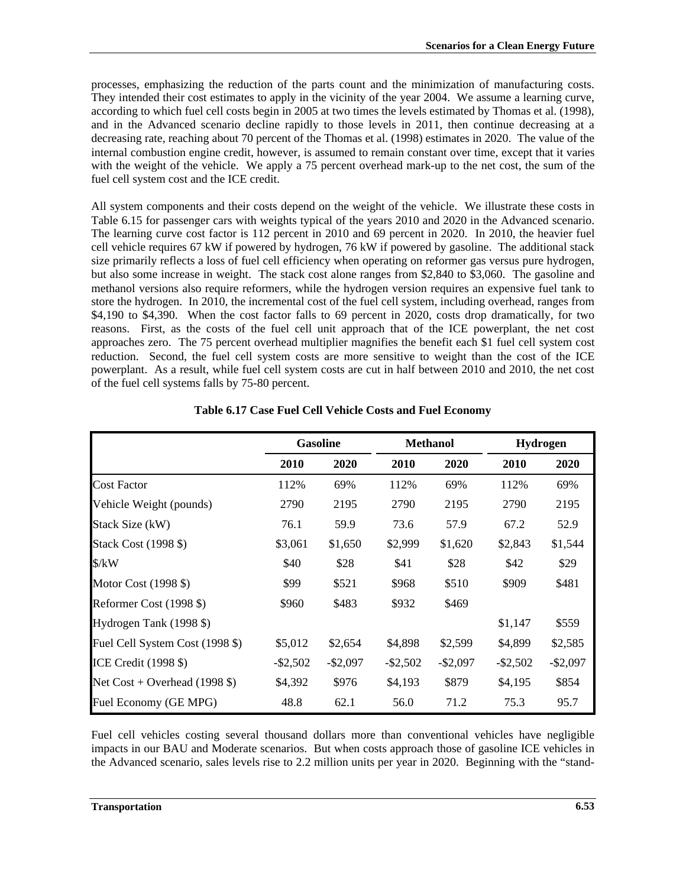processes, emphasizing the reduction of the parts count and the minimization of manufacturing costs. They intended their cost estimates to apply in the vicinity of the year 2004. We assume a learning curve, according to which fuel cell costs begin in 2005 at two times the levels estimated by Thomas et al. (1998), and in the Advanced scenario decline rapidly to those levels in 2011, then continue decreasing at a decreasing rate, reaching about 70 percent of the Thomas et al. (1998) estimates in 2020. The value of the internal combustion engine credit, however, is assumed to remain constant over time, except that it varies with the weight of the vehicle. We apply a 75 percent overhead mark-up to the net cost, the sum of the fuel cell system cost and the ICE credit.

All system components and their costs depend on the weight of the vehicle. We illustrate these costs in Table 6.15 for passenger cars with weights typical of the years 2010 and 2020 in the Advanced scenario. The learning curve cost factor is 112 percent in 2010 and 69 percent in 2020. In 2010, the heavier fuel cell vehicle requires 67 kW if powered by hydrogen, 76 kW if powered by gasoline. The additional stack size primarily reflects a loss of fuel cell efficiency when operating on reformer gas versus pure hydrogen, but also some increase in weight. The stack cost alone ranges from \$2,840 to \$3,060. The gasoline and methanol versions also require reformers, while the hydrogen version requires an expensive fuel tank to store the hydrogen. In 2010, the incremental cost of the fuel cell system, including overhead, ranges from \$4,190 to \$4,390. When the cost factor falls to 69 percent in 2020, costs drop dramatically, for two reasons. First, as the costs of the fuel cell unit approach that of the ICE powerplant, the net cost approaches zero. The 75 percent overhead multiplier magnifies the benefit each \$1 fuel cell system cost reduction. Second, the fuel cell system costs are more sensitive to weight than the cost of the ICE powerplant. As a result, while fuel cell system costs are cut in half between 2010 and 2010, the net cost of the fuel cell systems falls by 75-80 percent.

|                                 | <b>Gasoline</b> |             |             | <b>Methanol</b> |             | <b>Hydrogen</b> |  |
|---------------------------------|-----------------|-------------|-------------|-----------------|-------------|-----------------|--|
|                                 | <b>2010</b>     | 2020        | 2010        | 2020            | 2010        | 2020            |  |
| <b>Cost Factor</b>              | 112%            | 69%         | 112%        | 69%             | 112%        | 69%             |  |
| Vehicle Weight (pounds)         | 2790            | 2195        | 2790        | 2195            | 2790        | 2195            |  |
| Stack Size (kW)                 | 76.1            | 59.9        | 73.6        | 57.9            | 67.2        | 52.9            |  |
| Stack Cost (1998 \$)            | \$3,061         | \$1,650     | \$2,999     | \$1,620         | \$2,843     | \$1,544         |  |
| $\frac{\text{S}}{\text{K}}$     | \$40            | \$28        | \$41        | \$28            | \$42        | \$29            |  |
| Motor Cost (1998 \$)            | \$99            | \$521       | \$968       | \$510           | \$909       | \$481           |  |
| Reformer Cost (1998 \$)         | \$960           | \$483       | \$932       | \$469           |             |                 |  |
| Hydrogen Tank (1998 \$)         |                 |             |             |                 | \$1,147     | \$559           |  |
| Fuel Cell System Cost (1998 \$) | \$5,012         | \$2,654     | \$4,898     | \$2,599         | \$4,899     | \$2,585         |  |
| ICE Credit (1998 \$)            | $-$ \$2,502     | $-$ \$2,097 | $-$ \$2,502 | $-$ \$2,097     | $-$ \$2,502 | $-$ \$2,097     |  |
| Net $Cost + Overhead (1998 \$   | \$4,392         | \$976       | \$4,193     | \$879           | \$4,195     | \$854           |  |
| Fuel Economy (GE MPG)           | 48.8            | 62.1        | 56.0        | 71.2            | 75.3        | 95.7            |  |

### **Table 6.17 Case Fuel Cell Vehicle Costs and Fuel Economy**

Fuel cell vehicles costing several thousand dollars more than conventional vehicles have negligible impacts in our BAU and Moderate scenarios. But when costs approach those of gasoline ICE vehicles in the Advanced scenario, sales levels rise to 2.2 million units per year in 2020. Beginning with the "stand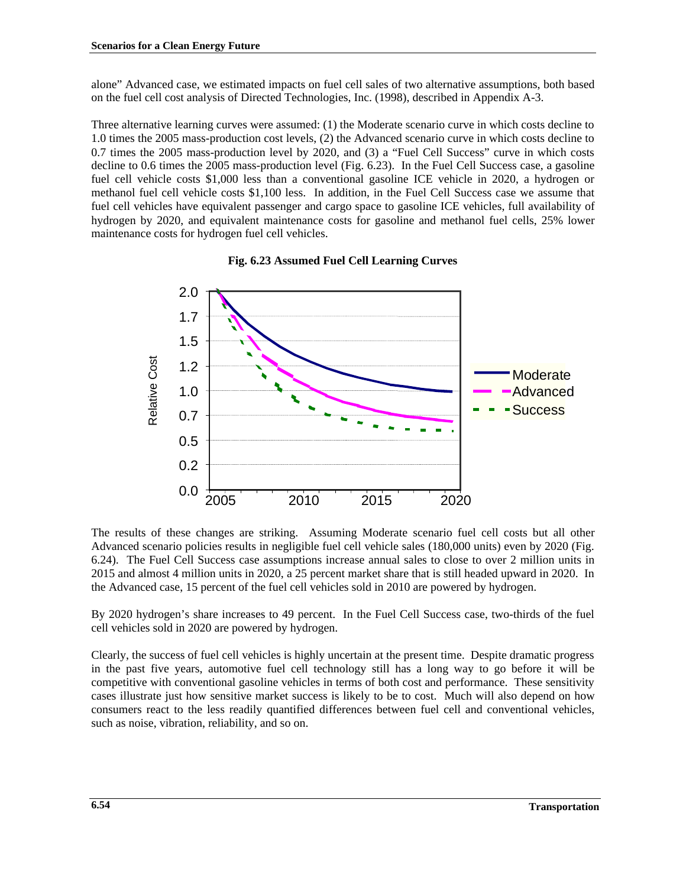alone" Advanced case, we estimated impacts on fuel cell sales of two alternative assumptions, both based on the fuel cell cost analysis of Directed Technologies, Inc. (1998), described in Appendix A-3.

Three alternative learning curves were assumed: (1) the Moderate scenario curve in which costs decline to 1.0 times the 2005 mass-production cost levels, (2) the Advanced scenario curve in which costs decline to 0.7 times the 2005 mass-production level by 2020, and (3) a "Fuel Cell Success" curve in which costs decline to 0.6 times the 2005 mass-production level (Fig. 6.23). In the Fuel Cell Success case, a gasoline fuel cell vehicle costs \$1,000 less than a conventional gasoline ICE vehicle in 2020, a hydrogen or methanol fuel cell vehicle costs \$1,100 less. In addition, in the Fuel Cell Success case we assume that fuel cell vehicles have equivalent passenger and cargo space to gasoline ICE vehicles, full availability of hydrogen by 2020, and equivalent maintenance costs for gasoline and methanol fuel cells, 25% lower maintenance costs for hydrogen fuel cell vehicles.



### **Fig. 6.23 Assumed Fuel Cell Learning Curves**

The results of these changes are striking. Assuming Moderate scenario fuel cell costs but all other Advanced scenario policies results in negligible fuel cell vehicle sales (180,000 units) even by 2020 (Fig. 6.24). The Fuel Cell Success case assumptions increase annual sales to close to over 2 million units in 2015 and almost 4 million units in 2020, a 25 percent market share that is still headed upward in 2020. In the Advanced case, 15 percent of the fuel cell vehicles sold in 2010 are powered by hydrogen.

By 2020 hydrogen's share increases to 49 percent. In the Fuel Cell Success case, two-thirds of the fuel cell vehicles sold in 2020 are powered by hydrogen.

Clearly, the success of fuel cell vehicles is highly uncertain at the present time. Despite dramatic progress in the past five years, automotive fuel cell technology still has a long way to go before it will be competitive with conventional gasoline vehicles in terms of both cost and performance. These sensitivity cases illustrate just how sensitive market success is likely to be to cost. Much will also depend on how consumers react to the less readily quantified differences between fuel cell and conventional vehicles, such as noise, vibration, reliability, and so on.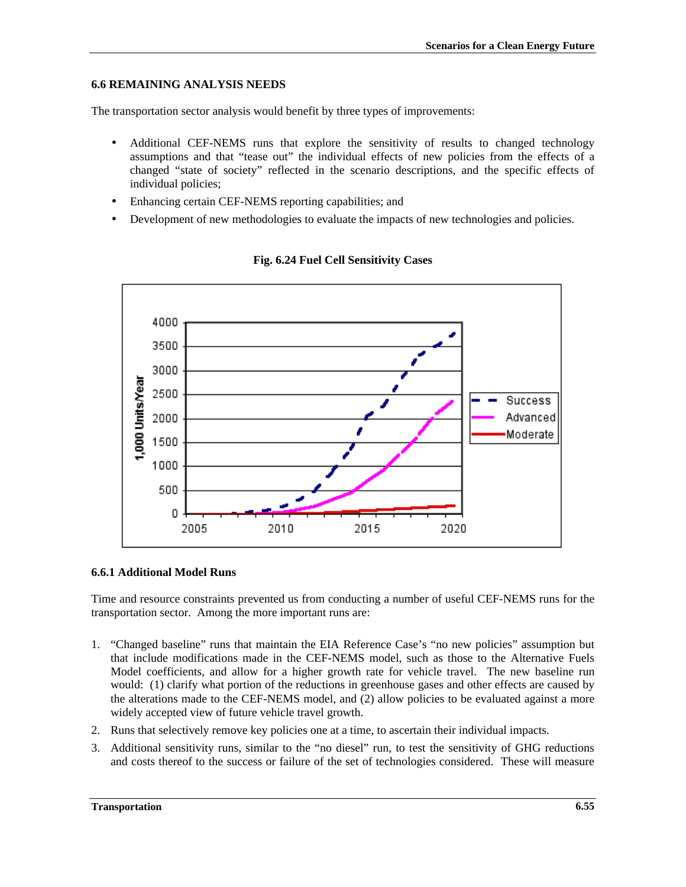# **6.6 REMAINING ANALYSIS NEEDS**

The transportation sector analysis would benefit by three types of improvements:

- Additional CEF-NEMS runs that explore the sensitivity of results to changed technology assumptions and that "tease out" the individual effects of new policies from the effects of a changed "state of society" reflected in the scenario descriptions, and the specific effects of individual policies;
- Enhancing certain CEF-NEMS reporting capabilities; and
- Development of new methodologies to evaluate the impacts of new technologies and policies.



## **Fig. 6.24 Fuel Cell Sensitivity Cases**

## **6.6.1 Additional Model Runs**

Time and resource constraints prevented us from conducting a number of useful CEF-NEMS runs for the transportation sector. Among the more important runs are:

- 1. "Changed baseline" runs that maintain the EIA Reference Case's "no new policies" assumption but that include modifications made in the CEF-NEMS model, such as those to the Alternative Fuels Model coefficients, and allow for a higher growth rate for vehicle travel. The new baseline run would: (1) clarify what portion of the reductions in greenhouse gases and other effects are caused by the alterations made to the CEF-NEMS model, and (2) allow policies to be evaluated against a more widely accepted view of future vehicle travel growth.
- 2. Runs that selectively remove key policies one at a time, to ascertain their individual impacts.
- 3. Additional sensitivity runs, similar to the "no diesel" run, to test the sensitivity of GHG reductions and costs thereof to the success or failure of the set of technologies considered. These will measure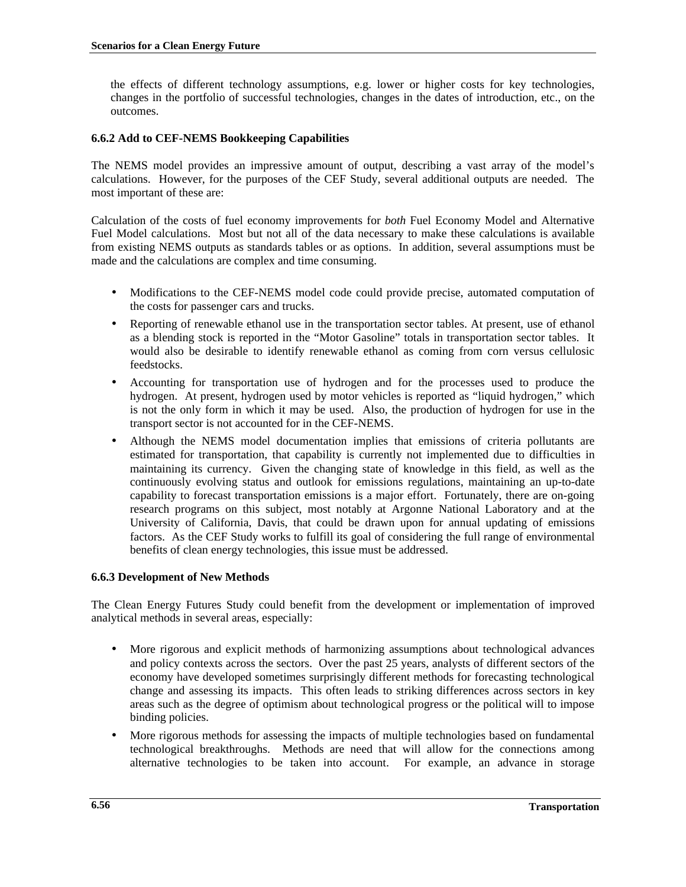the effects of different technology assumptions, e.g. lower or higher costs for key technologies, changes in the portfolio of successful technologies, changes in the dates of introduction, etc., on the outcomes.

## **6.6.2 Add to CEF-NEMS Bookkeeping Capabilities**

The NEMS model provides an impressive amount of output, describing a vast array of the model's calculations. However, for the purposes of the CEF Study, several additional outputs are needed. The most important of these are:

Calculation of the costs of fuel economy improvements for *both* Fuel Economy Model and Alternative Fuel Model calculations. Most but not all of the data necessary to make these calculations is available from existing NEMS outputs as standards tables or as options. In addition, several assumptions must be made and the calculations are complex and time consuming.

- Modifications to the CEF-NEMS model code could provide precise, automated computation of the costs for passenger cars and trucks.
- Reporting of renewable ethanol use in the transportation sector tables. At present, use of ethanol as a blending stock is reported in the "Motor Gasoline" totals in transportation sector tables. It would also be desirable to identify renewable ethanol as coming from corn versus cellulosic feedstocks.
- Accounting for transportation use of hydrogen and for the processes used to produce the hydrogen. At present, hydrogen used by motor vehicles is reported as "liquid hydrogen," which is not the only form in which it may be used. Also, the production of hydrogen for use in the transport sector is not accounted for in the CEF-NEMS.
- Although the NEMS model documentation implies that emissions of criteria pollutants are estimated for transportation, that capability is currently not implemented due to difficulties in maintaining its currency. Given the changing state of knowledge in this field, as well as the continuously evolving status and outlook for emissions regulations, maintaining an up-to-date capability to forecast transportation emissions is a major effort. Fortunately, there are on-going research programs on this subject, most notably at Argonne National Laboratory and at the University of California, Davis, that could be drawn upon for annual updating of emissions factors. As the CEF Study works to fulfill its goal of considering the full range of environmental benefits of clean energy technologies, this issue must be addressed.

## **6.6.3 Development of New Methods**

The Clean Energy Futures Study could benefit from the development or implementation of improved analytical methods in several areas, especially:

- More rigorous and explicit methods of harmonizing assumptions about technological advances and policy contexts across the sectors. Over the past 25 years, analysts of different sectors of the economy have developed sometimes surprisingly different methods for forecasting technological change and assessing its impacts. This often leads to striking differences across sectors in key areas such as the degree of optimism about technological progress or the political will to impose binding policies.
- More rigorous methods for assessing the impacts of multiple technologies based on fundamental technological breakthroughs. Methods are need that will allow for the connections among alternative technologies to be taken into account. For example, an advance in storage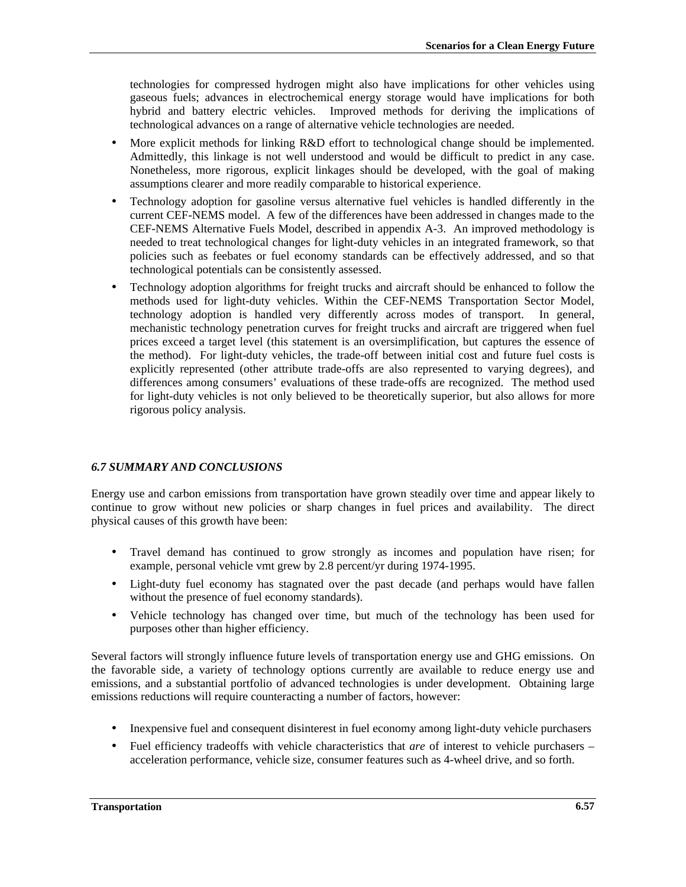technologies for compressed hydrogen might also have implications for other vehicles using gaseous fuels; advances in electrochemical energy storage would have implications for both hybrid and battery electric vehicles. Improved methods for deriving the implications of technological advances on a range of alternative vehicle technologies are needed.

- More explicit methods for linking R&D effort to technological change should be implemented. Admittedly, this linkage is not well understood and would be difficult to predict in any case. Nonetheless, more rigorous, explicit linkages should be developed, with the goal of making assumptions clearer and more readily comparable to historical experience.
- Technology adoption for gasoline versus alternative fuel vehicles is handled differently in the current CEF-NEMS model. A few of the differences have been addressed in changes made to the CEF-NEMS Alternative Fuels Model, described in appendix A-3. An improved methodology is needed to treat technological changes for light-duty vehicles in an integrated framework, so that policies such as feebates or fuel economy standards can be effectively addressed, and so that technological potentials can be consistently assessed.
- Technology adoption algorithms for freight trucks and aircraft should be enhanced to follow the methods used for light-duty vehicles. Within the CEF-NEMS Transportation Sector Model, technology adoption is handled very differently across modes of transport. In general, mechanistic technology penetration curves for freight trucks and aircraft are triggered when fuel prices exceed a target level (this statement is an oversimplification, but captures the essence of the method). For light-duty vehicles, the trade-off between initial cost and future fuel costs is explicitly represented (other attribute trade-offs are also represented to varying degrees), and differences among consumers' evaluations of these trade-offs are recognized. The method used for light-duty vehicles is not only believed to be theoretically superior, but also allows for more rigorous policy analysis.

## *6.7 SUMMARY AND CONCLUSIONS*

Energy use and carbon emissions from transportation have grown steadily over time and appear likely to continue to grow without new policies or sharp changes in fuel prices and availability. The direct physical causes of this growth have been:

- Travel demand has continued to grow strongly as incomes and population have risen; for example, personal vehicle vmt grew by 2.8 percent/yr during 1974-1995.
- Light-duty fuel economy has stagnated over the past decade (and perhaps would have fallen without the presence of fuel economy standards).
- Vehicle technology has changed over time, but much of the technology has been used for purposes other than higher efficiency.

Several factors will strongly influence future levels of transportation energy use and GHG emissions. On the favorable side, a variety of technology options currently are available to reduce energy use and emissions, and a substantial portfolio of advanced technologies is under development. Obtaining large emissions reductions will require counteracting a number of factors, however:

- Inexpensive fuel and consequent disinterest in fuel economy among light-duty vehicle purchasers
- Fuel efficiency tradeoffs with vehicle characteristics that *are* of interest to vehicle purchasers acceleration performance, vehicle size, consumer features such as 4-wheel drive, and so forth.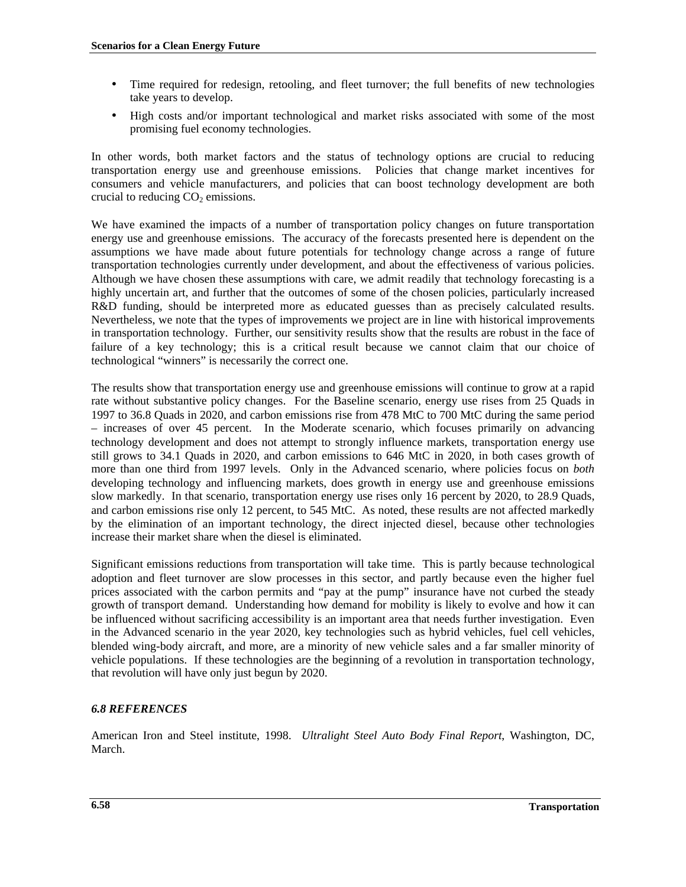- Time required for redesign, retooling, and fleet turnover; the full benefits of new technologies take years to develop.
- High costs and/or important technological and market risks associated with some of the most promising fuel economy technologies.

In other words, both market factors and the status of technology options are crucial to reducing transportation energy use and greenhouse emissions. Policies that change market incentives for consumers and vehicle manufacturers, and policies that can boost technology development are both crucial to reducing  $CO<sub>2</sub>$  emissions.

We have examined the impacts of a number of transportation policy changes on future transportation energy use and greenhouse emissions. The accuracy of the forecasts presented here is dependent on the assumptions we have made about future potentials for technology change across a range of future transportation technologies currently under development, and about the effectiveness of various policies. Although we have chosen these assumptions with care, we admit readily that technology forecasting is a highly uncertain art, and further that the outcomes of some of the chosen policies, particularly increased R&D funding, should be interpreted more as educated guesses than as precisely calculated results. Nevertheless, we note that the types of improvements we project are in line with historical improvements in transportation technology. Further, our sensitivity results show that the results are robust in the face of failure of a key technology; this is a critical result because we cannot claim that our choice of technological "winners" is necessarily the correct one.

The results show that transportation energy use and greenhouse emissions will continue to grow at a rapid rate without substantive policy changes. For the Baseline scenario, energy use rises from 25 Quads in 1997 to 36.8 Quads in 2020, and carbon emissions rise from 478 MtC to 700 MtC during the same period – increases of over 45 percent. In the Moderate scenario, which focuses primarily on advancing technology development and does not attempt to strongly influence markets, transportation energy use still grows to 34.1 Quads in 2020, and carbon emissions to 646 MtC in 2020, in both cases growth of more than one third from 1997 levels. Only in the Advanced scenario, where policies focus on *both* developing technology and influencing markets, does growth in energy use and greenhouse emissions slow markedly. In that scenario, transportation energy use rises only 16 percent by 2020, to 28.9 Quads, and carbon emissions rise only 12 percent, to 545 MtC. As noted, these results are not affected markedly by the elimination of an important technology, the direct injected diesel, because other technologies increase their market share when the diesel is eliminated.

Significant emissions reductions from transportation will take time. This is partly because technological adoption and fleet turnover are slow processes in this sector, and partly because even the higher fuel prices associated with the carbon permits and "pay at the pump" insurance have not curbed the steady growth of transport demand. Understanding how demand for mobility is likely to evolve and how it can be influenced without sacrificing accessibility is an important area that needs further investigation. Even in the Advanced scenario in the year 2020, key technologies such as hybrid vehicles, fuel cell vehicles, blended wing-body aircraft, and more, are a minority of new vehicle sales and a far smaller minority of vehicle populations. If these technologies are the beginning of a revolution in transportation technology, that revolution will have only just begun by 2020.

# *6.8 REFERENCES*

American Iron and Steel institute, 1998. *Ultralight Steel Auto Body Final Report*, Washington, DC, March.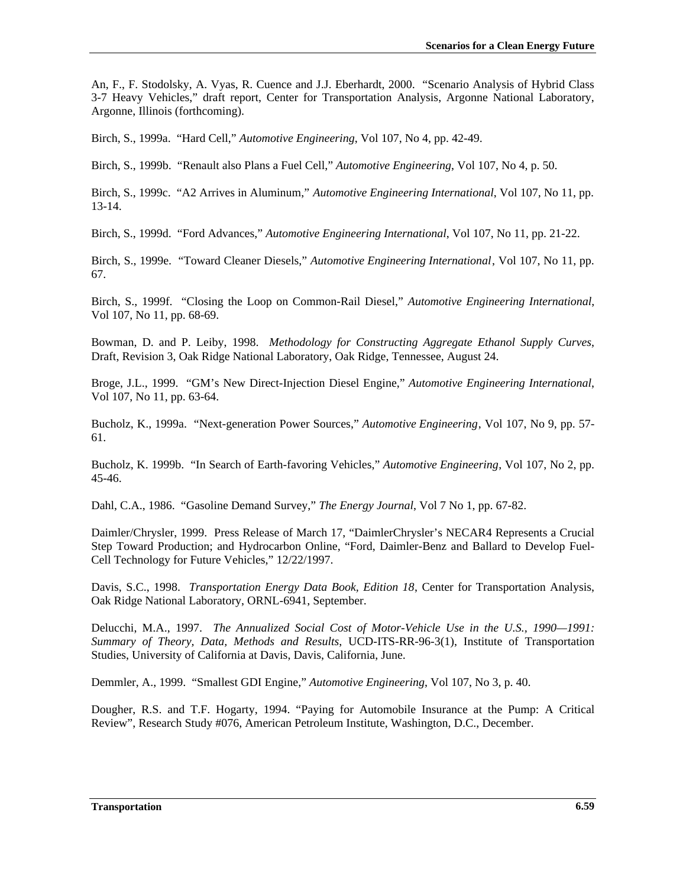An, F., F. Stodolsky, A. Vyas, R. Cuence and J.J. Eberhardt, 2000. "Scenario Analysis of Hybrid Class 3-7 Heavy Vehicles," draft report, Center for Transportation Analysis, Argonne National Laboratory, Argonne, Illinois (forthcoming).

Birch, S., 1999a. "Hard Cell," *Automotive Engineering*, Vol 107, No 4, pp. 42-49.

Birch, S., 1999b. "Renault also Plans a Fuel Cell," *Automotive Engineering*, Vol 107, No 4, p. 50.

Birch, S., 1999c. "A2 Arrives in Aluminum," *Automotive Engineering International*, Vol 107, No 11, pp. 13-14.

Birch, S., 1999d. "Ford Advances," *Automotive Engineering International*, Vol 107, No 11, pp. 21-22.

Birch, S., 1999e. "Toward Cleaner Diesels," *Automotive Engineering International*, Vol 107, No 11, pp. 67.

Birch, S., 1999f. "Closing the Loop on Common-Rail Diesel," *Automotive Engineering International*, Vol 107, No 11, pp. 68-69.

Bowman, D. and P. Leiby, 1998. *Methodology for Constructing Aggregate Ethanol Supply Curves*, Draft, Revision 3, Oak Ridge National Laboratory, Oak Ridge, Tennessee, August 24.

Broge, J.L., 1999. "GM's New Direct-Injection Diesel Engine," *Automotive Engineering International*, Vol 107, No 11, pp. 63-64.

Bucholz, K., 1999a. "Next-generation Power Sources," *Automotive Engineering*, Vol 107, No 9, pp. 57- 61.

Bucholz, K. 1999b. "In Search of Earth-favoring Vehicles," *Automotive Engineering*, Vol 107, No 2, pp. 45-46.

Dahl, C.A., 1986. "Gasoline Demand Survey," *The Energy Journal*, Vol 7 No 1, pp. 67-82.

Daimler/Chrysler, 1999. Press Release of March 17, "DaimlerChrysler's NECAR4 Represents a Crucial Step Toward Production; and Hydrocarbon Online, "Ford, Daimler-Benz and Ballard to Develop Fuel-Cell Technology for Future Vehicles," 12/22/1997.

Davis, S.C., 1998. *Transportation Energy Data Book, Edition 18*, Center for Transportation Analysis, Oak Ridge National Laboratory, ORNL-6941, September.

Delucchi, M.A., 1997. *The Annualized Social Cost of Motor-Vehicle Use in the U.S., 1990—1991: Summary of Theory, Data, Methods and Results*, UCD-ITS-RR-96-3(1), Institute of Transportation Studies, University of California at Davis, Davis, California, June.

Demmler, A., 1999. "Smallest GDI Engine," *Automotive Engineering*, Vol 107, No 3, p. 40.

Dougher, R.S. and T.F. Hogarty, 1994. "Paying for Automobile Insurance at the Pump: A Critical Review", Research Study #076, American Petroleum Institute, Washington, D.C., December.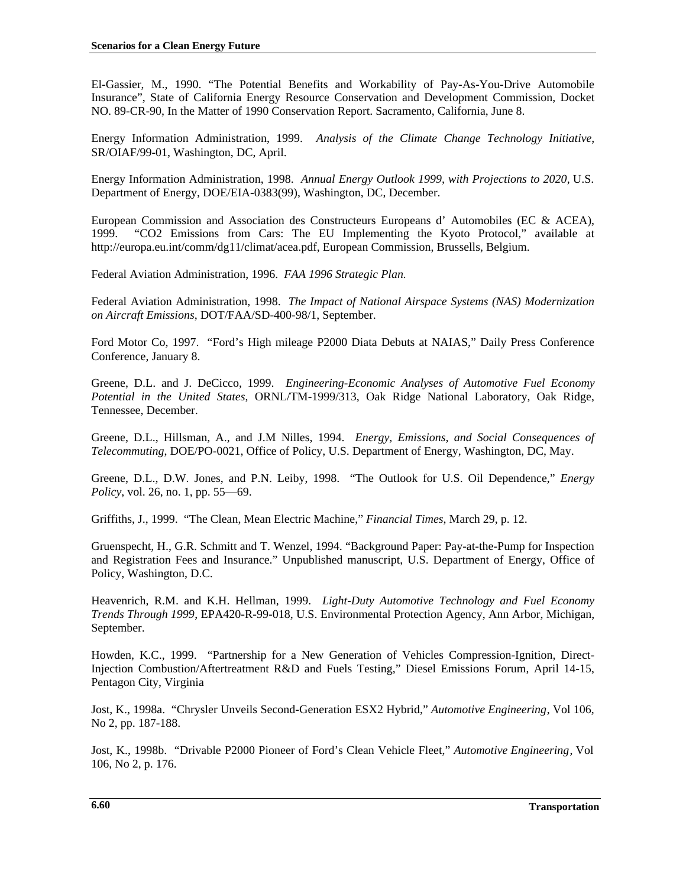El-Gassier, M., 1990. "The Potential Benefits and Workability of Pay-As-You-Drive Automobile Insurance", State of California Energy Resource Conservation and Development Commission, Docket NO. 89-CR-90, In the Matter of 1990 Conservation Report. Sacramento, California, June 8.

Energy Information Administration, 1999. *Analysis of the Climate Change Technology Initiative*, SR/OIAF/99-01, Washington, DC, April.

Energy Information Administration, 1998. *Annual Energy Outlook 1999, with Projections to 2020*, U.S. Department of Energy, DOE/EIA-0383(99), Washington, DC, December.

European Commission and Association des Constructeurs Europeans d' Automobiles (EC & ACEA), 1999. "CO2 Emissions from Cars: The EU Implementing the Kyoto Protocol," available at http://europa.eu.int/comm/dg11/climat/acea.pdf, European Commission, Brussells, Belgium.

Federal Aviation Administration, 1996. *FAA 1996 Strategic Plan.*

Federal Aviation Administration, 1998. *The Impact of National Airspace Systems (NAS) Modernization on Aircraft Emissions*, DOT/FAA/SD-400-98/1, September.

Ford Motor Co, 1997. "Ford's High mileage P2000 Diata Debuts at NAIAS," Daily Press Conference Conference, January 8.

Greene, D.L. and J. DeCicco, 1999. *Engineering-Economic Analyses of Automotive Fuel Economy Potential in the United States*, ORNL/TM-1999/313, Oak Ridge National Laboratory, Oak Ridge, Tennessee, December.

Greene, D.L., Hillsman, A., and J.M Nilles, 1994. *Energy, Emissions, and Social Consequences of Telecommuting*, DOE/PO-0021, Office of Policy, U.S. Department of Energy, Washington, DC, May.

Greene, D.L., D.W. Jones, and P.N. Leiby, 1998. "The Outlook for U.S. Oil Dependence," *Energy Policy*, vol. 26, no. 1, pp. 55—69.

Griffiths, J., 1999. "The Clean, Mean Electric Machine," *Financial Times*, March 29, p. 12.

Gruenspecht, H., G.R. Schmitt and T. Wenzel, 1994. "Background Paper: Pay-at-the-Pump for Inspection and Registration Fees and Insurance." Unpublished manuscript, U.S. Department of Energy, Office of Policy, Washington, D.C.

Heavenrich, R.M. and K.H. Hellman, 1999. *Light-Duty Automotive Technology and Fuel Economy Trends Through 1999*, EPA420-R-99-018, U.S. Environmental Protection Agency, Ann Arbor, Michigan, September.

Howden, K.C., 1999. "Partnership for a New Generation of Vehicles Compression-Ignition, Direct-Injection Combustion/Aftertreatment R&D and Fuels Testing," Diesel Emissions Forum, April 14-15, Pentagon City, Virginia

Jost, K., 1998a. "Chrysler Unveils Second-Generation ESX2 Hybrid," *Automotive Engineering*, Vol 106, No 2, pp. 187-188.

Jost, K., 1998b. "Drivable P2000 Pioneer of Ford's Clean Vehicle Fleet," *Automotive Engineering*, Vol 106, No 2, p. 176.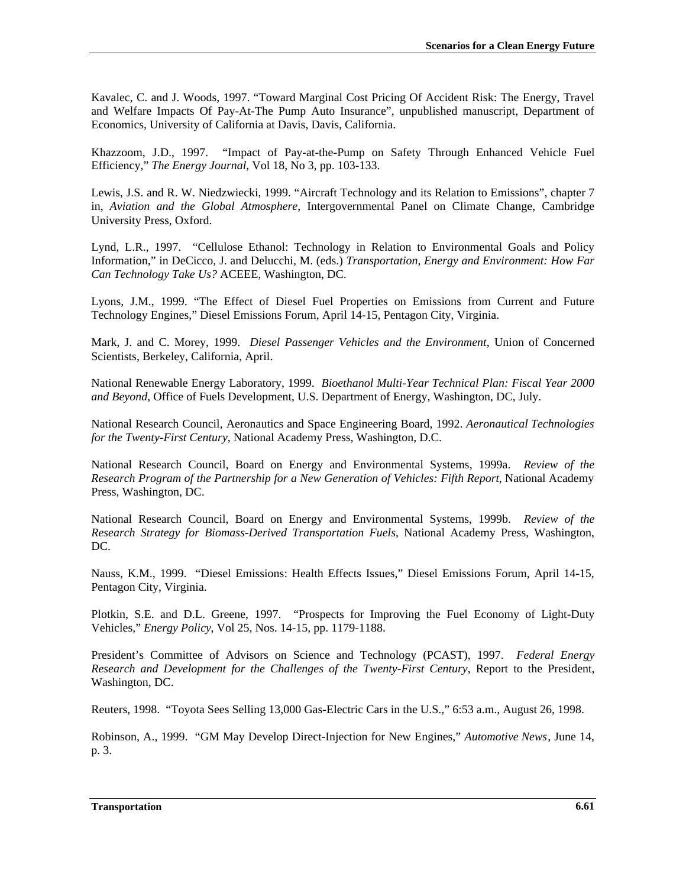Kavalec, C. and J. Woods, 1997. "Toward Marginal Cost Pricing Of Accident Risk: The Energy, Travel and Welfare Impacts Of Pay-At-The Pump Auto Insurance", unpublished manuscript, Department of Economics, University of California at Davis, Davis, California.

Khazzoom, J.D., 1997. "Impact of Pay-at-the-Pump on Safety Through Enhanced Vehicle Fuel Efficiency," *The Energy Journal*, Vol 18, No 3, pp. 103-133.

Lewis, J.S. and R. W. Niedzwiecki, 1999. "Aircraft Technology and its Relation to Emissions", chapter 7 in, *Aviation and the Global Atmosphere*, Intergovernmental Panel on Climate Change, Cambridge University Press, Oxford.

Lynd, L.R., 1997. "Cellulose Ethanol: Technology in Relation to Environmental Goals and Policy Information," in DeCicco, J. and Delucchi, M. (eds.) *Transportation, Energy and Environment: How Far Can Technology Take Us?* ACEEE, Washington, DC.

Lyons, J.M., 1999. "The Effect of Diesel Fuel Properties on Emissions from Current and Future Technology Engines," Diesel Emissions Forum, April 14-15, Pentagon City, Virginia.

Mark, J. and C. Morey, 1999. *Diesel Passenger Vehicles and the Environment*, Union of Concerned Scientists, Berkeley, California, April.

National Renewable Energy Laboratory, 1999. *Bioethanol Multi-Year Technical Plan: Fiscal Year 2000 and Beyond*, Office of Fuels Development, U.S. Department of Energy, Washington, DC, July.

National Research Council, Aeronautics and Space Engineering Board, 1992. *Aeronautical Technologies for the Twenty-First Century*, National Academy Press, Washington, D.C.

National Research Council, Board on Energy and Environmental Systems, 1999a. *Review of the Research Program of the Partnership for a New Generation of Vehicles: Fifth Report*, National Academy Press, Washington, DC.

National Research Council, Board on Energy and Environmental Systems, 1999b. *Review of the Research Strategy for Biomass-Derived Transportation Fuels*, National Academy Press, Washington, DC.

Nauss, K.M., 1999. "Diesel Emissions: Health Effects Issues," Diesel Emissions Forum, April 14-15, Pentagon City, Virginia.

Plotkin, S.E. and D.L. Greene, 1997. "Prospects for Improving the Fuel Economy of Light-Duty Vehicles," *Energy Policy*, Vol 25, Nos. 14-15, pp. 1179-1188.

President's Committee of Advisors on Science and Technology (PCAST), 1997. *Federal Energy Research and Development for the Challenges of the Twenty-First Century*, Report to the President, Washington, DC.

Reuters, 1998. "Toyota Sees Selling 13,000 Gas-Electric Cars in the U.S.," 6:53 a.m., August 26, 1998.

Robinson, A., 1999. "GM May Develop Direct-Injection for New Engines," *Automotive News*, June 14, p. 3.